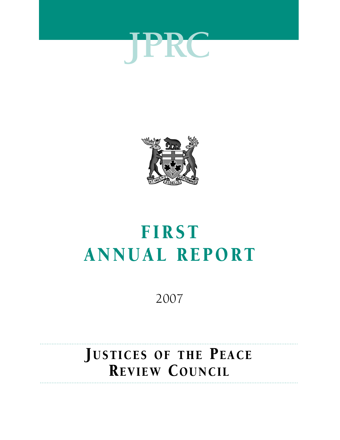



# FIRST **ANNUAL REPORT**

2007

## Justices of the Peace REVIEW COUNCIL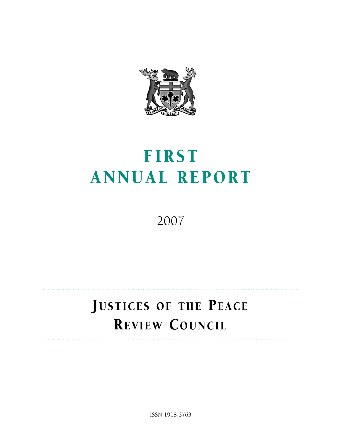

# FIRST ANNUAL REPORT

2007

## Justices of the Peace Review Council

ISSN 1918-3763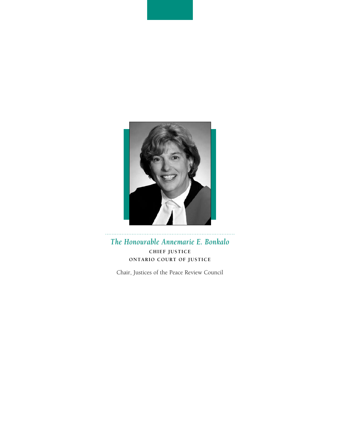

*The Honourable Annemarie E. Bonkalo* **Chief Justice Ontario Court of Justice**

Chair, Justices of the Peace Review Council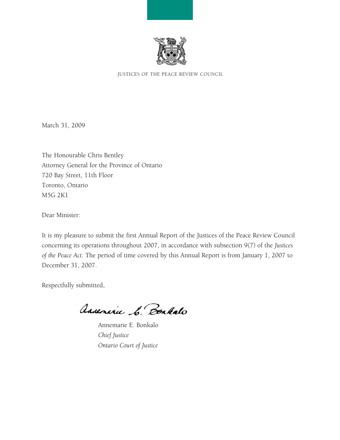

Justices of the Peace Review Council

March 31, 2009

The Honourable Chris Bentley Attorney General for the Province of Ontario 720 Bay Street, 11th Floor Toronto, Ontario M5G 2K1

Dear Minister:

It is my pleasure to submit the first Annual Report of the Justices of the Peace Review Council concerning its operations throughout 2007, in accordance with subsection 9(7) of the *Justices of the Peace Act*. The period of time covered by this Annual Report is from January 1, 2007 to December 31, 2007.

Respectfully submitted,

Assenire C. Bonkalo

 Annemarie E. Bonkalo *Chief Justice Ontario Court of Justice*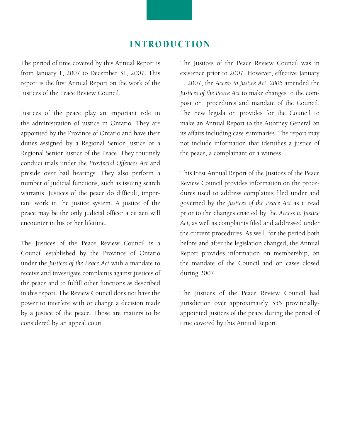## **INTRODUCTION**

The period of time covered by this Annual Report is from January 1, 2007 to December 31, 2007. This report is the first Annual Report on the work of the Justices of the Peace Review Council.

Justices of the peace play an important role in the administration of justice in Ontario. They are appointed by the Province of Ontario and have their duties assigned by a Regional Senior Justice or a Regional Senior Justice of the Peace. They routinely conduct trials under the *Provincial Offences Act* and preside over bail hearings. They also perform a number of judicial functions, such as issuing search warrants. Justices of the peace do difficult, important work in the justice system. A justice of the peace may be the only judicial officer a citizen will encounter in his or her lifetime.

The Justices of the Peace Review Council is a Council established by the Province of Ontario under the *Justices of the Peace Act* with a mandate to receive and investigate complaints against justices of the peace and to fulfill other functions as described in this report. The Review Council does not have the power to interfere with or change a decision made by a justice of the peace. Those are matters to be considered by an appeal court.

The Justices of the Peace Review Council was in existence prior to 2007. However, effective January 1, 2007, the *Access to Justice Act, 2006* amended the *Justices of the Peace Act* to make changes to the composition, procedures and mandate of the Council. The new legislation provides for the Council to make an Annual Report to the Attorney General on its affairs including case summaries. The report may not include information that identifies a justice of the peace, a complainant or a witness.

This First Annual Report of the Justices of the Peace Review Council provides information on the procedures used to address complaints filed under and governed by the *Justices of the Peace Act* as it read prior to the changes enacted by the *Access to Justice Act*, as well as complaints filed and addressed under the current procedures. As well, for the period both before and after the legislation changed, the Annual Report provides information on membership, on the mandate of the Council and on cases closed during 2007.

The Justices of the Peace Review Council had jurisdiction over approximately 355 provinciallyappointed justices of the peace during the period of time covered by this Annual Report.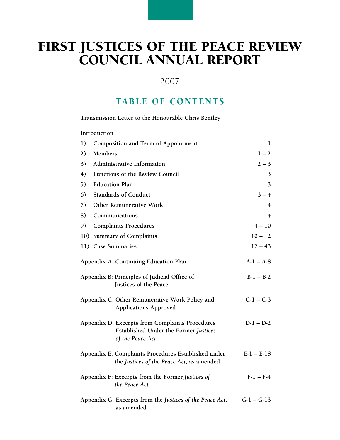## FIRST JUSTICES OF THE PEACE REVIEW COUNCIL ANNUAL REPOR

## 2007

## TABLE OF CONTENTS

**Transmission Letter to the Honourable Chris Bentley**

#### **Introduction**

| 1)                                                                                                                  | <b>Composition and Term of Appointment</b>                                                       | 1              |
|---------------------------------------------------------------------------------------------------------------------|--------------------------------------------------------------------------------------------------|----------------|
| 2)                                                                                                                  | <b>Members</b>                                                                                   | $1 - 2$        |
| 3)                                                                                                                  | Administrative Information                                                                       | $2 - 3$        |
| 4)                                                                                                                  | <b>Functions of the Review Council</b>                                                           | 3              |
| 5)                                                                                                                  | <b>Education Plan</b>                                                                            | 3              |
| 6)                                                                                                                  | <b>Standards of Conduct</b>                                                                      | $3 - 4$        |
| 7)                                                                                                                  | <b>Other Remunerative Work</b>                                                                   | $\overline{4}$ |
| 8)                                                                                                                  | Communications                                                                                   | 4              |
| 9)                                                                                                                  | <b>Complaints Procedures</b>                                                                     | $4 - 10$       |
| 10)                                                                                                                 | <b>Summary of Complaints</b>                                                                     | $10 - 12$      |
|                                                                                                                     | 11) Case Summaries                                                                               | $12 - 43$      |
| Appendix A: Continuing Education Plan                                                                               |                                                                                                  | $A-1 - A-8$    |
| Appendix B: Principles of Judicial Office of<br>Justices of the Peace                                               |                                                                                                  | $B-1 - B-2$    |
|                                                                                                                     | Appendix C: Other Remunerative Work Policy and<br><b>Applications Approved</b>                   | $C-1 - C-3$    |
| Appendix D: Excerpts from Complaints Procedures<br><b>Established Under the Former Justices</b><br>of the Peace Act |                                                                                                  | $D-1 - D-2$    |
|                                                                                                                     | Appendix E: Complaints Procedures Established under<br>the Justices of the Peace Act, as amended | $E-I – E-I8$   |
|                                                                                                                     | Appendix F: Excerpts from the Former Justices of<br>the Peace Act                                | $F-1 - F-4$    |
|                                                                                                                     | Appendix G: Excerpts from the Justices of the Peace Act,<br>as amended                           | $G-1 - G-13$   |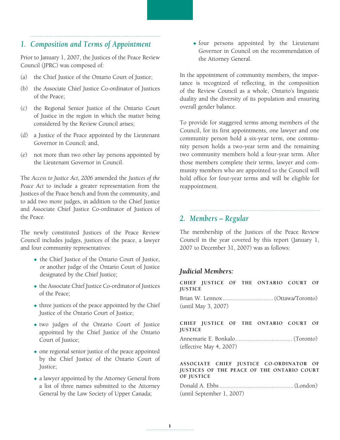## *1. Composition and Terms of Appointment*

Prior to January 1, 2007, the Justices of the Peace Review Council (JPRC) was composed of:

- (a) the Chief Justice of the Ontario Court of Justice;
- (b) the Associate Chief Justice Co-ordinator of Justices of the Peace;
- (c) the Regional Senior Justice of the Ontario Court of Justice in the region in which the matter being considered by the Review Council arises;
- (d) a Justice of the Peace appointed by the Lieutenant Governor in Council; and,
- (e) not more than two other lay persons appointed by the Lieutenant Governor in Council.

The *Access to Justice Act, 2006* amended the *Justices of the Peace Act* to include a greater representation from the Justices of the Peace bench and from the community, and to add two more judges, in addition to the Chief Justice and Associate Chief Justice Co-ordinator of Justices of the Peace.

The newly constituted Justices of the Peace Review Council includes judges, justices of the peace, a lawyer and four community representatives:

- $\bullet$  the Chief Justice of the Ontario Court of Justice, or another judge of the Ontario Court of Justice designated by the Chief Justice;
- the Associate Chief Justice Co-ordinator of Justices of the Peace;
- $\bullet$  three justices of the peace appointed by the Chief Justice of the Ontario Court of Justice;
- two judges of the Ontario Court of Justice appointed by the Chief Justice of the Ontario Court of Justice;
- $\bullet$  one regional senior justice of the peace appointed by the Chief Justice of the Ontario Court of Justice;
- $\bullet$  a lawyer appointed by the Attorney General from a list of three names submitted to the Attorney General by the Law Society of Upper Canada;

 $\bullet$  four persons appointed by the Lieutenant Governor in Council on the recommendation of the Attorney General.

In the appointment of community members, the importance is recognized of reflecting, in the composition of the Review Council as a whole, Ontario's linguistic duality and the diversity of its population and ensuring overall gender balance.

To provide for staggered terms among members of the Council, for its first appointments, one lawyer and one community person hold a six-year term, one community person holds a two-year term and the remaining two community members hold a four-year term. After those members complete their terms, lawyer and community members who are appointed to the Council will hold office for four-year terms and will be eligible for reappointment.

*2. Members – Regular*

The membership of the Justices of the Peace Review Council in the year covered by this report (January 1, 2007 to December 31, 2007) was as follows:

### *Judicial Members:*

**CHIEF JUSTICE OF THE ONTARIO COURT OF JUSTICE**

Brian W. Lennox................................ (Ottawa/Toronto) (until May 3, 2007)

#### **CHIEF JUSTICE OF THE ONTARIO COURT OF JUSTICE**

Annemarie E. Bonkalo.................................... (Toronto) (effective May 4, 2007)

#### **ASSOCIATE CHIEF JUSTICE CO-ORDINATOR OF JUSTICES OF THE PEACE OF THE ONTARIO COURT OF JUSTICE**

Donald A. Ebbs...............................................(London) (until September 1, 2007)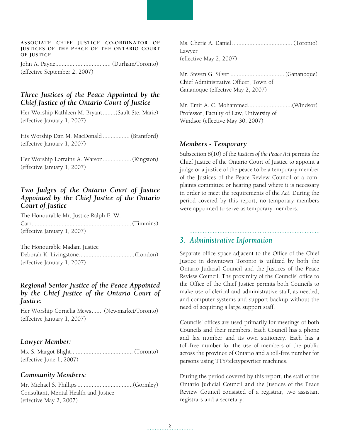#### **ASSOCIATE CHIEF JUSTICE CO-ORDINATOR OF JUSTICES OF THE PEACE OF THE ONTARIO COURT OF JUSTICE**

John A. Payne................................... (Durham/Toronto) (effective September 2, 2007)

#### *Three Justices of the Peace Appointed by the Chief Justice of the Ontario Court of Justice*

Her Worship Kathleen M. Bryant........(Sault Ste. Marie) (effective January 1, 2007)

His Worship Dan M. MacDonald ................. (Brantford) (effective January 1, 2007)

Her Worship Lorraine A. Watson..................(Kingston) (effective January 1, 2007)

#### *Two Judges of the Ontario Court of Justice Appointed by the Chief Justice of the Ontario Court of Justice*

The Honourable Mr. Justice Ralph E. W. Carr...............................................................(Timmins) (effective January 1, 2007)

The Honourable Madam Justice Deborah K. Livingstone...................................(London) (effective January 1, 2007)

#### *Regional Senior Justice of the Peace Appointed by the Chief Justice of the Ontario Court of Justice:*

Her Worship Cornelia Mews....... (Newmarket/Toronto) (effective January 1, 2007)

#### *Lawyer Member:*

Ms. S. Margot Blight....................................... (Toronto) (effective June 1, 2007)

#### *Community Members:*

Mr. Michael S. Phillips...................................(Gormley) Consultant, Mental Health and Justice (effective May 2, 2007)

Ms. Cherie A. Daniel ...................................... (Toronto) Lawyer (effective May 2, 2007)

Mr. Steven G. Silver .................................. (Gananoque) Chief Administrative Officer, Town of Gananoque (effective May 2, 2007)

Mr. Emir A. C. Mohammed............................(Windsor) Professor, Faculty of Law, University of Windsor (effective May 30, 2007)

#### *Members - Temporary*

Subsection 8(10) of the *Justices of the Peace Act* permits the Chief Justice of the Ontario Court of Justice to appoint a judge or a justice of the peace to be a temporary member of the Justices of the Peace Review Council of a complaints committee or hearing panel where it is necessary in order to meet the requirements of the *Act*. During the period covered by this report, no temporary members were appointed to serve as temporary members.

#### *3. Administrative Information*

Separate office space adjacent to the Office of the Chief Justice in downtown Toronto is utilized by both the Ontario Judicial Council and the Justices of the Peace Review Council. The proximity of the Councils' office to the Office of the Chief Justice permits both Councils to make use of clerical and administrative staff, as needed, and computer systems and support backup without the need of acquiring a large support staff.

Councils' offices are used primarily for meetings of both Councils and their members. Each Council has a phone and fax number and its own stationery. Each has a toll-free number for the use of members of the public across the province of Ontario and a toll-free number for persons using TTY/teletypewriter machines.

During the period covered by this report, the staff of the Ontario Judicial Council and the Justices of the Peace Review Council consisted of a registrar, two assistant registrars and a secretary: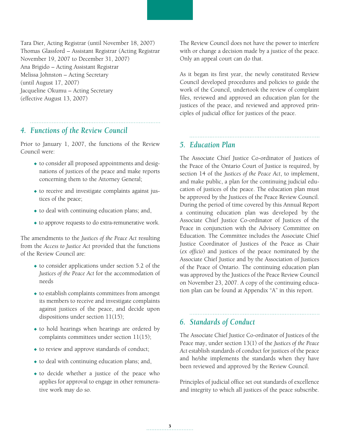Tara Dier, Acting Registrar (until November 18, 2007) Thomas Glassford – Assistant Registrar (Acting Registrar November 19, 2007 to December 31, 2007) Ana Brigido – Acting Assistant Registrar Melissa Johnston – Acting Secretary (until August 17, 2007) Jacqueline Okumu – Acting Secretary (effective August 13, 2007)

## *4. Functions of the Review Council*

Prior to January 1, 2007, the functions of the Review Council were:

- $\bullet$  to consider all proposed appointments and designations of justices of the peace and make reports concerning them to the Attorney General;
- $\bullet$  to receive and investigate complaints against justices of the peace;
- $\bullet$  to deal with continuing education plans; and,
- $\bullet$  to approve requests to do extra-remunerative work.

The amendments to the *Justices of the Peace Act* resulting from the *Access to Justice Act* provided that the functions of the Review Council are:

- $\bullet$  to consider applications under section 5.2 of the *Justices of the Peace Act* for the accommodation of needs
- $\bullet$  to establish complaints committees from amongst its members to receive and investigate complaints against justices of the peace, and decide upon dispositions under section 11(15);
- $\bullet$  to hold hearings when hearings are ordered by complaints committees under section 11(15);
- $\bullet$  to review and approve standards of conduct;
- $\bullet$  to deal with continuing education plans; and,
- $\bullet$  to decide whether a justice of the peace who applies for approval to engage in other remunerative work may do so.

The Review Council does not have the power to interfere with or change a decision made by a justice of the peace. Only an appeal court can do that.

As it began its first year, the newly constituted Review Council developed procedures and policies to guide the work of the Council, undertook the review of complaint files, reviewed and approved an education plan for the justices of the peace, and reviewed and approved principles of judicial office for justices of the peace.

*5. Education Plan*

The Associate Chief Justice Co-ordinator of Justices of the Peace of the Ontario Court of Justice is required, by section 14 of the *Justices of the Peace Act*, to implement, and make public, a plan for the continuing judicial education of justices of the peace. The education plan must be approved by the Justices of the Peace Review Council. During the period of time covered by this Annual Report a continuing education plan was developed by the Associate Chief Justice Co-ordinator of Justices of the Peace in conjunction with the Advisory Committee on Education. The Committee includes the Associate Chief Justice Coordinator of Justices of the Peace as Chair (*ex officio*) and justices of the peace nominated by the Associate Chief Justice and by the Association of Justices of the Peace of Ontario. The continuing education plan was approved by the Justices of the Peace Review Council on November 23, 2007. A copy of the continuing education plan can be found at Appendix "A" in this report.

## *6. Standards of Conduct*

The Associate Chief Justice Co-ordinator of Justices of the Peace may, under section 13(1) of the *Justices of the Peace Act* establish standards of conduct for justices of the peace and he/she implements the standards when they have been reviewed and approved by the Review Council.

Principles of judicial office set out standards of excellence and integrity to which all justices of the peace subscribe.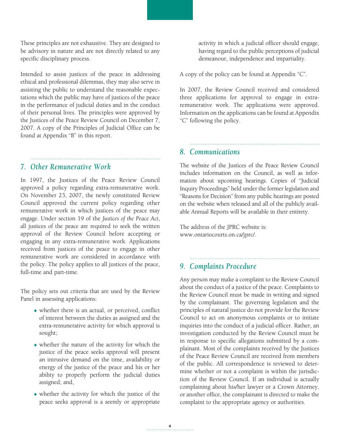These principles are not exhaustive. They are designed to be advisory in nature and are not directly related to any specific disciplinary process.

Intended to assist justices of the peace in addressing ethical and professional dilemmas, they may also serve in assisting the public to understand the reasonable expectations which the public may have of justices of the peace in the performance of judicial duties and in the conduct of their personal lives. The principles were approved by the Justices of the Peace Review Council on December 7, 2007. A copy of the Principles of Judicial Office can be found at Appendix "B" in this report.

#### *7. Other Remunerative Work*

In 1997, the Justices of the Peace Review Council approved a policy regarding extra-remunerative work. On November 23, 2007, the newly constituted Review Council approved the current policy regarding other remunerative work in which justices of the peace may engage. Under section 19 of the *Justices of the Peace Act*, all justices of the peace are required to seek the written approval of the Review Council before accepting or engaging in any extra-remunerative work. Applications received from justices of the peace to engage in other remunerative work are considered in accordance with the policy. The policy applies to all justices of the peace, full-time and part-time.

The policy sets out criteria that are used by the Review Panel in assessing applications:

- $\bullet$  whether there is an actual, or perceived, conflict of interest between the duties as assigned and the extra-remunerative activity for which approval is sought;
- $\bullet$  whether the nature of the activity for which the justice of the peace seeks approval will present an intrusive demand on the time, availability or energy of the justice of the peace and his or her ability to properly perform the judicial duties assigned; and,
- $\bullet$  whether the activity for which the justice of the peace seeks approval is a seemly or appropriate

activity in which a judicial officer should engage, having regard to the public perceptions of judicial demeanour, independence and impartiality.

A copy of the policy can be found at Appendix "C".

In 2007, the Review Council received and considered three applications for approval to engage in extraremunerative work. The applications were approved. Information on the applications can be found at Appendix "C" following the policy.

*8. Communications*

The website of the Justices of the Peace Review Council includes information on the Council, as well as information about upcoming hearings. Copies of "Judicial Inquiry Proceedings" held under the former legislation and "Reasons for Decision" from any public hearings are posted on the website when released and all of the publicly available Annual Reports will be available in their entirety.

The address of the JPRC website is: www.ontariocourts.on.ca/jprc/.

## *9. Complaints Procedure*

Any person may make a complaint to the Review Council about the conduct of a justice of the peace. Complaints to the Review Council must be made in writing and signed by the complainant. The governing legislation and the principles of natural justice do not provide for the Review Council to act on anonymous complaints or to initiate inquiries into the conduct of a judicial officer. Rather, an investigation conducted by the Review Council must be in response to specific allegations submitted by a complainant. Most of the complaints received by the Justices of the Peace Review Council are received from members of the public. All correspondence is reviewed to determine whether or not a complaint is within the jurisdiction of the Review Council. If an individual is actually complaining about his/her lawyer or a Crown Attorney, or another office, the complainant is directed to make the complaint to the appropriate agency or authorities.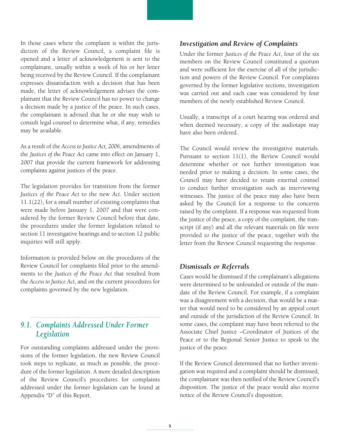In those cases where the complaint is within the jurisdiction of the Review Council, a complaint file is opened and a letter of acknowledgement is sent to the complainant, usually within a week of his or her letter being received by the Review Council. If the complainant expresses dissatisfaction with a decision that has been made, the letter of acknowledgement advises the complainant that the Review Council has no power to change a decision made by a justice of the peace. In such cases, the complainant is advised that he or she may wish to consult legal counsel to determine what, if any, remedies may be available.

As a result of the *Access to Justice Act, 2006*, amendments of the *Justices of the Peace Act* came into effect on January 1, 2007 that provide the current framework for addressing complaints against justices of the peace.

The legislation provides for transition from the former *Justices of the Peace Act* to the new *Act*. Under section 11.1(22), for a small number of existing complaints that were made before January 1, 2007 and that were considered by the former Review Council before that date, the procedures under the former legislation related to section 11 investigative hearings and to section 12 public inquiries will still apply.

Information is provided below on the procedures of the Review Council for complaints filed prior to the amendments to the *Justices of the Peace Act* that resulted from the *Access to Justice Act*, and on the current procedures for complaints governed by the new legislation.

## *9.1. Complaints Addressed Under Former Legislation*

For outstanding complaints addressed under the provisions of the former legislation, the new Review Council took steps to replicate, as much as possible, the procedure of the former legislation. A more detailed description of the Review Council's procedures for complaints addressed under the former legislation can be found at Appendix "D" of this Report.

#### *Investigation and Review of Complaints*

Under the former *Justices of the Peace Act*, four of the six members on the Review Council constituted a quorum and were sufficient for the exercise of all of the jurisdiction and powers of the Review Council. For complaints governed by the former legislative sections, investigation was carried out and each case was considered by four members of the newly established Review Council.

Usually, a transcript of a court hearing was ordered and when deemed necessary, a copy of the audiotape may have also been ordered.

The Council would review the investigative materials. Pursuant to section 11(1), the Review Council would determine whether or not further investigation was needed prior to making a decision. In some cases, the Council may have decided to retain external counsel to conduct further investigation such as interviewing witnesses. The justice of the peace may also have been asked by the Council for a response to the concerns raised by the complaint. If a response was requested from the justice of the peace, a copy of the complaint, the transcript (if any) and all the relevant materials on file were provided to the justice of the peace, together with the letter from the Review Council requesting the response.

#### *Dismissals or Referrals*

Cases would be dismissed if the complainant's allegations were determined to be unfounded or outside of the mandate of the Review Council. For example, if a complaint was a disagreement with a decision, that would be a matter that would need to be considered by an appeal court and outside of the jurisdiction of the Review Council. In some cases, the complaint may have been referred to the Associate Chief Justice –Coordinator of Justices of the Peace or to the Regional Senior Justice to speak to the justice of the peace.

If the Review Council determined that no further investigation was required and a complaint should be dismissed, the complainant was then notified of the Review Council's disposition. The justice of the peace would also receive notice of the Review Council's disposition.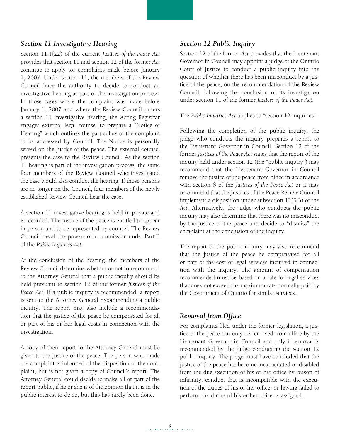#### *Section 11 Investigative Hearing*

Section 11.1(22) of the current *Justices of the Peace Act*  provides that section 11 and section 12 of the former *Act* continue to apply for complaints made before January 1, 2007. Under section 11, the members of the Review Council have the authority to decide to conduct an investigative hearing as part of the investigation process. In those cases where the complaint was made before January 1, 2007 and where the Review Council orders a section 11 investigative hearing, the Acting Registrar engages external legal counsel to prepare a "Notice of Hearing" which outlines the particulars of the complaint to be addressed by Council. The Notice is personally served on the justice of the peace. The external counsel presents the case to the Review Council. As the section 11 hearing is part of the investigation process, the same four members of the Review Council who investigated the case would also conduct the hearing. If those persons are no longer on the Council, four members of the newly established Review Council hear the case.

A section 11 investigative hearing is held in private and is recorded. The justice of the peace is entitled to appear in person and to be represented by counsel. The Review Council has all the powers of a commission under Part II of the *Public Inquiries Act*.

At the conclusion of the hearing, the members of the Review Council determine whether or not to recommend to the Attorney General that a public inquiry should be held pursuant to section 12 of the former *Justices of the Peace Act*. If a public inquiry is recommended, a report is sent to the Attorney General recommending a public inquiry. The report may also include a recommendation that the justice of the peace be compensated for all or part of his or her legal costs in connection with the investigation.

A copy of their report to the Attorney General must be given to the justice of the peace. The person who made the complaint is informed of the disposition of the complaint, but is not given a copy of Council's report. The Attorney General could decide to make all or part of the report public, if he or she is of the opinion that it is in the public interest to do so, but this has rarely been done.

#### *Section 12 Public Inquiry*

Section 12 of the former *Act* provides that the Lieutenant Governor in Council may appoint a judge of the Ontario Court of Justice to conduct a public inquiry into the question of whether there has been misconduct by a justice of the peace, on the recommendation of the Review Council, following the conclusion of its investigation under section 11 of the former *Justices of the Peace Act*.

The *Public Inquiries Act* applies to "section 12 inquiries".

Following the completion of the public inquiry, the judge who conducts the inquiry prepares a report to the Lieutenant Governor in Council. Section 12 of the former *Justices of the Peace Act* states that the report of the inquiry held under section 12 (the "public inquiry") may recommend that the Lieutenant Governor in Council remove the justice of the peace from office in accordance with section 8 of the *Justices of the Peace Act* or it may recommend that the Justices of the Peace Review Council implement a disposition under subsection 12(3.3) of the *Act*. Alternatively, the judge who conducts the public inquiry may also determine that there was no misconduct by the justice of the peace and decide to "dismiss" the complaint at the conclusion of the inquiry.

The report of the public inquiry may also recommend that the justice of the peace be compensated for all or part of the cost of legal services incurred in connection with the inquiry. The amount of compensation recommended must be based on a rate for legal services that does not exceed the maximum rate normally paid by the Government of Ontario for similar services.

#### *Removal from Office*

For complaints filed under the former legislation, a justice of the peace can only be removed from office by the Lieutenant Governor in Council and only if removal is recommended by the judge conducting the section 12 public inquiry. The judge must have concluded that the justice of the peace has become incapacitated or disabled from the due execution of his or her office by reason of infirmity, conduct that is incompatible with the execution of the duties of his or her office, or having failed to perform the duties of his or her office as assigned.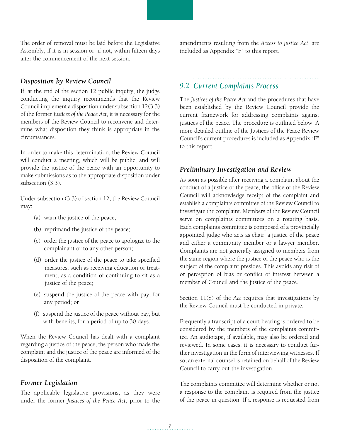The order of removal must be laid before the Legislative Assembly, if it is in session or, if not, within fifteen days after the commencement of the next session.

#### *Disposition by Review Council*

If, at the end of the section 12 public inquiry, the judge conducting the inquiry recommends that the Review Council implement a disposition under subsection 12(3.3) of the former *Justices of the Peace Act*, it is necessary for the members of the Review Council to reconvene and determine what disposition they think is appropriate in the circumstances.

In order to make this determination, the Review Council will conduct a meeting, which will be public, and will provide the justice of the peace with an opportunity to make submissions as to the appropriate disposition under subsection (3.3).

Under subsection (3.3) of section 12, the Review Council may:

- (a) warn the justice of the peace;
- (b) reprimand the justice of the peace;
- (c) order the justice of the peace to apologize to the complainant or to any other person;
- (d) order the justice of the peace to take specified measures, such as receiving education or treatment, as a condition of continuing to sit as a justice of the peace;
- (e) suspend the justice of the peace with pay, for any period; or
- (f) suspend the justice of the peace without pay, but with benefits, for a period of up to 30 days.

When the Review Council has dealt with a complaint regarding a justice of the peace, the person who made the complaint and the justice of the peace are informed of the disposition of the complaint.

#### *Former Legislation*

The applicable legislative provisions, as they were under the former *Justices of the Peace Act*, prior to the amendments resulting from the *Access to Justice Act*, are included as Appendix "F" to this report.

## *9.2 Current Complaints Process*

The *Justices of the Peace Act* and the procedures that have been established by the Review Council provide the current framework for addressing complaints against justices of the peace. The procedure is outlined below. A more detailed outline of the Justices of the Peace Review Council's current procedures is included as Appendix "E" to this report.

#### *Preliminary Investigation and Review*

As soon as possible after receiving a complaint about the conduct of a justice of the peace, the office of the Review Council will acknowledge receipt of the complaint and establish a complaints committee of the Review Council to investigate the complaint. Members of the Review Council serve on complaints committees on a rotating basis. Each complaints committee is composed of a provincially appointed judge who acts as chair, a justice of the peace and either a community member or a lawyer member. Complaints are not generally assigned to members from the same region where the justice of the peace who is the subject of the complaint presides. This avoids any risk of or perception of bias or conflict of interest between a member of Council and the justice of the peace.

Section 11(8) of the *Act* requires that investigations by the Review Council must be conducted in private.

Frequently a transcript of a court hearing is ordered to be considered by the members of the complaints committee. An audiotape, if available, may also be ordered and reviewed. In some cases, it is necessary to conduct further investigation in the form of interviewing witnesses. If so, an external counsel is retained on behalf of the Review Council to carry out the investigation.

The complaints committee will determine whether or not a response to the complaint is required from the justice of the peace in question. If a response is requested from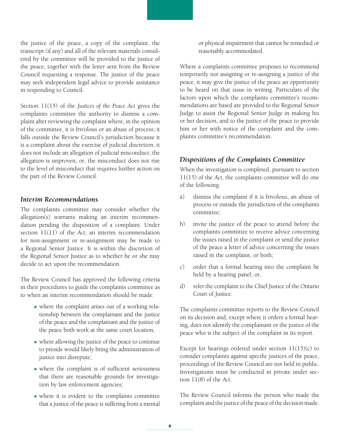the justice of the peace, a copy of the complaint, the transcript (if any) and all of the relevant materials considered by the committee will be provided to the justice of the peace, together with the letter sent from the Review Council requesting a response. The justice of the peace may seek independent legal advice to provide assistance in responding to Council.

Section 11(15) of the *Justices of the Peace Act* gives the complaints committee the authority to dismiss a complaint after reviewing the complaint where, in the opinion of the committee, it is frivolous or an abuse of process; it falls outside the Review Council's jurisdiction because it is a complaint about the exercise of judicial discretion; it does not include an allegation of judicial misconduct; the allegation is unproven; or, the misconduct does not rise to the level of misconduct that requires further action on the part of the Review Council.

#### *Interim Recommendations*

The complaints committee may consider whether the allegation(s) warrants making an interim recommendation pending the disposition of a complaint. Under section 11(11) of the *Act*, an interim recommendation for non-assignment or re-assignment may be made to a Regional Senior Justice. It is within the discretion of the Regional Senior Justice as to whether he or she may decide to act upon the recommendation.

The Review Council has approved the following criteria in their procedures to guide the complaints committee as to when an interim recommendation should be made:

- $\bullet$  where the complaint arises out of a working relationship between the complainant and the justice of the peace and the complainant and the justice of the peace both work at the same court location;
- $\bullet$  where allowing the justice of the peace to continue to preside would likely bring the administration of justice into disrepute;
- $\bullet$  where the complaint is of sufficient seriousness that there are reasonable grounds for investigation by law enforcement agencies;
- $\bullet$  where it is evident to the complaints committee that a justice of the peace is suffering from a mental

or physical impairment that cannot be remedied or reasonably accommodated.

Where a complaints committee proposes to recommend temporarily not assigning or re-assigning a justice of the peace, it may give the justice of the peace an opportunity to be heard on that issue in writing. Particulars of the factors upon which the complaints committee's recommendations are based are provided to the Regional Senior Judge to assist the Regional Senior Judge in making his or her decision, and to the justice of the peace to provide him or her with notice of the complaint and the complaints committee's recommendation.

## *Dispositions of the Complaints Committee*

When the investigation is completed, pursuant to section 11(15) of the *Act*, the complaints committee will do one of the following:

- a) dismiss the complaint if it is frivolous, an abuse of process or outside the jurisdiction of the complaints committee;
- b) invite the justice of the peace to attend before the complaints committee to receive advice concerning the issues raised in the complaint or send the justice of the peace a letter of advice concerning the issues raised in the complaint, or both;
- c) order that a formal hearing into the complaint be held by a hearing panel; or,
- d) refer the complaint to the Chief Justice of the Ontario Court of Justice.

The complaints committee reports to the Review Council on its decision and, except where it orders a formal hearing, does not identify the complainant or the justice of the peace who is the subject of the complaint in its report.

Except for hearings ordered under section  $11(15)(c)$  to consider complaints against specific justices of the peace, proceedings of the Review Council are not held in public. Investigations must be conducted in private under section 11(8) of the *Act*.

The Review Council informs the person who made the complaint and the justice of the peace of the decision made.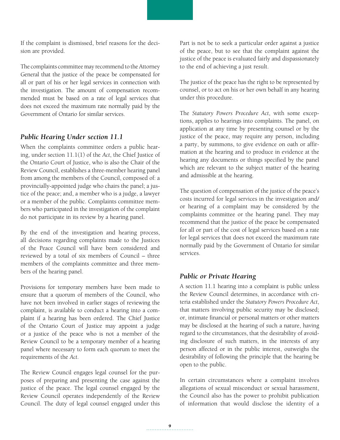If the complaint is dismissed, brief reasons for the decision are provided.

The complaints committee may recommend to the Attorney General that the justice of the peace be compensated for all or part of his or her legal services in connection with the investigation. The amount of compensation recommended must be based on a rate of legal services that does not exceed the maximum rate normally paid by the Government of Ontario for similar services.

#### *Public Hearing Under section 11.1*

When the complaints committee orders a public hearing, under section 11.1(1) of the *Act*, the Chief Justice of the Ontario Court of Justice, who is also the Chair of the Review Council, establishes a three-member hearing panel from among the members of the Council, composed of: a provincially-appointed judge who chairs the panel; a justice of the peace; and, a member who is a judge, a lawyer or a member of the public. Complaints committee members who participated in the investigation of the complaint do not participate in its review by a hearing panel.

By the end of the investigation and hearing process, all decisions regarding complaints made to the Justices of the Peace Council will have been considered and reviewed by a total of six members of Council – three members of the complaints committee and three members of the hearing panel.

Provisions for temporary members have been made to ensure that a quorum of members of the Council, who have not been involved in earlier stages of reviewing the complaint, is available to conduct a hearing into a complaint if a hearing has been ordered. The Chief Justice of the Ontario Court of Justice may appoint a judge or a justice of the peace who is not a member of the Review Council to be a temporary member of a hearing panel where necessary to form each quorum to meet the requirements of the *Act*.

The Review Council engages legal counsel for the purposes of preparing and presenting the case against the justice of the peace. The legal counsel engaged by the Review Council operates independently of the Review Council. The duty of legal counsel engaged under this Part is not be to seek a particular order against a justice of the peace, but to see that the complaint against the justice of the peace is evaluated fairly and dispassionately to the end of achieving a just result.

The justice of the peace has the right to be represented by counsel, or to act on his or her own behalf in any hearing under this procedure.

The *Statutory Powers Procedure Act*, with some exceptions, applies to hearings into complaints. The panel, on application at any time by presenting counsel or by the justice of the peace, may require any person, including a party, by summons, to give evidence on oath or affirmation at the hearing and to produce in evidence at the hearing any documents or things specified by the panel which are relevant to the subject matter of the hearing and admissible at the hearing.

The question of compensation of the justice of the peace's costs incurred for legal services in the investigation and/ or hearing of a complaint may be considered by the complaints committee or the hearing panel. They may recommend that the justice of the peace be compensated for all or part of the cost of legal services based on a rate for legal services that does not exceed the maximum rate normally paid by the Government of Ontario for similar services.

### *Public or Private Hearing*

A section 11.1 hearing into a complaint is public unless the Review Council determines, in accordance with criteria established under the *Statutory Powers Procedure Act*, that matters involving public security may be disclosed; or, intimate financial or personal matters or other matters may be disclosed at the hearing of such a nature, having regard to the circumstances, that the desirability of avoiding disclosure of such matters, in the interests of any person affected or in the public interest, outweighs the desirability of following the principle that the hearing be open to the public.

In certain circumstances where a complaint involves allegations of sexual misconduct or sexual harassment, the Council also has the power to prohibit publication of information that would disclose the identity of a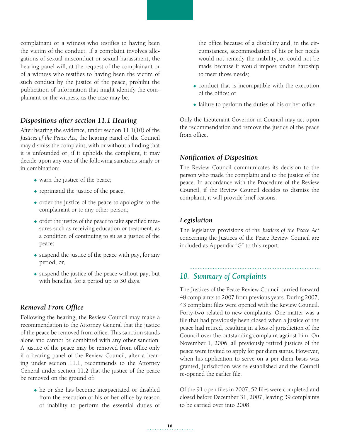complainant or a witness who testifies to having been the victim of the conduct. If a complaint involves allegations of sexual misconduct or sexual harassment, the hearing panel will, at the request of the complainant or of a witness who testifies to having been the victim of such conduct by the justice of the peace, prohibit the publication of information that might identify the complainant or the witness, as the case may be.

#### *Dispositions after section 11.1 Hearing*

After hearing the evidence, under section 11.1(10) of the *Justices of the Peace Act*, the hearing panel of the Council may dismiss the complaint, with or without a finding that it is unfounded or, if it upholds the complaint, it may decide upon any one of the following sanctions singly or in combination:

- $\bullet$  warn the justice of the peace;
- $\bullet$  reprimand the justice of the peace;
- $\bullet$  order the justice of the peace to apologize to the complainant or to any other person;
- $\bullet$  order the justice of the peace to take specified measures such as receiving education or treatment, as a condition of continuing to sit as a justice of the peace;
- $\bullet$  suspend the justice of the peace with pay, for any period; or,
- $\bullet$  suspend the justice of the peace without pay, but with benefits, for a period up to 30 days.

#### *Removal From Office*

Following the hearing, the Review Council may make a recommendation to the Attorney General that the justice of the peace be removed from office. This sanction stands alone and cannot be combined with any other sanction. A justice of the peace may be removed from office only if a hearing panel of the Review Council, after a hearing under section 11.1, recommends to the Attorney General under section 11.2 that the justice of the peace be removed on the ground of:

 $\bullet$  he or she has become incapacitated or disabled from the execution of his or her office by reason of inability to perform the essential duties of the office because of a disability and, in the circumstances, accommodation of his or her needs would not remedy the inability, or could not be made because it would impose undue hardship to meet those needs;

- $\bullet$  conduct that is incompatible with the execution of the office; or
- $\bullet$  failure to perform the duties of his or her office.

Only the Lieutenant Governor in Council may act upon the recommendation and remove the justice of the peace from office.

#### *Notification of Disposition*

The Review Council communicates its decision to the person who made the complaint and to the justice of the peace. In accordance with the Procedure of the Review Council, if the Review Council decides to dismiss the complaint, it will provide brief reasons.

#### *Legislation*

The legislative provisions of the *Justices of the Peace Act*  concerning the Justices of the Peace Review Council are included as Appendix "G" to this report.

## *10. Summary of Complaints*

The Justices of the Peace Review Council carried forward 48 complaints to 2007 from previous years. During 2007, 43 complaint files were opened with the Review Council. Forty-two related to new complaints. One matter was a file that had previously been closed when a justice of the peace had retired, resulting in a loss of jurisdiction of the Council over the outstanding complaint against him. On November 1, 2006, all previously retired justices of the peace were invited to apply for per diem status. However, when his application to serve on a per diem basis was granted, jurisdiction was re-established and the Council re-opened the earlier file.

Of the 91 open files in 2007, 52 files were completed and closed before December 31, 2007, leaving 39 complaints to be carried over into 2008.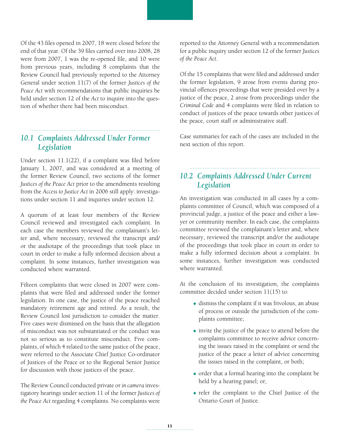Of the 43 files opened in 2007, 18 were closed before the end of that year. Of the 39 files carried over into 2008, 28 were from 2007, 1 was the re-opened file, and 10 were from previous years, including 8 complaints that the Review Council had previously reported to the Attorney General under section 11(7) of the former *Justices of the Peace Act* with recommendations that public inquiries be held under section 12 of the *Act* to inquire into the question of whether there had been misconduct.

## *10.1 Complaints Addressed Under Former Legislation*

Under section 11.1(22), if a complaint was filed before January 1, 2007, and was considered at a meeting of the former Review Council, two sections of the former *Justices of the Peace Act* prior to the amendments resulting from the *Access to Justice Act* in 2006 still apply: investigations under section 11 and inquiries under section 12.

A quorum of at least four members of the Review Council reviewed and investigated each complaint. In each case the members reviewed the complainant's letter and, where necessary, reviewed the transcript and/ or the audiotape of the proceedings that took place in court in order to make a fully informed decision about a complaint. In some instances, further investigation was conducted where warranted.

Fifteen complaints that were closed in 2007 were complaints that were filed and addressed under the former legislation. In one case, the justice of the peace reached mandatory retirement age and retired. As a result, the Review Council lost jurisdiction to consider the matter. Five cases were dismissed on the basis that the allegation of misconduct was not substantiated or the conduct was not so serious as to constitute misconduct. Five complaints, of which 4 related to the same justice of the peace, were referred to the Associate Chief Justice Co-ordinator of Justices of the Peace or to the Regional Senior Justice for discussion with those justices of the peace.

The Review Council conducted private or *in camera* investigatory hearings under section 11 of the former *Justices of the Peace Act* regarding 4 complaints. No complaints were

reported to the Attorney General with a recommendation for a public inquiry under section 12 of the former *Justices of the Peace Act*.

Of the 15 complaints that were filed and addressed under the former legislation, 9 arose from events during provincial offences proceedings that were presided over by a justice of the peace, 2 arose from proceedings under the *Criminal Code* and 4 complaints were filed in relation to conduct of justices of the peace towards other justices of the peace, court staff or administrative staff.

Case summaries for each of the cases are included in the next section of this report.

## *10.2 Complaints Addressed Under Current Legislation*

An investigation was conducted in all cases by a complaints committee of Council, which was composed of a provincial judge, a justice of the peace and either a lawyer or community member. In each case, the complaints committee reviewed the complainant's letter and, where necessary, reviewed the transcript and/or the audiotape of the proceedings that took place in court in order to make a fully informed decision about a complaint. In some instances, further investigation was conducted where warranted.

At the conclusion of its investigation, the complaints committee decided under section 11(15) to:

- $\bullet$  dismiss the complaint if it was frivolous, an abuse of process or outside the jurisdiction of the complaints committee;
- $\bullet$  invite the justice of the peace to attend before the complaints committee to receive advice concerning the issues raised in the complaint or send the justice of the peace a letter of advice concerning the issues raised in the complaint, or both;
- $\bullet$  order that a formal hearing into the complaint be held by a hearing panel; or,
- $\bullet$  refer the complaint to the Chief Justice of the Ontario Court of Justice.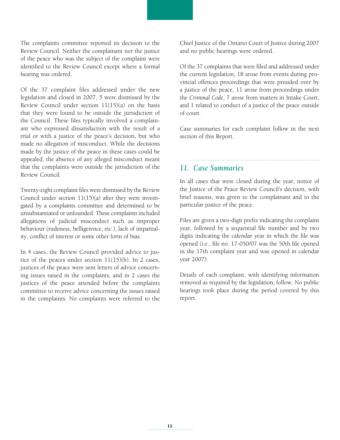The complaints committee reported its decision to the Review Council. Neither the complainant nor the justice of the peace who was the subject of the complaint were identified to the Review Council except where a formal hearing was ordered.

Of the 37 complaint files addressed under the new legislation and closed in 2007, 5 were dismissed by the Review Council under section 11(15)(a) on the basis that they were found to be outside the jurisdiction of the Council. These files typically involved a complainant who expressed dissatisfaction with the result of a trial or with a justice of the peace's decision, but who made no allegation of misconduct. While the decisions made by the justice of the peace in these cases could be appealed, the absence of any alleged misconduct meant that the complaints were outside the jurisdiction of the Review Council.

Twenty-eight complaint files were dismissed by the Review Council under section  $11(15)(a)$  after they were investigated by a complaints committee and determined to be unsubstantiated or unfounded. These complaints included allegations of judicial misconduct such as improper behaviour (rudeness, belligerence, etc.), lack of impartiality, conflict of interest or some other form of bias.

In 4 cases, the Review Council provided advice to justice of the peaces under section  $11(15)(b)$ . In 2 cases, justices of the peace were sent letters of advice concerning issues raised in the complaints, and in 2 cases the justices of the peace attended before the complaints committee to receive advice concerning the issues raised in the complaints. No complaints were referred to the Chief Justice of the Ontario Court of Justice during 2007 and no public hearings were ordered.

Of the 37 complaints that were filed and addressed under the current legislation, 18 arose from events during provincial offences proceedings that were presided over by a justice of the peace, 11 arose from proceedings under the *Criminal Code*, 7 arose from matters in Intake Court, and 1 related to conduct of a justice of the peace outside of court.

Case summaries for each complaint follow in the next section of this Report.

## *11. Case Summaries*

In all cases that were closed during the year, notice of the Justice of the Peace Review Council's decision, with brief reasons, was given to the complainant and to the particular justice of the peace.

Files are given a two-digit prefix indicating the complaint year, followed by a sequential file number and by two digits indicating the calendar year in which the file was opened (i.e., file no. 17-050/07 was the 50th file opened in the 17th complaint year and was opened in calendar year 2007).

Details of each complaint, with identifying information removed as required by the legislation, follow. No public hearings took place during the period covered by this report.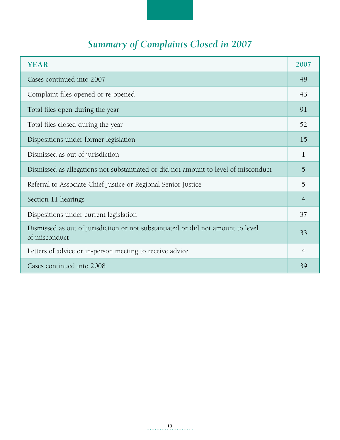## *Summary of Complaints Closed in 2007*

| <b>YEAR</b>                                                                                       | 2007           |
|---------------------------------------------------------------------------------------------------|----------------|
| Cases continued into 2007                                                                         | 48             |
| Complaint files opened or re-opened                                                               | 43             |
| Total files open during the year                                                                  | 91             |
| Total files closed during the year                                                                | 52             |
| Dispositions under former legislation                                                             | 15             |
| Dismissed as out of jurisdiction                                                                  | $\mathbf{1}$   |
| Dismissed as allegations not substantiated or did not amount to level of misconduct               | 5              |
| Referral to Associate Chief Justice or Regional Senior Justice                                    | 5              |
| Section 11 hearings                                                                               | $\overline{4}$ |
| Dispositions under current legislation                                                            | 37             |
| Dismissed as out of jurisdiction or not substantiated or did not amount to level<br>of misconduct |                |
| Letters of advice or in-person meeting to receive advice                                          | $\overline{4}$ |
| Cases continued into 2008                                                                         | 39             |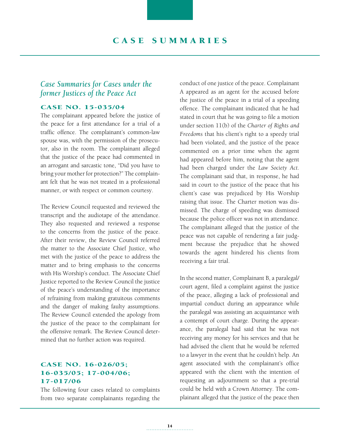## *Case Summaries for Cases under the former Justices of the Peace Act*

#### Case No. 15-035/04

The complainant appeared before the justice of the peace for a first attendance for a trial of a traffic offence. The complainant's common-law spouse was, with the permission of the prosecutor, also in the room. The complainant alleged that the justice of the peace had commented in an arrogant and sarcastic tone, "Did you have to bring your mother for protection?" The complainant felt that he was not treated in a professional manner, or with respect or common courtesy.

The Review Council requested and reviewed the transcript and the audiotape of the attendance. They also requested and reviewed a response to the concerns from the justice of the peace. After their review, the Review Council referred the matter to the Associate Chief Justice, who met with the justice of the peace to address the matter and to bring emphasis to the concerns with His Worship's conduct. The Associate Chief Justice reported to the Review Council the justice of the peace's understanding of the importance of refraining from making gratuitous comments and the danger of making faulty assumptions. The Review Council extended the apology from the justice of the peace to the complainant for the offensive remark. The Review Council determined that no further action was required.

#### CASE NO. 16-026/05; 16-035/05; 17-004/06; 17-017/06

The following four cases related to complaints from two separate complainants regarding the conduct of one justice of the peace. Complainant A appeared as an agent for the accused before the justice of the peace in a trial of a speeding offence. The complainant indicated that he had stated in court that he was going to file a motion under section 11(b) of the *Charter of Rights and Freedoms* that his client's right to a speedy trial had been violated, and the justice of the peace commented on a prior time when the agent had appeared before him, noting that the agent had been charged under the *Law Society Act*. The complainant said that, in response, he had said in court to the justice of the peace that his client's case was prejudiced by His Worship raising that issue. The Charter motion was dismissed. The charge of speeding was dismissed because the police officer was not in attendance. The complainant alleged that the justice of the peace was not capable of rendering a fair judgment because the prejudice that he showed towards the agent hindered his clients from receiving a fair trial.

In the second matter, Complainant B, a paralegal/ court agent, filed a complaint against the justice of the peace, alleging a lack of professional and impartial conduct during an appearance while the paralegal was assisting an acquaintance with a contempt of court charge. During the appearance, the paralegal had said that he was not receiving any money for his services and that he had advised the client that he would be referred to a lawyer in the event that he couldn't help. An agent associated with the complainant's office appeared with the client with the intention of requesting an adjournment so that a pre-trial could be held with a Crown Attorney. The complainant alleged that the justice of the peace then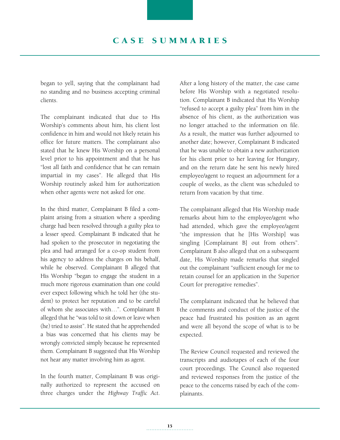began to yell, saying that the complainant had no standing and no business accepting criminal clients.

The complainant indicated that due to His Worship's comments about him, his client lost confidence in him and would not likely retain his office for future matters. The complainant also stated that he knew His Worship on a personal level prior to his appointment and that he has "lost all faith and confidence that he can remain impartial in my cases". He alleged that His Worship routinely asked him for authorization when other agents were not asked for one.

In the third matter, Complainant B filed a complaint arising from a situation where a speeding charge had been resolved through a guilty plea to a lesser speed. Complainant B indicated that he had spoken to the prosecutor in negotiating the plea and had arranged for a co-op student from his agency to address the charges on his behalf, while he observed. Complainant B alleged that His Worship "began to engage the student in a much more rigorous examination than one could ever expect following which he told her (the student) to protect her reputation and to be careful of whom she associates with…". Complainant B alleged that he "was told to sit down or leave when (he) tried to assist". He stated that he apprehended a bias was concerned that his clients may be wrongly convicted simply because he represented them. Complainant B suggested that His Worship not hear any matter involving him as agent.

In the fourth matter, Complainant B was originally authorized to represent the accused on three charges under the *Highway Traffic Act*.

After a long history of the matter, the case came before His Worship with a negotiated resolution. Complainant B indicated that His Worship "refused to accept a guilty plea" from him in the absence of his client, as the authorization was no longer attached to the information on file. As a result, the matter was further adjourned to another date; however, Complainant B indicated that he was unable to obtain a new authorization for his client prior to her leaving for Hungary, and on the return date he sent his newly hired employee/agent to request an adjournment for a couple of weeks, as the client was scheduled to return from vacation by that time.

The complainant alleged that His Worship made remarks about him to the employee/agent who had attended, which gave the employee/agent "the impression that he [His Worship] was singling [Complainant B] out from others". Complainant B also alleged that on a subsequent date, His Worship made remarks that singled out the complainant "sufficient enough for me to retain counsel for an application in the Superior Court for prerogative remedies".

The complainant indicated that he believed that the comments and conduct of the justice of the peace had frustrated his position as an agent and were all beyond the scope of what is to be expected.

The Review Council requested and reviewed the transcripts and audiotapes of each of the four court proceedings. The Council also requested and reviewed responses from the justice of the peace to the concerns raised by each of the complainants.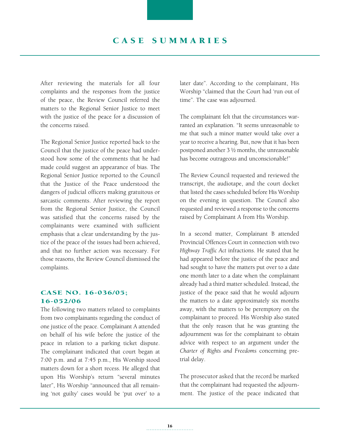After reviewing the materials for all four complaints and the responses from the justice of the peace, the Review Council referred the matters to the Regional Senior Justice to meet with the justice of the peace for a discussion of the concerns raised.

The Regional Senior Justice reported back to the Council that the justice of the peace had understood how some of the comments that he had made could suggest an appearance of bias. The Regional Senior Justice reported to the Council that the Justice of the Peace understood the dangers of judicial officers making gratuitous or sarcastic comments. After reviewing the report from the Regional Senior Justice, the Council was satisfied that the concerns raised by the complainants were examined with sufficient emphasis that a clear understanding by the justice of the peace of the issues had been achieved, and that no further action was necessary. For those reasons, the Review Council dismissed the complaints.

#### CASE NO. 16-036/05; 16-052/06

The following two matters related to complaints from two complainants regarding the conduct of one justice of the peace. Complainant A attended on behalf of his wife before the justice of the peace in relation to a parking ticket dispute. The complainant indicated that court began at 7:00 p.m. and at 7:45 p.m., His Worship stood matters down for a short recess. He alleged that upon His Worship's return "several minutes later", His Worship "announced that all remaining 'not guilty' cases would be 'put over' to a later date". According to the complainant, His Worship "claimed that the Court had 'run out of time". The case was adjourned.

The complainant felt that the circumstances warranted an explanation. "It seems unreasonable to me that such a minor matter would take over a year to receive a hearing. But, now that it has been postponed another 3 ½ months, the unreasonable has become outrageous and unconscionable!"

The Review Council requested and reviewed the transcript, the audiotape, and the court docket that listed the cases scheduled before His Worship on the evening in question. The Council also requested and reviewed a response to the concerns raised by Complainant A from His Worship.

In a second matter, Complainant B attended Provincial Offences Court in connection with two *Highway Traffic Act* infractions. He stated that he had appeared before the justice of the peace and had sought to have the matters put over to a date one month later to a date when the complainant already had a third matter scheduled. Instead, the justice of the peace said that he would adjourn the matters to a date approximately six months away, with the matters to be peremptory on the complainant to proceed. His Worship also stated that the only reason that he was granting the adjournment was for the complainant to obtain advice with respect to an argument under the *Charter of Rights and Freedoms* concerning pretrial delay.

The prosecutor asked that the record be marked that the complainant had requested the adjournment. The justice of the peace indicated that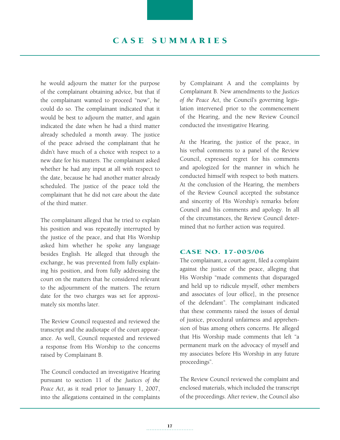## C A S E S UMMA RI E S

he would adjourn the matter for the purpose of the complainant obtaining advice, but that if the complainant wanted to proceed "now", he could do so. The complainant indicated that it would be best to adjourn the matter, and again indicated the date when he had a third matter already scheduled a month away. The justice of the peace advised the complainant that he didn't have much of a choice with respect to a new date for his matters. The complainant asked whether he had any input at all with respect to the date, because he had another matter already scheduled. The justice of the peace told the complainant that he did not care about the date of the third matter.

The complainant alleged that he tried to explain his position and was repeatedly interrupted by the justice of the peace, and that His Worship asked him whether he spoke any language besides English. He alleged that through the exchange, he was prevented from fully explaining his position, and from fully addressing the court on the matters that he considered relevant to the adjournment of the matters. The return date for the two charges was set for approximately six months later.

The Review Council requested and reviewed the transcript and the audiotape of the court appearance. As well, Council requested and reviewed a response from His Worship to the concerns raised by Complainant B.

The Council conducted an investigative Hearing pursuant to section 11 of the *Justices of the Peace Act*, as it read prior to January 1, 2007, into the allegations contained in the complaints

by Complainant A and the complaints by Complainant B. New amendments to the *Justices of the Peace Act*, the Council's governing legislation intervened prior to the commencement of the Hearing, and the new Review Council conducted the investigative Hearing.

At the Hearing, the justice of the peace, in his verbal comments to a panel of the Review Council, expressed regret for his comments and apologized for the manner in which he conducted himself with respect to both matters. At the conclusion of the Hearing, the members of the Review Council accepted the substance and sincerity of His Worship's remarks before Council and his comments and apology. In all of the circumstances, the Review Council determined that no further action was required.

#### Case No. 17-005/06

The complainant, a court agent, filed a complaint against the justice of the peace, alleging that His Worship "made comments that disparaged and held up to ridicule myself, other members and associates of [our office], in the presence of the defendant". The complainant indicated that these comments raised the issues of denial of justice, procedural unfairness and apprehension of bias among others concerns. He alleged that His Worship made comments that left "a permanent mark on the advocacy of myself and my associates before His Worship in any future proceedings".

The Review Council reviewed the complaint and enclosed materials, which included the transcript of the proceedings. After review, the Council also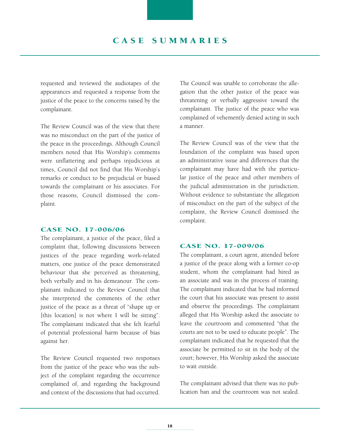## CASE SUMMARIES

requested and reviewed the audiotapes of the appearances and requested a response from the justice of the peace to the concerns raised by the complainant.

The Review Council was of the view that there was no misconduct on the part of the justice of the peace in the proceedings. Although Council members noted that His Worship's comments were unflattering and perhaps injudicious at times, Council did not find that His Worship's remarks or conduct to be prejudicial or biased towards the complainant or his associates. For those reasons, Council dismissed the complaint.

#### Case No. 17-006/06

The complainant, a justice of the peace, filed a complaint that, following discussions between justices of the peace regarding work-related matters, one justice of the peace demonstrated behaviour that she perceived as threatening, both verbally and in his demeanour. The complainant indicated to the Review Council that she interpreted the comments of the other justice of the peace as a threat of "shape up or [this location] is not where I will be sitting". The complainant indicated that she felt fearful of potential professional harm because of bias against her.

The Review Council requested two responses from the justice of the peace who was the subject of the complaint regarding the occurrence complained of, and regarding the background and context of the discussions that had occurred. The Council was unable to corroborate the allegation that the other justice of the peace was threatening or verbally aggressive toward the complainant. The justice of the peace who was complained of vehemently denied acting in such a manner.

The Review Council was of the view that the foundation of the complaint was based upon an administrative issue and differences that the complainant may have had with the particular justice of the peace and other members of the judicial administration in the jurisdiction. Without evidence to substantiate the allegation of misconduct on the part of the subject of the complaint, the Review Council dismissed the complaint.

#### Case No. 17-009/06

The complainant, a court agent, attended before a justice of the peace along with a former co-op student, whom the complainant had hired as an associate and was in the process of training. The complainant indicated that he had informed the court that his associate was present to assist and observe the proceedings. The complainant alleged that His Worship asked the associate to leave the courtroom and commented "that the courts are not to be used to educate people". The complainant indicated that he requested that the associate be permitted to sit in the body of the court; however, His Worship asked the associate to wait outside.

The complainant advised that there was no publication ban and the courtroom was not sealed.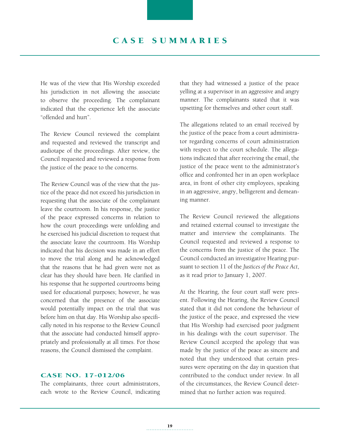He was of the view that His Worship exceeded his jurisdiction in not allowing the associate to observe the proceeding. The complainant indicated that the experience left the associate "offended and hurt".

The Review Council reviewed the complaint and requested and reviewed the transcript and audiotape of the proceedings. After review, the Council requested and reviewed a response from the justice of the peace to the concerns.

The Review Council was of the view that the justice of the peace did not exceed his jurisdiction in requesting that the associate of the complainant leave the courtroom. In his response, the justice of the peace expressed concerns in relation to how the court proceedings were unfolding and he exercised his judicial discretion to request that the associate leave the courtroom. His Worship indicated that his decision was made in an effort to move the trial along and he acknowledged that the reasons that he had given were not as clear has they should have been. He clarified in his response that he supported courtrooms being used for educational purposes; however, he was concerned that the presence of the associate would potentially impact on the trial that was before him on that day. His Worship also specifically noted in his response to the Review Council that the associate had conducted himself appropriately and professionally at all times. For those reasons, the Council dismissed the complaint.

#### Case No. 17-012/06

The complainants, three court administrators, each wrote to the Review Council, indicating that they had witnessed a justice of the peace yelling at a supervisor in an aggressive and angry manner. The complainants stated that it was upsetting for themselves and other court staff.

The allegations related to an email received by the justice of the peace from a court administrator regarding concerns of court administration with respect to the court schedule. The allegations indicated that after receiving the email, the justice of the peace went to the administrator's office and confronted her in an open workplace area, in front of other city employees, speaking in an aggressive, angry, belligerent and demeaning manner.

The Review Council reviewed the allegations and retained external counsel to investigate the matter and interview the complainants. The Council requested and reviewed a response to the concerns from the justice of the peace. The Council conducted an investigative Hearing pursuant to section 11 of the *Justices of the Peace Act*, as it read prior to January 1, 2007.

At the Hearing, the four court staff were present. Following the Hearing, the Review Council stated that it did not condone the behaviour of the justice of the peace, and expressed the view that His Worship had exercised poor judgment in his dealings with the court supervisor. The Review Council accepted the apology that was made by the justice of the peace as sincere and noted that they understood that certain pressures were operating on the day in question that contributed to the conduct under review. In all of the circumstances, the Review Council determined that no further action was required.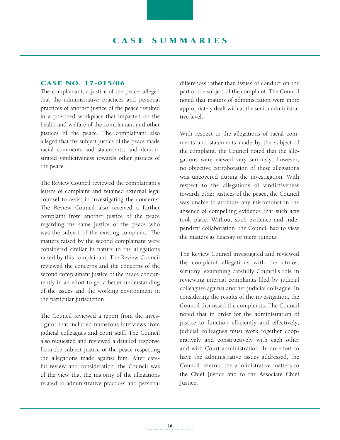#### Case No. 17-015/06

The complainant, a justice of the peace, alleged that the administrative practices and personal practices of another justice of the peace resulted in a poisoned workplace that impacted on the health and welfare of the complainant and other justices of the peace. The complainant also alleged that the subject justice of the peace made racial comments and statements, and demonstrated vindictiveness towards other justices of the peace.

The Review Council reviewed the complainant's letters of complaint and retained external legal counsel to assist in investigating the concerns. The Review Council also received a further complaint from another justice of the peace regarding the same justice of the peace who was the subject of the existing complaint. The matters raised by the second complainant were considered similar in nature to the allegations raised by this complainant. The Review Council reviewed the concerns and the concerns of the second complainant justice of the peace concurrently in an effort to get a better understanding of the issues and the working environment in the particular jurisdiction.

The Council reviewed a report from the investigator that included numerous interviews from judicial colleagues and court staff. The Council also requested and reviewed a detailed response from the subject justice of the peace respecting the allegations made against him. After careful review and consideration, the Council was of the view that the majority of the allegations related to administrative practices and personal differences rather than issues of conduct on the part of the subject of the complaint. The Council noted that matters of administration were more appropriately dealt with at the senior administrative level.

With respect to the allegations of racial comments and statements made by the subject of the complaint, the Council noted that the allegations were viewed very seriously; however, no objective corroboration of these allegations was uncovered during the investigation. With respect to the allegations of vindictiveness towards other justices of the peace, the Council was unable to attribute any misconduct in the absence of compelling evidence that such acts took place. Without such evidence and independent collaboration, the Council had to view the matters as hearsay or mere rumour.

The Review Council investigated and reviewed the complaint allegations with the utmost scrutiny, examining carefully Council's role in reviewing internal complaints filed by judicial colleagues against another judicial colleague. In considering the results of the investigation, the Council dismissed the complaints. The Council noted that in order for the administration of justice to function efficiently and effectively, judicial colleagues must work together cooperatively and constructively with each other and with Court administration. In an effort to have the administrative issues addressed, the Council referred the administrative matters to the Chief Justice and to the Associate Chief Justice.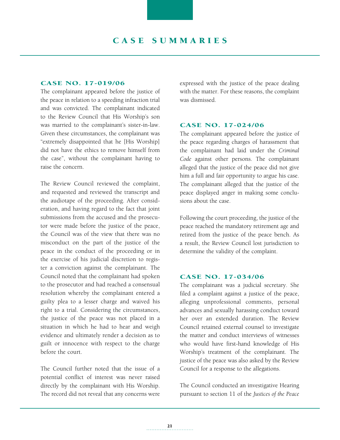#### Case No. 17-019/06

The complainant appeared before the justice of the peace in relation to a speeding infraction trial and was convicted. The complainant indicated to the Review Council that His Worship's son was married to the complainant's sister-in-law. Given these circumstances, the complainant was "extremely disappointed that he [His Worship] did not have the ethics to remove himself from the case", without the complainant having to raise the concern.

The Review Council reviewed the complaint, and requested and reviewed the transcript and the audiotape of the proceeding. After consideration, and having regard to the fact that joint submissions from the accused and the prosecutor were made before the justice of the peace, the Council was of the view that there was no misconduct on the part of the justice of the peace in the conduct of the proceeding or in the exercise of his judicial discretion to register a conviction against the complainant. The Council noted that the complainant had spoken to the prosecutor and had reached a consensual resolution whereby the complainant entered a guilty plea to a lesser charge and waived his right to a trial. Considering the circumstances, the justice of the peace was not placed in a situation in which he had to hear and weigh evidence and ultimately render a decision as to guilt or innocence with respect to the charge before the court.

The Council further noted that the issue of a potential conflict of interest was never raised directly by the complainant with His Worship. The record did not reveal that any concerns were expressed with the justice of the peace dealing with the matter. For these reasons, the complaint was dismissed.

#### Case No. 17-024/06

The complainant appeared before the justice of the peace regarding charges of harassment that the complainant had laid under the *Criminal Code* against other persons. The complainant alleged that the justice of the peace did not give him a full and fair opportunity to argue his case. The complainant alleged that the justice of the peace displayed anger in making some conclusions about the case.

Following the court proceeding, the justice of the peace reached the mandatory retirement age and retired from the justice of the peace bench. As a result, the Review Council lost jurisdiction to determine the validity of the complaint.

#### Case No. 17-034/06

The complainant was a judicial secretary. She filed a complaint against a justice of the peace, alleging unprofessional comments, personal advances and sexually harassing conduct toward her over an extended duration. The Review Council retained external counsel to investigate the matter and conduct interviews of witnesses who would have first-hand knowledge of His Worship's treatment of the complainant. The justice of the peace was also asked by the Review Council for a response to the allegations.

The Council conducted an investigative Hearing pursuant to section 11 of the *Justices of the Peace*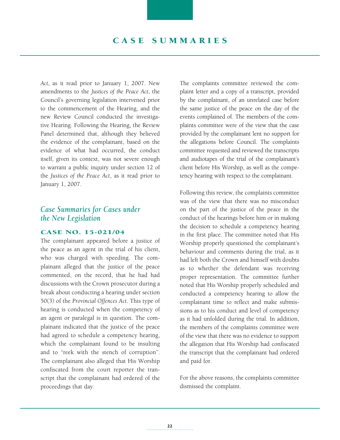## C A S E S UMMA RI E S

*Act*, as it read prior to January 1, 2007. New amendments to the *Justices of the Peace Act*, the Council's governing legislation intervened prior to the commencement of the Hearing, and the new Review Council conducted the investigative Hearing. Following the Hearing, the Review Panel determined that, although they believed the evidence of the complainant, based on the evidence of what had occurred, the conduct itself, given its context, was not severe enough to warrant a public inquiry under section 12 of the *Justices of the Peace Act*, as it read prior to January 1, 2007.

## *Case Summaries for Cases under the New Legislation*

#### Case No. 15-021/04

The complainant appeared before a justice of the peace as an agent in the trial of his client, who was charged with speeding. The complainant alleged that the justice of the peace commented, on the record, that he had had discussions with the Crown prosecutor during a break about conducting a hearing under section 50(3) of the *Provincial Offences Act*. This type of hearing is conducted when the competency of an agent or paralegal is in question. The complainant indicated that the justice of the peace had agreed to schedule a competency hearing, which the complainant found to be insulting and to "reek with the stench of corruption". The complainant also alleged that His Worship confiscated from the court reporter the transcript that the complainant had ordered of the proceedings that day.

The complaints committee reviewed the complaint letter and a copy of a transcript, provided by the complainant, of an unrelated case before the same justice of the peace on the day of the events complained of. The members of the complaints committee were of the view that the case provided by the complainant lent no support for the allegations before Council. The complaints committee requested and reviewed the transcripts and audiotapes of the trial of the complainant's client before His Worship, as well as the competency hearing with respect to the complainant.

Following this review, the complaints committee was of the view that there was no misconduct on the part of the justice of the peace in the conduct of the hearings before him or in making the decision to schedule a competency hearing in the first place. The committee noted that His Worship properly questioned the complainant's behaviour and comments during the trial, as it had left both the Crown and himself with doubts as to whether the defendant was receiving proper representation. The committee further noted that His Worship properly scheduled and conducted a competency hearing to allow the complainant time to reflect and make submissions as to his conduct and level of competency as it had unfolded during the trial. In addition, the members of the complaints committee were of the view that there was no evidence to support the allegation that His Worship had confiscated the transcript that the complainant had ordered and paid for.

For the above reasons, the complaints committee dismissed the complaint.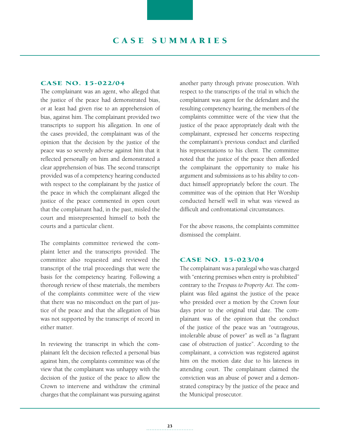#### Case No. 15-022/04

The complainant was an agent, who alleged that the justice of the peace had demonstrated bias, or at least had given rise to an apprehension of bias, against him. The complainant provided two transcripts to support his allegation. In one of the cases provided, the complainant was of the opinion that the decision by the justice of the peace was so severely adverse against him that it reflected personally on him and demonstrated a clear apprehension of bias. The second transcript provided was of a competency hearing conducted with respect to the complainant by the justice of the peace in which the complainant alleged the justice of the peace commented in open court that the complainant had, in the past, misled the court and misrepresented himself to both the courts and a particular client.

The complaints committee reviewed the complaint letter and the transcripts provided. The committee also requested and reviewed the transcript of the trial proceedings that were the basis for the competency hearing. Following a thorough review of these materials, the members of the complaints committee were of the view that there was no misconduct on the part of justice of the peace and that the allegation of bias was not supported by the transcript of record in either matter.

In reviewing the transcript in which the complainant felt the decision reflected a personal bias against him, the complaints committee was of the view that the complainant was unhappy with the decision of the justice of the peace to allow the Crown to intervene and withdraw the criminal charges that the complainant was pursuing against another party through private prosecution. With respect to the transcripts of the trial in which the complainant was agent for the defendant and the resulting competency hearing, the members of the complaints committee were of the view that the justice of the peace appropriately dealt with the complainant, expressed her concerns respecting the complainant's previous conduct and clarified his representations to his client. The committee noted that the justice of the peace then afforded the complainant the opportunity to make his argument and submissions as to his ability to conduct himself appropriately before the court. The committee was of the opinion that Her Worship conducted herself well in what was viewed as difficult and confrontational circumstances.

For the above reasons, the complaints committee dismissed the complaint.

#### Case No. 15-023/04

The complainant was a paralegal who was charged with "entering premises when entry is prohibited" contrary to the *Trespass to Property Act*. The complaint was filed against the justice of the peace who presided over a motion by the Crown four days prior to the original trial date. The complainant was of the opinion that the conduct of the justice of the peace was an "outrageous, intolerable abuse of power" as well as "a flagrant case of obstruction of justice". According to the complainant, a conviction was registered against him on the motion date due to his lateness in attending court. The complainant claimed the conviction was an abuse of power and a demonstrated conspiracy by the justice of the peace and the Municipal prosecutor.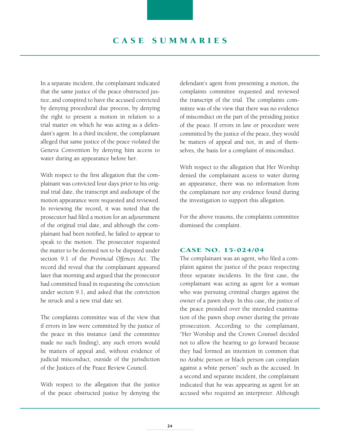In a separate incident, the complainant indicated that the same justice of the peace obstructed justice, and conspired to have the accused convicted by denying procedural due process, by denying the right to present a motion in relation to a trial matter on which he was acting as a defendant's agent. In a third incident, the complainant alleged that same justice of the peace violated the Geneva Convention by denying him access to water during an appearance before her.

With respect to the first allegation that the complainant was convicted four days prior to his original trial date, the transcript and audiotape of the motion appearance were requested and reviewed. In reviewing the record, it was noted that the prosecutor had filed a motion for an adjournment of the original trial date, and although the complainant had been notified, he failed to appear to speak to the motion. The prosecutor requested the matter to be deemed not to be disputed under section 9.1 of the *Provincial Offences Act*. The record did reveal that the complainant appeared later that morning and argued that the prosecutor had committed fraud in requesting the conviction under section 9.1, and asked that the conviction be struck and a new trial date set.

The complaints committee was of the view that if errors in law were committed by the justice of the peace in this instance (and the committee made no such finding), any such errors would be matters of appeal and, without evidence of judicial misconduct, outside of the jurisdiction of the Justices of the Peace Review Council.

With respect to the allegation that the justice of the peace obstructed justice by denying the defendant's agent from presenting a motion, the complaints committee requested and reviewed the transcript of the trial. The complaints committee was of the view that there was no evidence of misconduct on the part of the presiding justice of the peace. If errors in law or procedure were committed by the justice of the peace, they would be matters of appeal and not, in and of themselves, the basis for a complaint of misconduct.

With respect to the allegation that Her Worship denied the complainant access to water during an appearance, there was no information from the complainant nor any evidence found during the investigation to support this allegation.

For the above reasons, the complaints committee dismissed the complaint.

#### Case No. 15-024/04

The complainant was an agent, who filed a complaint against the justice of the peace respecting three separate incidents. In the first case, the complainant was acting as agent for a woman who was pursuing criminal charges against the owner of a pawn shop. In this case, the justice of the peace presided over the intended examination of the pawn shop owner during the private prosecution. According to the complainant, "Her Worship and the Crown Counsel decided not to allow the hearing to go forward because they had formed an intention in common that no Arabic person or black person can complain against a white person" such as the accused. In a second and separate incident, the complainant indicated that he was appearing as agent for an accused who required an interpreter. Although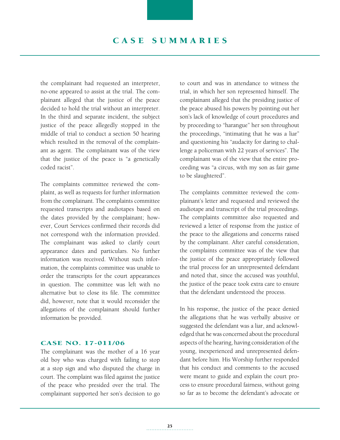## C A S E S UMMA RI E S

the complainant had requested an interpreter, no-one appeared to assist at the trial. The complainant alleged that the justice of the peace decided to hold the trial without an interpreter. In the third and separate incident, the subject justice of the peace allegedly stopped in the middle of trial to conduct a section 50 hearing which resulted in the removal of the complainant as agent. The complainant was of the view that the justice of the peace is "a genetically coded racist".

The complaints committee reviewed the complaint, as well as requests for further information from the complainant. The complaints committee requested transcripts and audiotapes based on the dates provided by the complainant; however, Court Services confirmed their records did not correspond with the information provided. The complainant was asked to clarify court appearance dates and particulars. No further information was received. Without such information, the complaints committee was unable to order the transcripts for the court appearances in question. The committee was left with no alternative but to close its file. The committee did, however, note that it would reconsider the allegations of the complainant should further information be provided.

#### Case No. 17-011/06

The complainant was the mother of a 16 year old boy who was charged with failing to stop at a stop sign and who disputed the charge in court. The complaint was filed against the justice of the peace who presided over the trial. The complainant supported her son's decision to go to court and was in attendance to witness the trial, in which her son represented himself. The complainant alleged that the presiding justice of the peace abused his powers by pointing out her son's lack of knowledge of court procedures and by proceeding to "harangue" her son throughout the proceedings, "intimating that he was a liar" and questioning his "audacity for daring to challenge a policeman with 22 years of services". The complainant was of the view that the entire proceeding was "a circus, with my son as fair game to be slaughtered".

The complaints committee reviewed the complainant's letter and requested and reviewed the audiotape and transcript of the trial proceedings. The complaints committee also requested and reviewed a letter of response from the justice of the peace to the allegations and concerns raised by the complainant. After careful consideration, the complaints committee was of the view that the justice of the peace appropriately followed the trial process for an unrepresented defendant and noted that, since the accused was youthful, the justice of the peace took extra care to ensure that the defendant understood the process.

In his response, the justice of the peace denied the allegations that he was verbally abusive or suggested the defendant was a liar, and acknowledged that he was concerned about the procedural aspects of the hearing, having consideration of the young, inexperienced and unrepresented defendant before him. His Worship further responded that his conduct and comments to the accused were meant to guide and explain the court process to ensure procedural fairness, without going so far as to become the defendant's advocate or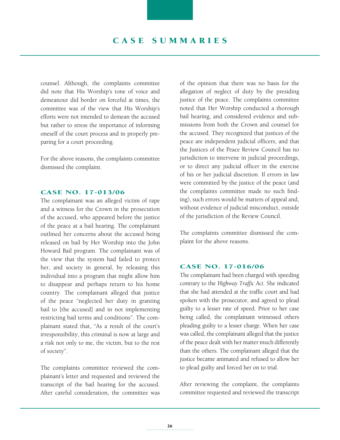## CASE SUMMARIES

counsel. Although, the complaints committee did note that His Worship's tone of voice and demeanour did border on forceful at times, the committee was of the view that His Worship's efforts were not intended to demean the accused but rather to stress the importance of informing oneself of the court process and in properly preparing for a court proceeding.

For the above reasons, the complaints committee dismissed the complaint.

#### Case No. 17-013/06

The complainant was an alleged victim of rape and a witness for the Crown in the prosecution of the accused, who appeared before the justice of the peace at a bail hearing. The complainant outlined her concerns about the accused being released on bail by Her Worship into the John Howard Bail program. The complainant was of the view that the system had failed to protect her, and society in general, by releasing this individual into a program that might allow him to disappear and perhaps return to his home country. The complainant alleged that justice of the peace "neglected her duty in granting bail to [the accused] and in not implementing restricting bail terms and conditions". The complainant stated that, "As a result of the court's irresponsibility, this criminal is now at large and a risk not only to me, the victim, but to the rest of society".

The complaints committee reviewed the complainant's letter and requested and reviewed the transcript of the bail hearing for the accused. After careful consideration, the committee was of the opinion that there was no basis for the allegation of neglect of duty by the presiding justice of the peace. The complaints committee noted that Her Worship conducted a thorough bail hearing, and considered evidence and submissions from both the Crown and counsel for the accused. They recognized that justices of the peace are independent judicial officers, and that the Justices of the Peace Review Council has no jurisdiction to intervene in judicial proceedings, or to direct any judicial officer in the exercise of his or her judicial discretion. If errors in law were committed by the justice of the peace (and the complaints committee made no such finding), such errors would be matters of appeal and, without evidence of judicial misconduct, outside of the jurisdiction of the Review Council.

The complaints committee dismissed the complaint for the above reasons.

#### Case No. 17-016/06

The complainant had been charged with speeding contrary to the *Highway Traffic Act*. She indicated that she had attended at the traffic court and had spoken with the prosecutor, and agreed to plead guilty to a lesser rate of speed. Prior to her case being called, the complainant witnessed others pleading guilty to a lesser charge. When her case was called, the complainant alleged that the justice of the peace dealt with her matter much differently than the others. The complainant alleged that the justice became animated and refused to allow her to plead guilty and forced her on to trial.

After reviewing the complaint, the complaints committee requested and reviewed the transcript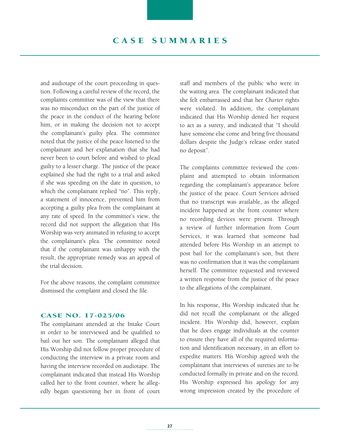and audiotape of the court proceeding in question. Following a careful review of the record, the complaints committee was of the view that there was no misconduct on the part of the justice of the peace in the conduct of the hearing before him, or in making the decision not to accept the complainant's guilty plea. The committee noted that the justice of the peace listened to the complainant and her explanation that she had never been to court before and wished to plead guilty to a lesser charge. The justice of the peace explained she had the right to a trial and asked if she was speeding on the date in question, to which the complainant replied "no". This reply, a statement of innocence, prevented him from accepting a guilty plea from the complainant at any rate of speed. In the committee's view, the record did not support the allegation that His Worship was very animated in refusing to accept the complainant's plea. The committee noted that if the complainant was unhappy with the result, the appropriate remedy was an appeal of the trial decision.

For the above reasons, the complaint committee dismissed the complaint and closed the file.

#### Case No. 17-025/06

The complainant attended at the Intake Court in order to be interviewed and be qualified to bail out her son. The complainant alleged that His Worship did not follow proper procedure of conducting the interview in a private room and having the interview recorded on audiotape. The complainant indicated that instead His Worship called her to the front counter, where he allegedly began questioning her in front of court staff and members of the public who were in the waiting area. The complainant indicated that she felt embarrassed and that her *Charter* rights were violated. In addition, the complainant indicated that His Worship denied her request to act as a surety, and indicated that "I should have someone else come and bring five thousand dollars despite the Judge's release order stated no deposit".

The complaints committee reviewed the complaint and attempted to obtain information regarding the complainant's appearance before the justice of the peace. Court Services advised that no transcript was available, as the alleged incident happened at the front counter where no recording devices were present. Through a review of further information from Court Services, it was learned that someone had attended before His Worship in an attempt to post bail for the complainant's son, but there was no confirmation that it was the complainant herself. The committee requested and reviewed a written response from the justice of the peace to the allegations of the complainant.

In his response, His Worship indicated that he did not recall the complainant or the alleged incident. His Worship did, however, explain that he does engage individuals at the counter to ensure they have all of the required information and identification necessary, in an effort to expedite matters. His Worship agreed with the complainant that interviews of sureties are to be conducted formally in private and on the record. His Worship expressed his apology for any wrong impression created by the procedure of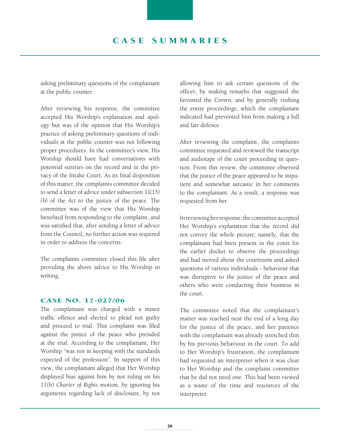asking preliminary questions of the complainant at the public counter.

After reviewing his response, the committee accepted His Worship's explanation and apology but was of the opinion that His Worship's practice of asking preliminary questions of individuals at the public counter was not following proper procedures. In the committee's view, His Worship should have had conversations with potential sureties on the record and in the privacy of the Intake Court. As its final disposition of this matter, the complaints committee decided to send a letter of advice under subsection 11(15) (b) of the *Act* to the justice of the peace. The committee was of the view that His Worship benefited from responding to the complaint, and was satisfied that, after sending a letter of advice from the Council, no further action was required in order to address the concerns.

The complaints committee closed this file after providing the above advice to His Worship in writing.

#### Case No. 17-027/06

The complainant was charged with a minor traffic offence and elected to plead not guilty and proceed to trial. This complaint was filed against the justice of the peace who presided at the trial. According to the complainant, Her Worship "was not in keeping with the standards expected of the profession". In support of this view, the complainant alleged that Her Worship displayed bias against him by not ruling on his 11(b) *Charter of Rights* motion, by ignoring his arguments regarding lack of disclosure, by not allowing him to ask certain questions of the officer, by making remarks that suggested she favoured the Crown, and by generally rushing the entire proceedings, which the complainant indicated had prevented him from making a full and fair defence.

After reviewing the complaint, the complaints committee requested and reviewed the transcript and audiotape of the court proceeding in question. From this review, the committee observed that the justice of the peace appeared to be impatient and somewhat sarcastic in her comments to the complainant. As a result, a response was requested from her.

In reviewing her response, the committee accepted Her Worship's explanation that the record did not convey the whole picture; namely, that the complainant had been present in the court for the earlier docket to observe the proceedings and had moved about the courtroom and asked questions of various individuals - behaviour that was disruptive to the justice of the peace and others who were conducting their business in the court.

The committee noted that the complainant's matter was reached near the end of a long day for the justice of the peace, and her patience with the complainant was already stretched thin by his previous behaviour in the court. To add to Her Worship's frustration, the complainant had requested an interpreter when it was clear to Her Worship and the complaint committee that he did not need one. This had been viewed as a waste of the time and resources of the interpreter.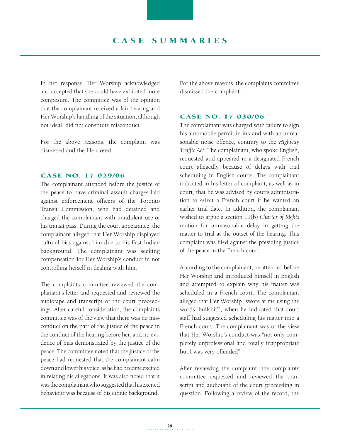In her response, Her Worship acknowledged and accepted that she could have exhibited more composure. The committee was of the opinion that the complainant received a fair hearing and Her Worship's handling of the situation, although not ideal, did not constitute misconduct.

For the above reasons, the complaint was dismissed and the file closed.

#### Case No. 17-029/06

The complainant attended before the justice of the peace to have criminal assault charges laid against enforcement officers of the Toronto Transit Commission, who had detained and charged the complainant with fraudulent use of his transit pass. During the court appearance, the complainant alleged that Her Worship displayed cultural bias against him due to his East Indian background. The complainant was seeking compensation for Her Worship's conduct in not controlling herself in dealing with him.

The complaints committee reviewed the complainant's letter and requested and reviewed the audiotape and transcript of the court proceedings. After careful consideration, the complaints committee was of the view that there was no misconduct on the part of the justice of the peace in the conduct of the hearing before her, and no evidence of bias demonstrated by the justice of the peace. The committee noted that the justice of the peace had requested that the complainant calm down and lower his voice, as he had become excited in relating his allegations. It was also noted that it was the complainant who suggested that his excited behaviour was because of his ethnic background.

For the above reasons, the complaints committee dismissed the complaint.

#### Case No. 17-030/06

The complainant was charged with failure to sign his automobile permit in ink and with an unreasonable noise offence, contrary to the *Highway Traffic Act*. The complainant, who spoke English, requested and appeared in a designated French court allegedly because of delays with trial scheduling in English courts. The complainant indicated in his letter of complaint, as well as in court, that he was advised by courts administration to select a French court if he wanted an earlier trial date. In addition, the complainant wished to argue a section 11(b) *Charter of Rights*  motion for unreasonable delay in getting the matter to trial at the outset of the hearing. This complaint was filed against the presiding justice of the peace in the French court.

According to the complainant, he attended before Her Worship and introduced himself in English and attempted to explain why his matter was scheduled in a French court. The complainant alleged that Her Worship "swore at me using the words 'bullshit'", when he indicated that court staff had suggested scheduling his matter into a French court. The complainant was of the view that Her Worship's conduct was "not only completely unprofessional and totally inappropriate but I was very offended".

After reviewing the complaint, the complaints committee requested and reviewed the transcript and audiotape of the court proceeding in question. Following a review of the record, the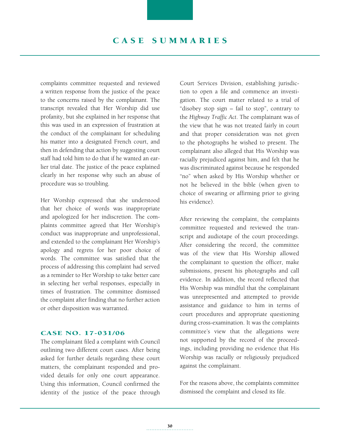# CASE SUMMARIES

complaints committee requested and reviewed a written response from the justice of the peace to the concerns raised by the complainant. The transcript revealed that Her Worship did use profanity, but she explained in her response that this was used in an expression of frustration at the conduct of the complainant for scheduling his matter into a designated French court, and then in defending that action by suggesting court staff had told him to do that if he wanted an earlier trial date. The justice of the peace explained clearly in her response why such an abuse of procedure was so troubling.

Her Worship expressed that she understood that her choice of words was inappropriate and apologized for her indiscretion. The complaints committee agreed that Her Worship's conduct was inappropriate and unprofessional, and extended to the complainant Her Worship's apology and regrets for her poor choice of words. The committee was satisfied that the process of addressing this complaint had served as a reminder to Her Worship to take better care in selecting her verbal responses, especially in times of frustration. The committee dismissed the complaint after finding that no further action or other disposition was warranted.

#### Case No. 17-031/06

The complainant filed a complaint with Council outlining two different court cases. After being asked for further details regarding these court matters, the complainant responded and provided details for only one court appearance. Using this information, Council confirmed the identity of the justice of the peace through Court Services Division, establishing jurisdiction to open a file and commence an investigation. The court matter related to a trial of "disobey stop sign – fail to stop", contrary to the *Highway Traffic Act*. The complainant was of the view that he was not treated fairly in court and that proper consideration was not given to the photographs he wished to present. The complainant also alleged that His Worship was racially prejudiced against him, and felt that he was discriminated against because he responded "no" when asked by His Worship whether or not he believed in the bible (when given to choice of swearing or affirming prior to giving his evidence).

After reviewing the complaint, the complaints committee requested and reviewed the transcript and audiotape of the court proceedings. After considering the record, the committee was of the view that His Worship allowed the complainant to question the officer, make submissions, present his photographs and call evidence. In addition, the record reflected that His Worship was mindful that the complainant was unrepresented and attempted to provide assistance and guidance to him in terms of court procedures and appropriate questioning during cross-examination. It was the complaints committee's view that the allegations were not supported by the record of the proceedings, including providing no evidence that His Worship was racially or religiously prejudiced against the complainant.

For the reasons above, the complaints committee dismissed the complaint and closed its file.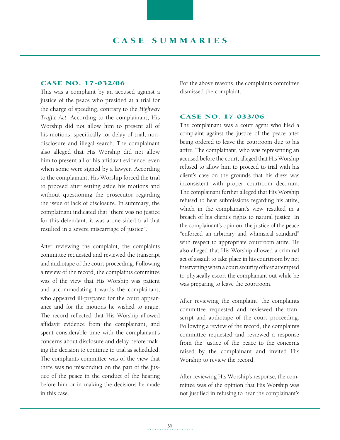#### Case No. 17-032/06

This was a complaint by an accused against a justice of the peace who presided at a trial for the charge of speeding, contrary to the *Highway Traffic Act*. According to the complainant, His Worship did not allow him to present all of his motions, specifically for delay of trial, nondisclosure and illegal search. The complainant also alleged that His Worship did not allow him to present all of his affidavit evidence, even when some were signed by a lawyer. According to the complainant, His Worship forced the trial to proceed after setting aside his motions and without questioning the prosecutor regarding the issue of lack of disclosure. In summary, the complainant indicated that "there was no justice for this defendant, it was a one-sided trial that resulted in a severe miscarriage of justice".

After reviewing the complaint, the complaints committee requested and reviewed the transcript and audiotape of the court proceeding. Following a review of the record, the complaints committee was of the view that His Worship was patient and accommodating towards the complainant, who appeared ill-prepared for the court appearance and for the motions he wished to argue. The record reflected that His Worship allowed affidavit evidence from the complainant, and spent considerable time with the complainant's concerns about disclosure and delay before making the decision to continue to trial as scheduled. The complaints committee was of the view that there was no misconduct on the part of the justice of the peace in the conduct of the hearing before him or in making the decisions he made in this case.

For the above reasons, the complaints committee dismissed the complaint.

#### Case No. 17-033/06

The complainant was a court agent who filed a complaint against the justice of the peace after being ordered to leave the courtroom due to his attire. The complainant, who was representing an accused before the court, alleged that His Worship refused to allow him to proceed to trial with his client's case on the grounds that his dress was inconsistent with proper courtroom decorum. The complainant further alleged that His Worship refused to hear submissions regarding his attire, which in the complainant's view resulted in a breach of his client's rights to natural justice. In the complainant's opinion, the justice of the peace "enforced an arbitrary and whimsical standard" with respect to appropriate courtroom attire. He also alleged that His Worship allowed a criminal act of assault to take place in his courtroom by not intervening when a court security officer attempted to physically escort the complainant out while he was preparing to leave the courtroom.

After reviewing the complaint, the complaints committee requested and reviewed the transcript and audiotape of the court proceeding. Following a review of the record, the complaints committee requested and reviewed a response from the justice of the peace to the concerns raised by the complainant and invited His Worship to review the record.

After reviewing His Worship's response, the committee was of the opinion that His Worship was not justified in refusing to hear the complainant's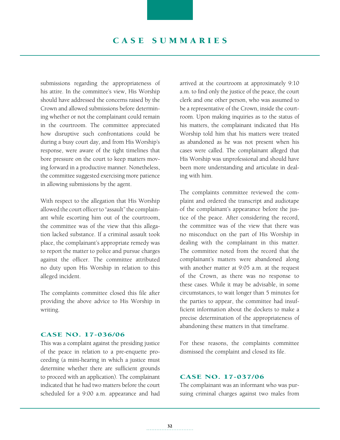# C A S E S UMMA RI E S

submissions regarding the appropriateness of his attire. In the committee's view, His Worship should have addressed the concerns raised by the Crown and allowed submissions before determining whether or not the complainant could remain in the courtroom. The committee appreciated how disruptive such confrontations could be during a busy court day, and from His Worship's response, were aware of the tight timelines that bore pressure on the court to keep matters moving forward in a productive manner. Nonetheless, the committee suggested exercising more patience in allowing submissions by the agent.

With respect to the allegation that His Worship allowed the court officer to "assault" the complainant while escorting him out of the courtroom, the committee was of the view that this allegation lacked substance. If a criminal assault took place, the complainant's appropriate remedy was to report the matter to police and pursue charges against the officer. The committee attributed no duty upon His Worship in relation to this alleged incident.

The complaints committee closed this file after providing the above advice to His Worship in writing.

#### Case No. 17-036/06

This was a complaint against the presiding justice of the peace in relation to a pre-enquette proceeding (a mini-hearing in which a justice must determine whether there are sufficient grounds to proceed with an application). The complainant indicated that he had two matters before the court scheduled for a 9:00 a.m. appearance and had arrived at the courtroom at approximately 9:10 a.m. to find only the justice of the peace, the court clerk and one other person, who was assumed to be a representative of the Crown, inside the courtroom. Upon making inquiries as to the status of his matters, the complainant indicated that His Worship told him that his matters were treated as abandoned as he was not present when his cases were called. The complainant alleged that His Worship was unprofessional and should have been more understanding and articulate in dealing with him.

The complaints committee reviewed the complaint and ordered the transcript and audiotape of the complainant's appearance before the justice of the peace. After considering the record, the committee was of the view that there was no misconduct on the part of His Worship in dealing with the complainant in this matter. The committee noted from the record that the complainant's matters were abandoned along with another matter at 9:05 a.m. at the request of the Crown, as there was no response to these cases. While it may be advisable, in some circumstances, to wait longer than 5 minutes for the parties to appear, the committee had insufficient information about the dockets to make a precise determination of the appropriateness of abandoning these matters in that timeframe.

For these reasons, the complaints committee dismissed the complaint and closed its file.

#### Case No. 17-037/06

The complainant was an informant who was pursuing criminal charges against two males from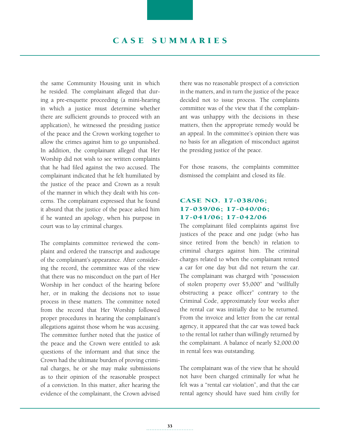the same Community Housing unit in which he resided. The complainant alleged that during a pre-enquette proceeding (a mini-hearing in which a justice must determine whether there are sufficient grounds to proceed with an application), he witnessed the presiding justice of the peace and the Crown working together to allow the crimes against him to go unpunished. In addition, the complainant alleged that Her Worship did not wish to see written complaints that he had filed against the two accused. The complainant indicated that he felt humiliated by the justice of the peace and Crown as a result of the manner in which they dealt with his concerns. The complainant expressed that he found it absurd that the justice of the peace asked him if he wanted an apology, when his purpose in court was to lay criminal charges.

The complaints committee reviewed the complaint and ordered the transcript and audiotape of the complainant's appearance. After considering the record, the committee was of the view that there was no misconduct on the part of Her Worship in her conduct of the hearing before her, or in making the decisions not to issue process in these matters. The committee noted from the record that Her Worship followed proper procedures in hearing the complainant's allegations against those whom he was accusing. The committee further noted that the justice of the peace and the Crown were entitled to ask questions of the informant and that since the Crown had the ultimate burden of proving criminal charges, he or she may make submissions as to their opinion of the reasonable prospect of a conviction. In this matter, after hearing the evidence of the complainant, the Crown advised there was no reasonable prospect of a conviction in the matters, and in turn the justice of the peace decided not to issue process. The complaints committee was of the view that if the complainant was unhappy with the decisions in these matters, then the appropriate remedy would be an appeal. In the committee's opinion there was no basis for an allegation of misconduct against the presiding justice of the peace.

For those reasons, the complaints committee dismissed the complaint and closed its file.

## Case No. 17-038/06; 17-039/06; 17-040/06; 17-041/06; 17-042/06

The complainant filed complaints against five justices of the peace and one judge (who has since retired from the bench) in relation to criminal charges against him. The criminal charges related to when the complainant rented a car for one day but did not return the car. The complainant was charged with "possession of stolen property over \$5,000" and "willfully obstructing a peace officer" contrary to the Criminal Code, approximately four weeks after the rental car was initially due to be returned. From the invoice and letter from the car rental agency, it appeared that the car was towed back to the rental lot rather than willingly returned by the complainant. A balance of nearly \$2,000.00 in rental fees was outstanding.

The complainant was of the view that he should not have been charged criminally for what he felt was a "rental car violation", and that the car rental agency should have sued him civilly for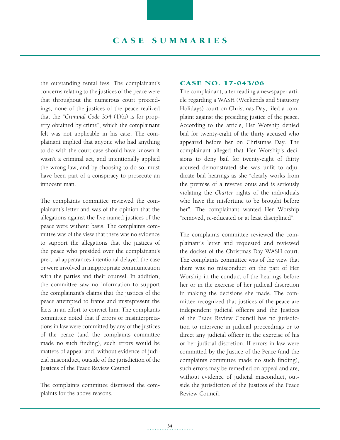the outstanding rental fees. The complainant's concerns relating to the justices of the peace were that throughout the numerous court proceedings, none of the justices of the peace realized that the "*Criminal Code* 354 (1)(a) is for property obtained by crime", which the complainant felt was not applicable in his case. The complainant implied that anyone who had anything to do with the court case should have known it wasn't a criminal act, and intentionally applied the wrong law, and by choosing to do so, must have been part of a conspiracy to prosecute an innocent man.

The complaints committee reviewed the complainant's letter and was of the opinion that the allegations against the five named justices of the peace were without basis. The complaints committee was of the view that there was no evidence to support the allegations that the justices of the peace who presided over the complainant's pre-trial appearances intentional delayed the case or were involved in inappropriate communication with the parties and their counsel. In addition, the committee saw no information to support the complainant's claims that the justices of the peace attempted to frame and misrepresent the facts in an effort to convict him. The complaints committee noted that if errors or misinterpretations in law were committed by any of the justices of the peace (and the complaints committee made no such finding), such errors would be matters of appeal and, without evidence of judicial misconduct, outside of the jurisdiction of the Justices of the Peace Review Council.

The complaints committee dismissed the complaints for the above reasons.

#### Case No. 17-043/06

The complainant, after reading a newspaper article regarding a WASH (Weekends and Statutory Holidays) court on Christmas Day, filed a complaint against the presiding justice of the peace. According to the article, Her Worship denied bail for twenty-eight of the thirty accused who appeared before her on Christmas Day. The complainant alleged that Her Worship's decisions to deny bail for twenty-eight of thirty accused demonstrated she was unfit to adjudicate bail hearings as she "clearly works from the premise of a reverse onus and is seriously violating the *Charter* rights of the individuals who have the misfortune to be brought before her". The complainant wanted Her Worship "removed, re-educated or at least disciplined".

The complaints committee reviewed the complainant's letter and requested and reviewed the docket of the Christmas Day WASH court. The complaints committee was of the view that there was no misconduct on the part of Her Worship in the conduct of the hearings before her or in the exercise of her judicial discretion in making the decisions she made. The committee recognized that justices of the peace are independent judicial officers and the Justices of the Peace Review Council has no jurisdiction to intervene in judicial proceedings or to direct any judicial officer in the exercise of his or her judicial discretion. If errors in law were committed by the Justice of the Peace (and the complaints committee made no such finding), such errors may be remedied on appeal and are, without evidence of judicial misconduct, outside the jurisdiction of the Justices of the Peace Review Council.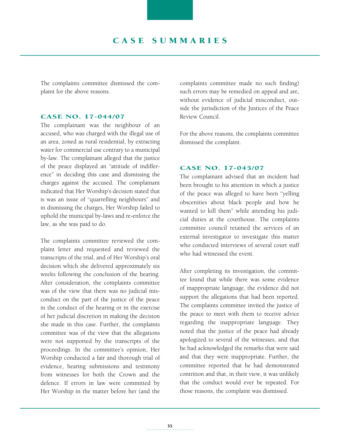The complaints committee dismissed the complaint for the above reasons.

#### Case No. 17-044/07

The complainant was the neighbour of an accused, who was charged with the illegal use of an area, zoned as rural residential, by extracting water for commercial use contrary to a municipal by-law. The complainant alleged that the justice of the peace displayed an "attitude of indifference" in deciding this case and dismissing the charges against the accused. The complainant indicated that Her Worship's decision stated that is was an issue of "quarrelling neighbours" and in dismissing the charges, Her Worship failed to uphold the municipal by-laws and re-enforce the law, as she was paid to do.

The complaints committee reviewed the complaint letter and requested and reviewed the transcripts of the trial, and of Her Worship's oral decision which she delivered approximately six weeks following the conclusion of the hearing. After consideration, the complaints committee was of the view that there was no judicial misconduct on the part of the justice of the peace in the conduct of the hearing or in the exercise of her judicial discretion in making the decision she made in this case. Further, the complaints committee was of the view that the allegations were not supported by the transcripts of the proceedings. In the committee's opinion, Her Worship conducted a fair and thorough trial of evidence, hearing submissions and testimony from witnesses for both the Crown and the defence. If errors in law were committed by Her Worship in the matter before her (and the complaints committee made no such finding) such errors may be remedied on appeal and are, without evidence of judicial misconduct, outside the jurisdiction of the Justices of the Peace Review Council.

For the above reasons, the complaints committee dismissed the complaint.

#### Case No. 17-045/07

The complainant advised that an incident had been brought to his attention in which a justice of the peace was alleged to have been "yelling obscenities about black people and how he wanted to kill them" while attending his judicial duties at the courthouse. The complaints committee council retained the services of an external investigator to investigate this matter who conducted interviews of several court staff who had witnessed the event.

After completing its investigation, the committee found that while there was some evidence of inappropriate language, the evidence did not support the allegations that had been reported. The complaints committee invited the justice of the peace to meet with them to receive advice regarding the inappropriate language. They noted that the justice of the peace had already apologized to several of the witnesses, and that he had acknowledged the remarks that were said and that they were inappropriate. Further, the committee reported that he had demonstrated contrition and that, in their view, it was unlikely that the conduct would ever be repeated. For those reasons, the complaint was dismissed.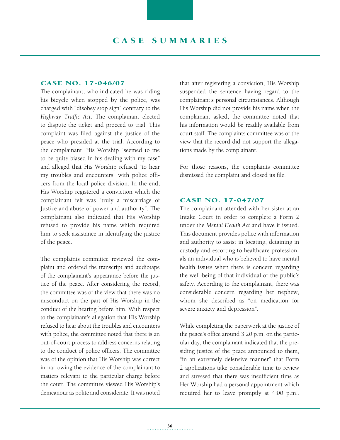#### Case No. 17-046/07

The complainant, who indicated he was riding his bicycle when stopped by the police, was charged with "disobey stop sign" contrary to the *Highway Traffic Act*. The complainant elected to dispute the ticket and proceed to trial. This complaint was filed against the justice of the peace who presided at the trial. According to the complainant, His Worship "seemed to me to be quite biased in his dealing with my case" and alleged that His Worship refused "to hear my troubles and encounters" with police officers from the local police division. In the end, His Worship registered a conviction which the complainant felt was "truly a miscarriage of Justice and abuse of power and authority". The complainant also indicated that His Worship refused to provide his name which required him to seek assistance in identifying the justice of the peace.

The complaints committee reviewed the complaint and ordered the transcript and audiotape of the complainant's appearance before the justice of the peace. After considering the record, the committee was of the view that there was no misconduct on the part of His Worship in the conduct of the hearing before him. With respect to the complainant's allegation that His Worship refused to hear about the troubles and encounters with police, the committee noted that there is an out-of-court process to address concerns relating to the conduct of police officers. The committee was of the opinion that His Worship was correct in narrowing the evidence of the complainant to matters relevant to the particular charge before the court. The committee viewed His Worship's demeanour as polite and considerate. It was noted that after registering a conviction, His Worship suspended the sentence having regard to the complainant's personal circumstances. Although His Worship did not provide his name when the complainant asked, the committee noted that his information would be readily available from court staff. The complaints committee was of the view that the record did not support the allegations made by the complainant.

For those reasons, the complaints committee dismissed the complaint and closed its file.

#### Case No. 17-047/07

The complainant attended with her sister at an Intake Court in order to complete a Form 2 under the *Mental Health Act* and have it issued. This document provides police with information and authority to assist in locating, detaining in custody and escorting to healthcare professionals an individual who is believed to have mental health issues when there is concern regarding the well-being of that individual or the public's safety. According to the complainant, there was considerable concern regarding her nephew, whom she described as "on medication for severe anxiety and depression".

While completing the paperwork at the justice of the peace's office around 3:20 p.m. on the particular day, the complainant indicated that the presiding justice of the peace announced to them, "in an extremely defensive manner" that Form 2 applications take considerable time to review and stressed that there was insufficient time as Her Worship had a personal appointment which required her to leave promptly at 4:00 p.m..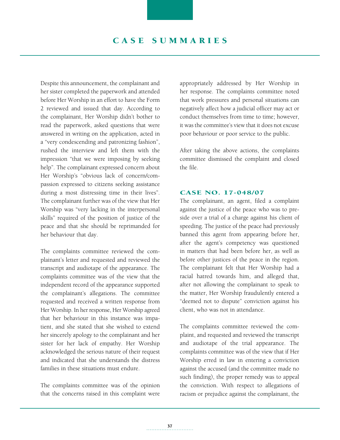Despite this announcement, the complainant and her sister completed the paperwork and attended before Her Worship in an effort to have the Form 2 reviewed and issued that day. According to the complainant, Her Worship didn't bother to read the paperwork, asked questions that were answered in writing on the application, acted in a "very condescending and patronizing fashion", rushed the interview and left them with the impression "that we were imposing by seeking help". The complainant expressed concern about Her Worship's "obvious lack of concern/compassion expressed to citizens seeking assistance during a most distressing time in their lives". The complainant further was of the view that Her Worship was "very lacking in the interpersonal skills" required of the position of justice of the peace and that she should be reprimanded for her behaviour that day.

The complaints committee reviewed the complainant's letter and requested and reviewed the transcript and audiotape of the appearance. The complaints committee was of the view that the independent record of the appearance supported the complainant's allegations. The committee requested and received a written response from Her Worship. In her response, Her Worship agreed that her behaviour in this instance was impatient, and she stated that she wished to extend her sincerely apology to the complainant and her sister for her lack of empathy. Her Worship acknowledged the serious nature of their request and indicated that she understands the distress families in these situations must endure.

The complaints committee was of the opinion that the concerns raised in this complaint were appropriately addressed by Her Worship in her response. The complaints committee noted that work pressures and personal situations can negatively affect how a judicial officer may act or conduct themselves from time to time; however, it was the committee's view that it does not excuse poor behaviour or poor service to the public.

After taking the above actions, the complaints committee dismissed the complaint and closed the file.

#### Case No. 17-048/07

The complainant, an agent, filed a complaint against the justice of the peace who was to preside over a trial of a charge against his client of speeding. The justice of the peace had previously banned this agent from appearing before her, after the agent's competency was questioned in matters that had been before her, as well as before other justices of the peace in the region. The complainant felt that Her Worship had a racial hatred towards him, and alleged that, after not allowing the complainant to speak to the matter, Her Worship fraudulently entered a "deemed not to dispute" conviction against his client, who was not in attendance.

The complaints committee reviewed the complaint, and requested and reviewed the transcript and audiotape of the trial appearance. The complaints committee was of the view that if Her Worship erred in law in entering a conviction against the accused (and the committee made no such finding), the proper remedy was to appeal the conviction. With respect to allegations of racism or prejudice against the complainant, the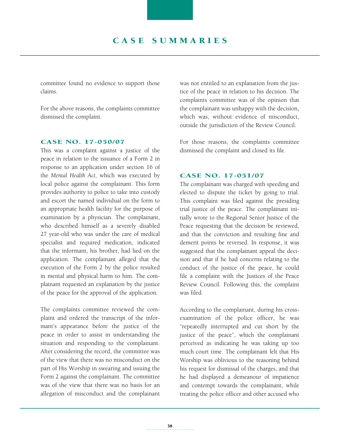committee found no evidence to support those claims.

For the above reasons, the complaints committee dismissed the complaint.

#### Case No. 17-050/07

This was a complaint against a justice of the peace in relation to the issuance of a Form 2 in response to an application under section 16 of the *Mental Health Act*, which was executed by local police against the complainant. This form provides authority to police to take into custody and escort the named individual on the form to an appropriate health facility for the purpose of examination by a physician. The complainant, who described himself as a severely disabled 27 year-old who was under the care of medical specialist and required medication, indicated that the informant, his brother, had lied on the application. The complainant alleged that the execution of the Form 2 by the police resulted in mental and physical harm to him. The complainant requested an explanation by the justice of the peace for the approval of the application.

The complaints committee reviewed the complaint and ordered the transcript of the informant's appearance before the justice of the peace in order to assist in understanding the situation and responding to the complainant. After considering the record, the committee was of the view that there was no misconduct on the part of His Worship in swearing and issuing the Form 2 against the complainant. The committee was of the view that there was no basis for an allegation of misconduct and the complainant was not entitled to an explanation from the justice of the peace in relation to his decision. The complaints committee was of the opinion that the complainant was unhappy with the decision, which was, without evidence of misconduct, outside the jurisdiction of the Review Council.

For those reasons, the complaints committee dismissed the complaint and closed its file.

#### Case No. 17-051/07

The complainant was charged with speeding and elected to dispute the ticket by going to trial. This complaint was filed against the presiding trial justice of the peace. The complainant initially wrote to the Regional Senior Justice of the Peace requesting that the decision be reviewed, and that the conviction and resulting fine and demerit points be reversed. In response, it was suggested that the complainant appeal the decision and that if he had concerns relating to the conduct of the justice of the peace, he could file a complaint with the Justices of the Peace Review Council. Following this, the complaint was filed.

According to the complainant, during his crossexamination of the police officer, he was "repeatedly interrupted and cut short by the justice of the peace", which the complainant perceived as indicating he was taking up too much court time. The complainant felt that His Worship was oblivious to the reasoning behind his request for dismissal of the charges, and that he had displayed a demeanour of impatience and contempt towards the complainant, while treating the police officer and other accused who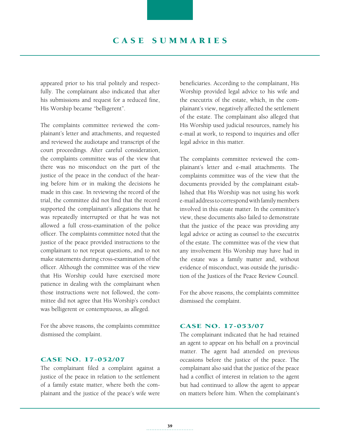appeared prior to his trial politely and respectfully. The complainant also indicated that after his submissions and request for a reduced fine, His Worship became "belligerent".

The complaints committee reviewed the complainant's letter and attachments, and requested and reviewed the audiotape and transcript of the court proceedings. After careful consideration, the complaints committee was of the view that there was no misconduct on the part of the justice of the peace in the conduct of the hearing before him or in making the decisions he made in this case. In reviewing the record of the trial, the committee did not find that the record supported the complainant's allegations that he was repeatedly interrupted or that he was not allowed a full cross-examination of the police officer. The complaints committee noted that the justice of the peace provided instructions to the complainant to not repeat questions, and to not make statements during cross-examination of the officer. Although the committee was of the view that His Worship could have exercised more patience in dealing with the complainant when those instructions were not followed, the committee did not agree that His Worship's conduct was belligerent or contemptuous, as alleged.

For the above reasons, the complaints committee dismissed the complaint.

#### Case No. 17-052/07

The complainant filed a complaint against a justice of the peace in relation to the settlement of a family estate matter, where both the complainant and the justice of the peace's wife were beneficiaries. According to the complainant, His Worship provided legal advice to his wife and the executrix of the estate, which, in the complainant's view, negatively affected the settlement of the estate. The complainant also alleged that His Worship used judicial resources, namely his e-mail at work, to respond to inquiries and offer legal advice in this matter.

The complaints committee reviewed the complainant's letter and e-mail attachments. The complaints committee was of the view that the documents provided by the complainant established that His Worship was not using his work e-mail address to correspond with family members involved in this estate matter. In the committee's view, these documents also failed to demonstrate that the justice of the peace was providing any legal advice or acting as counsel to the executrix of the estate. The committee was of the view that any involvement His Worship may have had in the estate was a family matter and, without evidence of misconduct, was outside the jurisdiction of the Justices of the Peace Review Council.

For the above reasons, the complaints committee dismissed the complaint.

#### Case No. 17-053/07

The complainant indicated that he had retained an agent to appear on his behalf on a provincial matter. The agent had attended on previous occasions before the justice of the peace. The complainant also said that the justice of the peace had a conflict of interest in relation to the agent but had continued to allow the agent to appear on matters before him. When the complainant's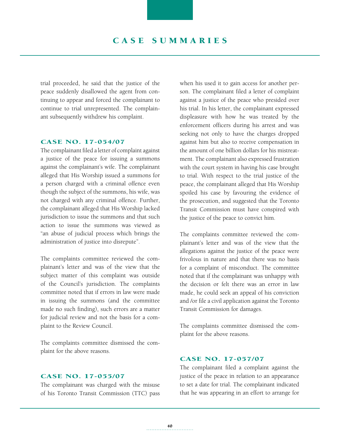trial proceeded, he said that the justice of the peace suddenly disallowed the agent from continuing to appear and forced the complainant to continue to trial unrepresented. The complainant subsequently withdrew his complaint.

#### Case No. 17-054/07

The complainant filed a letter of complaint against a justice of the peace for issuing a summons against the complainant's wife. The complainant alleged that His Worship issued a summons for a person charged with a criminal offence even though the subject of the summons, his wife, was not charged with any criminal offence. Further, the complainant alleged that His Worship lacked jurisdiction to issue the summons and that such action to issue the summons was viewed as "an abuse of judicial process which brings the administration of justice into disrepute".

The complaints committee reviewed the complainant's letter and was of the view that the subject matter of this complaint was outside of the Council's jurisdiction. The complaints committee noted that if errors in law were made in issuing the summons (and the committee made no such finding), such errors are a matter for judicial review and not the basis for a complaint to the Review Council.

The complaints committee dismissed the complaint for the above reasons.

#### Case No. 17-055/07

The complainant was charged with the misuse of his Toronto Transit Commission (TTC) pass when his used it to gain access for another person. The complainant filed a letter of complaint against a justice of the peace who presided over his trial. In his letter, the complainant expressed displeasure with how he was treated by the enforcement officers during his arrest and was seeking not only to have the charges dropped against him but also to receive compensation in the amount of one billion dollars for his mistreatment. The complainant also expressed frustration with the court system in having his case brought to trial. With respect to the trial justice of the peace, the complainant alleged that His Worship spoiled his case by favouring the evidence of the prosecution, and suggested that the Toronto Transit Commission must have conspired with the justice of the peace to convict him.

The complaints committee reviewed the complainant's letter and was of the view that the allegations against the justice of the peace were frivolous in nature and that there was no basis for a complaint of misconduct. The committee noted that if the complainant was unhappy with the decision or felt there was an error in law made, he could seek an appeal of his conviction and /or file a civil application against the Toronto Transit Commission for damages.

The complaints committee dismissed the complaint for the above reasons.

#### Case No. 17-057/07

The complainant filed a complaint against the justice of the peace in relation to an appearance to set a date for trial. The complainant indicated that he was appearing in an effort to arrange for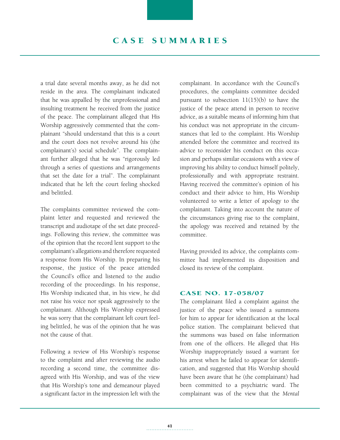# C A S E S UMMA RI E S

a trial date several months away, as he did not reside in the area. The complainant indicated that he was appalled by the unprofessional and insulting treatment he received from the justice of the peace. The complainant alleged that His Worship aggressively commented that the complainant "should understand that this is a court and the court does not revolve around his (the complainant's) social schedule". The complainant further alleged that he was "rigorously led through a series of questions and arrangements that set the date for a trial". The complainant indicated that he left the court feeling shocked and belittled.

The complaints committee reviewed the complaint letter and requested and reviewed the transcript and audiotape of the set date proceedings. Following this review, the committee was of the opinion that the record lent support to the complainant's allegations and therefore requested a response from His Worship. In preparing his response, the justice of the peace attended the Council's office and listened to the audio recording of the proceedings. In his response, His Worship indicated that, in his view, he did not raise his voice nor speak aggressively to the complainant. Although His Worship expressed he was sorry that the complainant left court feeling belittled, he was of the opinion that he was not the cause of that.

Following a review of His Worship's response to the complaint and after reviewing the audio recording a second time, the committee disagreed with His Worship, and was of the view that His Worship's tone and demeanour played a significant factor in the impression left with the

complainant. In accordance with the Council's procedures, the complaints committee decided pursuant to subsection 11(15)(b) to have the justice of the peace attend in person to receive advice, as a suitable means of informing him that his conduct was not appropriate in the circumstances that led to the complaint. His Worship attended before the committee and received its advice to reconsider his conduct on this occasion and perhaps similar occasions with a view of improving his ability to conduct himself politely, professionally and with appropriate restraint. Having received the committee's opinion of his conduct and their advice to him, His Worship volunteered to write a letter of apology to the complainant. Taking into account the nature of the circumstances giving rise to the complaint, the apology was received and retained by the committee.

Having provided its advice, the complaints committee had implemented its disposition and closed its review of the complaint.

### Case No. 17-058/07

The complainant filed a complaint against the justice of the peace who issued a summons for him to appear for identification at the local police station. The complainant believed that the summons was based on false information from one of the officers. He alleged that His Worship inappropriately issued a warrant for his arrest when he failed to appear for identification, and suggested that His Worship should have been aware that he (the complainant) had been committed to a psychiatric ward. The complainant was of the view that the *Mental*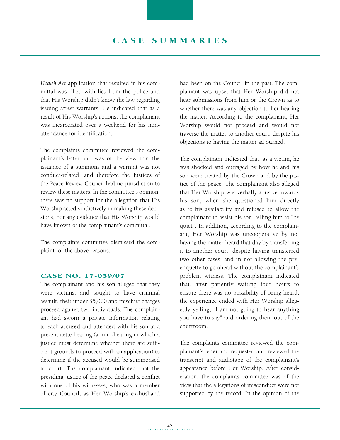*Health Act* application that resulted in his committal was filled with lies from the police and that His Worship didn't know the law regarding issuing arrest warrants. He indicated that as a result of His Worship's actions, the complainant was incarcerated over a weekend for his nonattendance for identification.

The complaints committee reviewed the complainant's letter and was of the view that the issuance of a summons and a warrant was not conduct-related, and therefore the Justices of the Peace Review Council had no jurisdiction to review these matters. In the committee's opinion, there was no support for the allegation that His Worship acted vindictively in making these decisions, nor any evidence that His Worship would have known of the complainant's committal.

The complaints committee dismissed the complaint for the above reasons.

#### Case No. 17-059/07

The complainant and his son alleged that they were victims, and sought to have criminal assault, theft under \$5,000 and mischief charges proceed against two individuals. The complainant had sworn a private information relating to each accused and attended with his son at a pre-enquette hearing (a mini-hearing in which a justice must determine whether there are sufficient grounds to proceed with an application) to determine if the accused would be summonsed to court. The complainant indicated that the presiding justice of the peace declared a conflict with one of his witnesses, who was a member of city Council, as Her Worship's ex-husband had been on the Council in the past. The complainant was upset that Her Worship did not hear submissions from him or the Crown as to whether there was any objection to her hearing the matter. According to the complainant, Her Worship would not proceed and would not traverse the matter to another court, despite his objections to having the matter adjourned.

The complainant indicated that, as a victim, he was shocked and outraged by how he and his son were treated by the Crown and by the justice of the peace. The complainant also alleged that Her Worship was verbally abusive towards his son, when she questioned him directly as to his availability and refused to allow the complainant to assist his son, telling him to "be quiet". In addition, according to the complainant, Her Worship was uncooperative by not having the matter heard that day by transferring it to another court, despite having transferred two other cases, and in not allowing the preenquette to go ahead without the complainant's problem witness. The complainant indicated that, after patiently waiting four hours to ensure there was no possibility of being heard, the experience ended with Her Worship allegedly yelling, "I am not going to hear anything you have to say" and ordering them out of the courtroom.

The complaints committee reviewed the complainant's letter and requested and reviewed the transcript and audiotape of the complainant's appearance before Her Worship. After consideration, the complaints committee was of the view that the allegations of misconduct were not supported by the record. In the opinion of the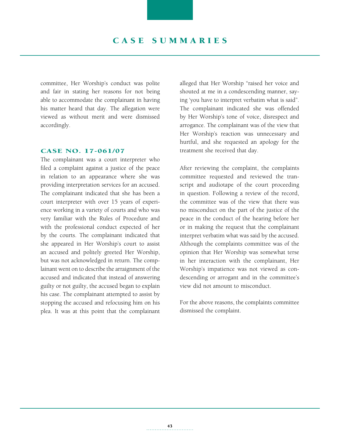committee, Her Worship's conduct was polite and fair in stating her reasons for not being able to accommodate the complainant in having his matter heard that day. The allegation were viewed as without merit and were dismissed accordingly.

#### Case No. 17-061/07

The complainant was a court interpreter who filed a complaint against a justice of the peace in relation to an appearance where she was providing interpretation services for an accused. The complainant indicated that she has been a court interpreter with over 15 years of experience working in a variety of courts and who was very familiar with the Rules of Procedure and with the professional conduct expected of her by the courts. The complainant indicated that she appeared in Her Worship's court to assist an accused and politely greeted Her Worship, but was not acknowledged in return. The complainant went on to describe the arraignment of the accused and indicated that instead of answering guilty or not guilty, the accused began to explain his case. The complainant attempted to assist by stopping the accused and refocusing him on his plea. It was at this point that the complainant alleged that Her Worship "raised her voice and shouted at me in a condescending manner, saying 'you have to interpret verbatim what is said". The complainant indicated she was offended by Her Worship's tone of voice, disrespect and arrogance. The complainant was of the view that Her Worship's reaction was unnecessary and hurtful, and she requested an apology for the treatment she received that day.

After reviewing the complaint, the complaints committee requested and reviewed the transcript and audiotape of the court proceeding in question. Following a review of the record, the committee was of the view that there was no misconduct on the part of the justice of the peace in the conduct of the hearing before her or in making the request that the complainant interpret verbatim what was said by the accused. Although the complaints committee was of the opinion that Her Worship was somewhat terse in her interaction with the complainant, Her Worship's impatience was not viewed as condescending or arrogant and in the committee's view did not amount to misconduct.

For the above reasons, the complaints committee dismissed the complaint.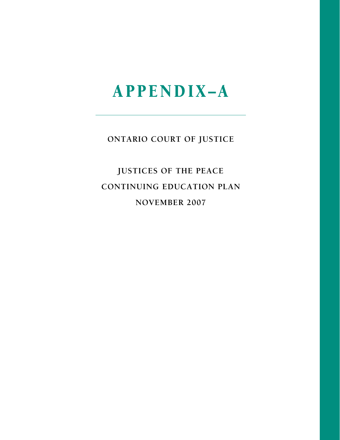**ONTARIO COURT OF JUSTICE**

**JUSTICEs OF THE PEACE continuing EDUCATION PLAN November 2007**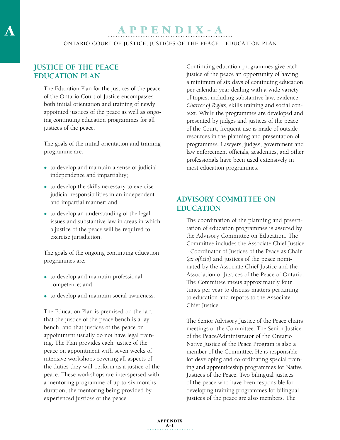ONTARIO COURT OF JUSTICE, JUSTICEs OF THE PEACE – EDUCATION PLAN

# **Justice of the Peace Education Plan**

The Education Plan for the justices of the peace of the Ontario Court of Justice encompasses both initial orientation and training of newly appointed justices of the peace as well as ongoing continuing education programmes for all justices of the peace.

The goals of the initial orientation and training programme are:

- $\bullet$  to develop and maintain a sense of judicial independence and impartiality;
- $\bullet$  to develop the skills necessary to exercise judicial responsibilities in an independent and impartial manner; and
- $\bullet$  to develop an understanding of the legal issues and substantive law in areas in which a justice of the peace will be required to exercise jurisdiction.

The goals of the ongoing continuing education programmes are:

- $\bullet$  to develop and maintain professional competence; and
- $\bullet$  to develop and maintain social awareness.

The Education Plan is premised on the fact that the justice of the peace bench is a lay bench, and that justices of the peace on appointment usually do not have legal training. The Plan provides each justice of the peace on appointment with seven weeks of intensive workshops covering all aspects of the duties they will perform as a justice of the peace. These workshops are interspersed with a mentoring programme of up to six months duration, the mentoring being provided by experienced justices of the peace.

Continuing education programmes give each justice of the peace an opportunity of having a minimum of six days of continuing education per calendar year dealing with a wide variety of topics, including substantive law, evidence, *Charter of Rights*, skills training and social context. While the programmes are developed and presented by judges and justices of the peace of the Court, frequent use is made of outside resources in the planning and presentation of programmes. Lawyers, judges, government and law enforcement officials, academics, and other professionals have been used extensively in most education programmes.

# **Advisory Committee on Education**

The coordination of the planning and presentation of education programmes is assured by the Advisory Committee on Education. The Committee includes the Associate Chief Justice - Coordinator of Justices of the Peace as Chair (*ex officio*) and justices of the peace nominated by the Associate Chief Justice and the Association of Justices of the Peace of Ontario. The Committee meets approximately four times per year to discuss matters pertaining to education and reports to the Associate Chief Justice.

The Senior Advisory Justice of the Peace chairs meetings of the Committee. The Senior Justice of the Peace/Administrator of the Ontario Native Justice of the Peace Program is also a member of the Committee. He is responsible for developing and co-ordinating special training and apprenticeship programmes for Native Justices of the Peace. Two bilingual justices of the peace who have been responsible for developing training programmes for bilingual justices of the peace are also members. The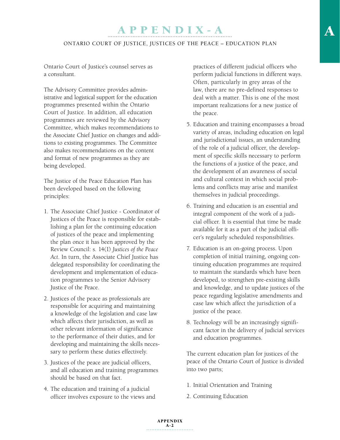#### ONTARIO COURT OF JUSTICE, JUSTICEs OF THE PEACE – EDUCATION PLAN

Ontario Court of Justice's counsel serves as a consultant.

The Advisory Committee provides administrative and logistical support for the education programmes presented within the Ontario Court of Justice. In addition, all education programmes are reviewed by the Advisory Committee, which makes recommendations to the Associate Chief Justice on changes and additions to existing programmes. The Committee also makes recommendations on the content and format of new programmes as they are being developed.

The Justice of the Peace Education Plan has been developed based on the following principles:

- 1. The Associate Chief Justice Coordinator of Justices of the Peace is responsible for establishing a plan for the continuing education of justices of the peace and implementing the plan once it has been approved by the Review Council: s. 14(1) *Justices of the Peace Act*. In turn, the Associate Chief Justice has delegated responsibility for coordinating the development and implementation of education programmes to the Senior Advisory Justice of the Peace.
- 2. Justices of the peace as professionals are responsible for acquiring and maintaining a knowledge of the legislation and case law which affects their jurisdiction, as well as other relevant information of significance to the performance of their duties, and for developing and maintaining the skills necessary to perform these duties effectively.
- 3. Justices of the peace are judicial officers, and all education and training programmes should be based on that fact.
- 4. The education and training of a judicial officer involves exposure to the views and

practices of different judicial officers who perform judicial functions in different ways. Often, particularly in grey areas of the law, there are no pre-defined responses to deal with a matter. This is one of the most important realizations for a new justice of the peace.

- 5. Education and training encompasses a broad variety of areas, including education on legal and jurisdictional issues, an understanding of the role of a judicial officer, the development of specific skills necessary to perform the functions of a justice of the peace, and the development of an awareness of social and cultural context in which social problems and conflicts may arise and manifest themselves in judicial proceedings.
- 6. Training and education is an essential and integral component of the work of a judicial officer. It is essential that time be made available for it as a part of the judicial officer's regularly scheduled responsibilities.
- 7. Education is an on-going process. Upon completion of initial training, ongoing continuing education programmes are required to maintain the standards which have been developed, to strengthen pre-existing skills and knowledge, and to update justices of the peace regarding legislative amendments and case law which affect the jurisdiction of a justice of the peace.
- 8. Technology will be an increasingly significant factor in the delivery of judicial services and education programmes.

The current education plan for justices of the peace of the Ontario Court of Justice is divided into two parts;

- 1. Initial Orientation and Training
- 2. Continuing Education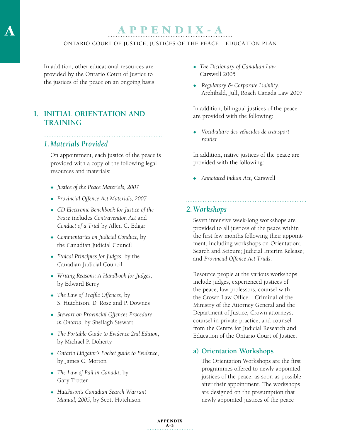#### ONTARIO COURT OF JUSTICE, JUSTICEs OF THE PEACE – EDUCATION PLAN

In addition, other educational resources are provided by the Ontario Court of Justice to the justices of the peace on an ongoing basis.

# **I. Initial Orientation and Training**

### *1. Materials Provided*

 On appointment, each justice of the peace is provided with a copy of the following legal resources and materials:

- <sup>u</sup> *Justice of the Peace Materials, 2007*
- <sup>u</sup> *Provincial Offence Act Materials, 2007*
- <sup>u</sup> *CD Electronic Benchbook for Justice of the Peace* includes *Contravention Act* and *Conduct of a Trial* by Allen C. Edgar
- Commentaries on Judicial Conduct, by the Canadian Judicial Council
- <sup>u</sup> *Ethical Principles for Judges*, by the Canadian Judicial Council
- <sup>u</sup> *Writing Reasons: A Handbook for Judges*, by Edward Berry
- The Law of Traffic Offences, by S. Hutchison, D. Rose and P. Downes
- <sup>u</sup> *Stewart on Provincial Offences Procedure in Ontario*, by Sheilagh Stewart
- <sup>u</sup> *The Portable Guide to Evidence 2nd Edition*, by Michael P. Doherty
- Ontario Litigator's Pocket guide to Evidence, by James C. Morton
- The Law of Bail in Canada, by Gary Trotter
- <sup>u</sup> *Hutchison's Canadian Search Warrant Manual, 2005*, by Scott Hutchison
- The Dictionary of Canadian Law Carswell 2005
- <sup>u</sup> *Regulatory & Corporate Liability*, Archibald, Jull, Roach Canada Law 2007

 In addition, bilingual justices of the peace are provided with the following:

<sup>u</sup> *Vocabulaire des véhicules de transport routier*

 In addition, native justices of the peace are provided with the following:

<sup>u</sup> *Annotated Indian Act*, Carswell

# *2.Workshops*

 Seven intensive week-long workshops are provided to all justices of the peace within the first few months following their appointment, including workshops on Orientation; Search and Seizure; Judicial Interim Release; and *Provincial Offence Act Trials*.

 Resource people at the various workshops include judges, experienced justices of the peace, law professors, counsel with the Crown Law Office – Criminal of the Ministry of the Attorney General and the Department of Justice, Crown attorneys, counsel in private practice, and counsel from the Centre for Judicial Research and Education of the Ontario Court of Justice.

#### **a) Orientation Workshops**

 The Orientation Workshops are the first programmes offered to newly appointed justices of the peace, as soon as possible after their appointment. The workshops are designed on the presumption that newly appointed justices of the peace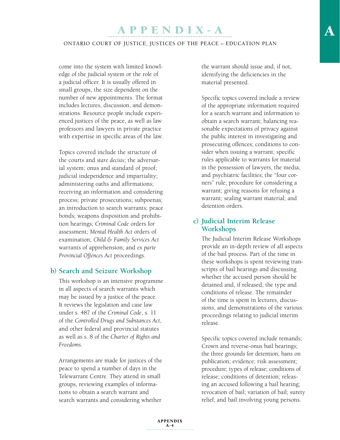#### ONTARIO COURT OF JUSTICE, JUSTICEs OF THE PEACE – EDUCATION PLAN

come into the system with limited knowledge of the judicial system or the role of a judicial officer. It is usually offered in small groups, the size dependent on the number of new appointments. The format includes lectures, discussion, and demonstrations. Resource people include experienced justices of the peace, as well as law professors and lawyers in private practice with expertise in specific areas of the law.

 Topics covered include the structure of the courts and *stare decisis*; the adversarial system; onus and standard of proof; judicial independence and impartiality; administering oaths and affirmations; receiving an information and considering process; private prosecutions; subpoenas; an introduction to search warrants; peace bonds; weapons disposition and prohibition hearings; *Criminal Code* orders for assessment; *Mental Health Act* orders of examination; *Child & Family Services Act* warrants of apprehension; and *ex parte Provincial Offences Act* proceedings.

#### **b) Search and Seizure Workshop**

 This workshop is an intensive programme in all aspects of search warrants which may be issued by a justice of the peace. It reviews the legislation and case law under s. 487 of the *Criminal Code*, s. 11 of the *Controlled Drugs and Substances Act*, and other federal and provincial statutes as well as s. 8 of the *Charter of Rights and Freedoms.*

 Arrangements are made for justices of the peace to spend a number of days in the Telewarrant Centre. They attend in small groups, reviewing examples of informations to obtain a search warrant and search warrants and considering whether

the warrant should issue and, if not, identifying the deficiencies in the material presented.

 Specific topics covered include a review of the appropriate information required for a search warrant and information to obtain a search warrant; balancing reasonable expectations of privacy against the public interest in investigating and prosecuting offences; conditions to consider when issuing a warrant; specific rules applicable to warrants for material in the possession of lawyers, the media, and psychiatric facilities; the "four corners" rule; procedure for considering a warrant; giving reasons for refusing a warrant; sealing warrant material; and detention orders.

## **c) Judicial Interim Release Workshops**

 The Judicial Interim Release Workshops provide an in-depth review of all aspects of the bail process. Part of the time in these workshops is spent reviewing transcripts of bail hearings and discussing whether the accused person should be detained and, if released, the type and conditions of release. The remainder of the time is spent in lectures, discussions, and demonstrations of the various proceedings relating to judicial interim release.

 Specific topics covered include remands; Crown and reverse-onus bail hearings; the three grounds for detention; bans on publication; evidence; risk assessment; procedure; types of release; conditions of release; conditions of detention; releasing an accused following a bail hearing; revocation of bail; variation of bail; surety relief; and bail involving young persons.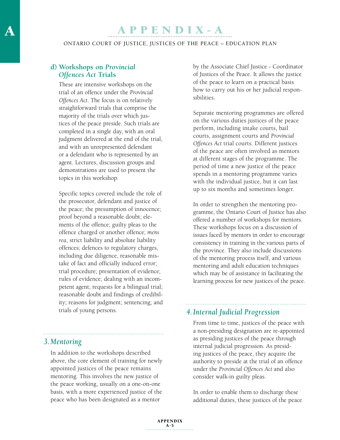ONTARIO COURT OF JUSTICE, JUSTICEs OF THE PEACE – EDUCATION PLAN

# **d) Workshops on** *Provincial Offences Act* **Trials**

 These are intensive workshops on the trial of an offence under the *Provincial Offences Act*. The focus is on relatively straightforward trials that comprise the majority of the trials over which justices of the peace preside. Such trials are completed in a single day, with an oral judgment delivered at the end of the trial, and with an unrepresented defendant or a defendant who is represented by an agent. Lectures, discussion groups and demonstrations are used to present the topics in this workshop.

 Specific topics covered include the role of the prosecutor, defendant and justice of the peace; the presumption of innocence; proof beyond a reasonable doubt; elements of the offence; guilty pleas to the offence charged or another offence; *mens rea*, strict liability and absolute liability offences; defences to regulatory charges, including due diligence, reasonable mistake of fact and officially induced error; trial procedure; presentation of evidence; rules of evidence; dealing with an incompetent agent; requests for a bilingual trial; reasonable doubt and findings of credibility; reasons for judgment; sentencing; and trials of young persons.

by the Associate Chief Justice - Coordinator of Justices of the Peace. It allows the justice of the peace to learn on a practical basis how to carry out his or her judicial responsibilities.

 Separate mentoring programmes are offered on the various duties justices of the peace perform, including intake courts, bail courts, assignment courts and *Provincial Offences Act* trial courts. Different justices of the peace are often involved as mentors at different stages of the programme. The period of time a new justice of the peace spends in a mentoring programme varies with the individual justice, but it can last up to six months and sometimes longer.

 In order to strengthen the mentoring programme, the Ontario Court of Justice has also offered a number of workshops for mentors. These workshops focus on a discussion of issues faced by mentors in order to encourage consistency in training in the various parts of the province. They also include discussions of the mentoring process itself, and various mentoring and adult education techniques which may be of assistance in facilitating the learning process for new justices of the peace.

# *4.Internal Judicial Progression*

 From time to time, justices of the peace with a non-presiding designation are re-appointed as presiding justices of the peace through internal judicial progression. As presiding justices of the peace, they acquire the authority to preside at the trial of an offence under the *Provincial Offences Act* and also consider walk-in guilty pleas.

 In order to enable them to discharge these additional duties, these justices of the peace

# *3. Mentoring*

 In addition to the workshops described above, the core element of training for newly appointed justices of the peace remains mentoring. This involves the new justice of the peace working, usually on a one-on-one basis, with a more experienced justice of the peace who has been designated as a mentor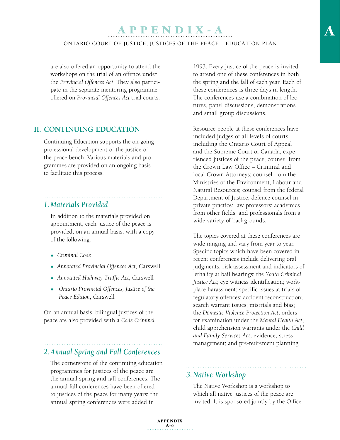#### ONTARIO COURT OF JUSTICE, JUSTICEs OF THE PEACE – EDUCATION PLAN

are also offered an opportunity to attend the workshops on the trial of an offence under the *Provincial Offences Act*. They also participate in the separate mentoring programme offered on *Provincial Offences Act* trial courts.

## **II. CONTINUING EDUCATION**

Continuing Education supports the on-going professional development of the justice of the peace bench. Various materials and programmes are provided on an ongoing basis to facilitate this process.

## *1. Materials Provided*

 In addition to the materials provided on appointment, each justice of the peace is provided, on an annual basis, with a copy of the following:

- ◆ *Criminal Code*
- <sup>u</sup> *Annotated Provincial Offences Act*, Carswell
- <sup>u</sup> *Annotated Highway Traffic Act*, Carswell
- Ontario Provincial Offences, Justice of the *Peace Edition*, Carswell

On an annual basis, bilingual justices of the peace are also provided with a *Code Criminel*

# *2.Annual Spring and Fall Conferences*

 The cornerstone of the continuing education programmes for justices of the peace are the annual spring and fall conferences. The annual fall conferences have been offered to justices of the peace for many years; the annual spring conferences were added in

1993. Every justice of the peace is invited to attend one of these conferences in both the spring and the fall of each year. Each of these conferences is three days in length. The conferences use a combination of lectures, panel discussions, demonstrations and small group discussions.

 Resource people at these conferences have included judges of all levels of courts, including the Ontario Court of Appeal and the Supreme Court of Canada; experienced justices of the peace; counsel from the Crown Law Office – Criminal and local Crown Attorneys; counsel from the Ministries of the Environment, Labour and Natural Resources; counsel from the federal Department of Justice; defence counsel in private practice; law professors; academics from other fields; and professionals from a wide variety of backgrounds.

 The topics covered at these conferences are wide ranging and vary from year to year. Specific topics which have been covered in recent conferences include delivering oral judgments; risk assessment and indicators of lethality at bail hearings; the *Youth Criminal Justice Act*; eye witness identification; workplace harassment; specific issues at trials of regulatory offences; accident reconstruction; search warrant issues; mistrials and bias; the *Domestic Violence Protection Act*; orders for examination under the *Mental Health Act*; child apprehension warrants under the *Child and Family Services Act*; evidence; stress management; and pre-retirement planning.

# *3. Native Workshop*

 The Native Workshop is a workshop to which all native justices of the peace are invited. It is sponsored jointly by the Office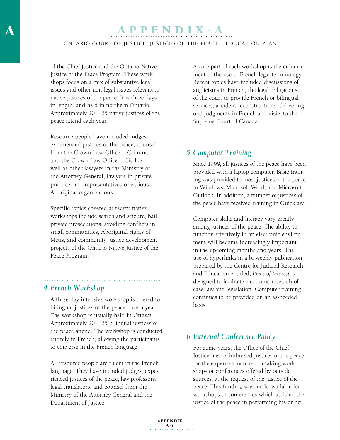#### ONTARIO COURT OF JUSTICE, JUSTICEs OF THE PEACE – EDUCATION PLAN

of the Chief Justice and the Ontario Native Justice of the Peace Program. These workshops focus on a mix of substantive legal issues and other non-legal issues relevant to native justices of the peace. It is three days in length, and held in northern Ontario. Approximately 20 – 25 native justices of the peace attend each year.

 Resource people have included judges, experienced justices of the peace, counsel from the Crown Law Office – Criminal and the Crown Law Office – Civil as well as other lawyers in the Ministry of the Attorney General, lawyers in private practice, and representatives of various Aboriginal organizations.

 Specific topics covered at recent native workshops include search and seizure, bail, private prosecutions, avoiding conflicts in small communities, Aboriginal rights of Métis, and community justice development projects of the Ontario Native Justice of the Peace Program.

# *4. French Workshop*

 A three day intensive workshop is offered to bilingual justices of the peace once a year. The workshop is usually held in Ottawa. Approximately 20 – 25 bilingual justices of the peace attend. The workshop is conducted entirely in French, allowing the participants to converse in the French language.

 All resource people are fluent in the French language. They have included judges, experienced justices of the peace, law professors, legal translators, and counsel from the Ministry of the Attorney General and the Department of Justice.

 A core part of each workshop is the enhancement of the use of French legal terminology. Recent topics have included discussions of anglicisms in French, the legal obligations of the court to provide French or bilingual services, accident reconstructions, delivering oral judgments in French and visits to the Supreme Court of Canada.

## *5.Computer Training*

 Since 1999, all justices of the peace have been provided with a laptop computer. Basic training was provided to most justices of the peace in Windows, Microsoft Word, and Microsoft Outlook. In addition, a number of justices of the peace have received training in Quicklaw.

 Computer skills and literacy vary greatly among justices of the peace. The ability to function effectively in an electronic environment will become increasingly important in the upcoming months and years. The use of hyperlinks in a bi-weekly publication prepared by the Centre for Judicial Research and Education entitled, *Items of Interest* is designed to facilitate electronic research of case law and legislation. Computer training continues to be provided on an as-needed basis.

# *6. External Conference Policy*

 For some years, the Office of the Chief Justice has re−imbursed justices of the peace for the expenses incurred in taking workshops or conferences offered by outside sources, at the request of the justice of the peace. This funding was made available for workshops or conferences which assisted the justice of the peace in performing his or her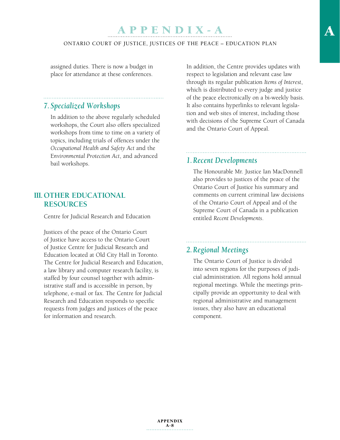#### ONTARIO COURT OF JUSTICE, JUSTICEs OF THE PEACE – EDUCATION PLAN

assigned duties. There is now a budget in place for attendance at these conferences.

## *7. Specialized Workshops*

 In addition to the above regularly scheduled workshops, the Court also offers specialized workshops from time to time on a variety of topics, including trials of offences under the *Occupational Health and Safety Act* and the E*nvironmental Protection Act*, and advanced bail workshops.

## **III. OTHER EDUCATIONAL RESOURCES**

Centre for Judicial Research and Education

Justices of the peace of the Ontario Court of Justice have access to the Ontario Court of Justice Centre for Judicial Research and Education located at Old City Hall in Toronto. The Centre for Judicial Research and Education, a law library and computer research facility, is staffed by four counsel together with administrative staff and is accessible in person, by telephone, e-mail or fax. The Centre for Judicial Research and Education responds to specific requests from judges and justices of the peace for information and research.

In addition, the Centre provides updates with respect to legislation and relevant case law through its regular publication *Items of Interest*, which is distributed to every judge and justice of the peace electronically on a bi-weekly basis. It also contains hyperlinks to relevant legislation and web sites of interest, including those with decisions of the Supreme Court of Canada and the Ontario Court of Appeal.

# *1. Recent Developments*

 The Honourable Mr. Justice Ian MacDonnell also provides to justices of the peace of the Ontario Court of Justice his summary and comments on current criminal law decisions of the Ontario Court of Appeal and of the Supreme Court of Canada in a publication entitled *Recent Developments*.

# *2. Regional Meetings*

 The Ontario Court of Justice is divided into seven regions for the purposes of judicial administration. All regions hold annual regional meetings. While the meetings principally provide an opportunity to deal with regional administrative and management issues, they also have an educational component.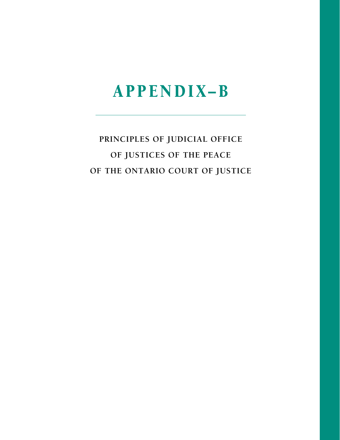# Appen diX–B

# **Principles of Judicial Office of Justices of the peace of the ontario court of justice**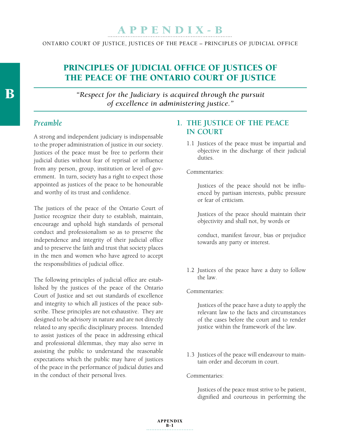ONTARIO COURT OF JUSTICE, JUSTICES OF THE PEACE – Principles of Judicial office

# PRINCIPLES OF JUDICIAL OFFICE OF JUSTICES OF the Peace of the Ontario Court of Justice

*"Respect for the Judiciary is acquired through the pursuit of excellence in administering justice."*

# *Preamble*

A strong and independent judiciary is indispensable to the proper administration of justice in our society. Justices of the peace must be free to perform their judicial duties without fear of reprisal or influence from any person, group, institution or level of government. In turn, society has a right to expect those appointed as justices of the peace to be honourable and worthy of its trust and confidence.

The justices of the peace of the Ontario Court of Justice recognize their duty to establish, maintain, encourage and uphold high standards of personal conduct and professionalism so as to preserve the independence and integrity of their judicial office and to preserve the faith and trust that society places in the men and women who have agreed to accept the responsibilities of judicial office.

The following principles of judicial office are established by the justices of the peace of the Ontario Court of Justice and set out standards of excellence and integrity to which all justices of the peace subscribe. These principles are not exhaustive. They are designed to be advisory in nature and are not directly related to any specific disciplinary process. Intended to assist justices of the peace in addressing ethical and professional dilemmas, they may also serve in assisting the public to understand the reasonable expectations which the public may have of justices of the peace in the performance of judicial duties and in the conduct of their personal lives.

# **1. THE JUSTICE OF THE PEACE IN COURT**

1.1 Justices of the peace must be impartial and objective in the discharge of their judicial duties.

#### Commentaries:

 Justices of the peace should not be influenced by partisan interests, public pressure or fear of criticism.

 Justices of the peace should maintain their objectivity and shall not, by words or

 conduct, manifest favour, bias or prejudice towards any party or interest.

1.2 Justices of the peace have a duty to follow the law.

Commentaries:

 Justices of the peace have a duty to apply the relevant law to the facts and circumstances of the cases before the court and to render justice within the framework of the law.

1.3 Justices of the peace will endeavour to maintain order and decorum in court.

#### Commentaries:

 Justices of the peace must strive to be patient, dignified and courteous in performing the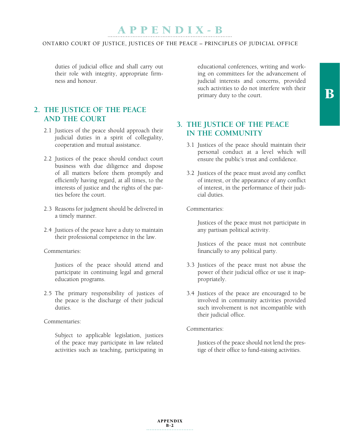# APPENDIX-B

#### ONTARIO COURT OF JUSTICE, JUSTICES OF THE PEACE – Principles of Judicial office

duties of judicial office and shall carry out their role with integrity, appropriate firmness and honour.

# **2. THE JUSTICE OF THE PEACE AND THE COURT**

- 2.1 Justices of the peace should approach their judicial duties in a spirit of collegiality, cooperation and mutual assistance.
- 2.2 Justices of the peace should conduct court business with due diligence and dispose of all matters before them promptly and efficiently having regard, at all times, to the interests of justice and the rights of the parties before the court.
- 2.3 Reasons for judgment should be delivered in a timely manner.
- 2.4 Justices of the peace have a duty to maintain their professional competence in the law.

Commentaries:

 Justices of the peace should attend and participate in continuing legal and general education programs.

2.5 The primary responsibility of justices of the peace is the discharge of their judicial duties.

Commentaries:

 Subject to applicable legislation, justices of the peace may participate in law related activities such as teaching, participating in

educational conferences, writing and working on committees for the advancement of judicial interests and concerns, provided such activities to do not interfere with their primary duty to the court.

# **3. THE JUSTICE OF THE PEACE IN THE COMMUNITY**

- 3.1 Justices of the peace should maintain their personal conduct at a level which will ensure the public's trust and confidence.
- 3.2 Justices of the peace must avoid any conflict of interest, or the appearance of any conflict of interest, in the performance of their judicial duties.

#### Commentaries:

 Justices of the peace must not participate in any partisan political activity.

 Justices of the peace must not contribute financially to any political party.

- 3.3 Justices of the peace must not abuse the power of their judicial office or use it inappropriately.
- 3.4 Justices of the peace are encouraged to be involved in community activities provided such involvement is not incompatible with their judicial office.

Commentaries:

 Justices of the peace should not lend the prestige of their office to fund-raising activities.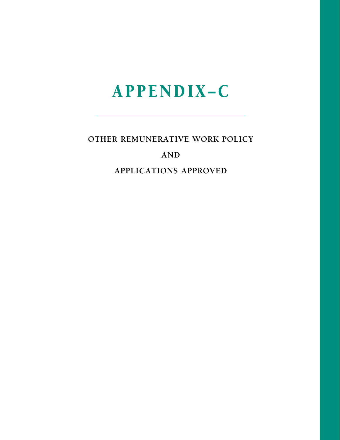# Appen diX–C

**OTHER REMUNERATIVE WORK POLICY**

# **AND**

**APPLICATIONS APPROVED**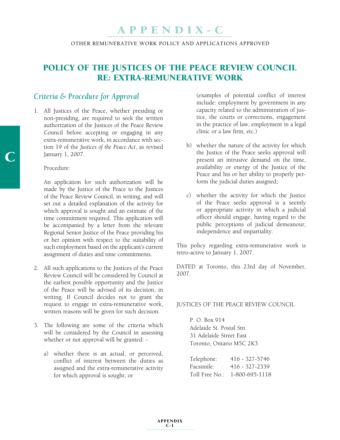# Policy of the Justices of the Peace Review Council RE: Extra-Remunerative Work

# *Criteria & Procedure for Approval*

1. All Justices of the Peace, whether presiding or non-presiding, are required to seek the written authorization of the Justices of the Peace Review Council before accepting or engaging in any extra-remunerative work, in accordance with section 19 of the *Justices of the Peace Act*, as revised January 1, 2007.

#### Procedure:

 An application for such authorization will be made by the Justice of the Peace to the Justices of the Peace Review Council, in writing, and will set out a detailed explanation of the activity for which approval is sought and an estimate of the time commitment required. This application will be accompanied by a letter from the relevant Regional Senior Justice of the Peace providing his or her opinion with respect to the suitability of such employment based on the applicant's current assignment of duties and time commitments.

- 2. All such applications to the Justices of the Peace Review Council will be considered by Council at the earliest possible opportunity and the Justice of the Peace will be advised of its decision, in writing. If Council decides not to grant the request to engage in extra-remunerative work, written reasons will be given for such decision.
- 3. The following are some of the criteria which will be considered by the Council in assessing whether or not approval will be granted:
	- a) whether there is an actual, or perceived, conflict of interest between the duties as assigned and the extra-remunerative activity for which approval is sought; or

 (examples of potential conflict of interest include: employment by government in any capacity related to the administration of justice, the courts or corrections, engagement in the practice of law, employment in a legal clinic or a law firm, etc.)

- b) whether the nature of the activity for which the Justice of the Peace seeks approval will present an intrusive demand on the time, availability or energy of the Justice of the Peace and his or her ability to properly perform the judicial duties assigned;
- c) whether the activity for which the Justice of the Peace seeks approval is a seemly or appropriate activity in which a judicial officer should engage, having regard to the public perceptions of judicial demeanour, independence and impartiality.

This policy regarding extra-remunerative work is retro-active to January 1, 2007.

DATED at Toronto, this 23rd day of November, 2007.

#### JUSTICES OF THE PEACE REVIEW COUNCIL

P. O. Box 914 Adelaide St. Postal Stn. 31 Adelaide Street East Toronto, Ontario M5C 2K3

| Telephone: | 416 - 327-5746                |
|------------|-------------------------------|
| Facsimile: | 416 - 327-2339                |
|            | Toll Free No.: 1-800-695-1118 |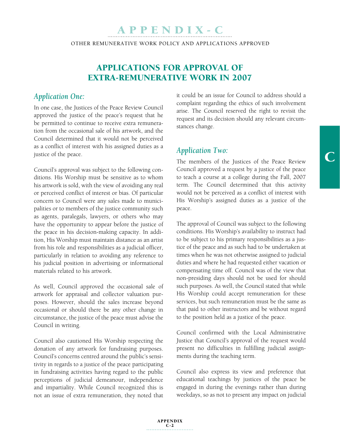OTHER REMUNERATIVE WORK POLICY AND APPLICATIONS APPROVED

# Applications for Approval of Extra-Remunerative Work in 2007

# *Application One:*

In one case, the Justices of the Peace Review Council approved the justice of the peace's request that he be permitted to continue to receive extra remuneration from the occasional sale of his artwork, and the Council determined that it would not be perceived as a conflict of interest with his assigned duties as a justice of the peace.

Council's approval was subject to the following conditions. His Worship must be sensitive as to whom his artwork is sold, with the view of avoiding any real or perceived conflict of interest or bias. Of particular concern to Council were any sales made to municipalities or to members of the justice community such as agents, paralegals, lawyers, or others who may have the opportunity to appear before the justice of the peace in his decision-making capacity. In addition, His Worship must maintain distance as an artist from his role and responsibilities as a judicial officer, particularly in relation to avoiding any reference to his judicial position in advertising or informational materials related to his artwork.

As well, Council approved the occasional sale of artwork for appraisal and collector valuation purposes. However, should the sales increase beyond occasional or should there be any other change in circumstance, the justice of the peace must advise the Council in writing.

Council also cautioned His Worship respecting the donation of any artwork for fundraising purposes. Council's concerns centred around the public's sensitivity in regards to a justice of the peace participating in fundraising activities having regard to the public perceptions of judicial demeanour, independence and impartiality. While Council recognized this is not an issue of extra remuneration, they noted that

it could be an issue for Council to address should a complaint regarding the ethics of such involvement arise. The Council reserved the right to revisit the request and its decision should any relevant circumstances change.

# *Application Two:*

The members of the Justices of the Peace Review Council approved a request by a justice of the peace to teach a course at a college during the Fall, 2007 term. The Council determined that this activity would not be perceived as a conflict of interest with His Worship's assigned duties as a justice of the peace.

The approval of Council was subject to the following conditions. His Worship's availability to instruct had to be subject to his primary responsibilities as a justice of the peace and as such had to be undertaken at times when he was not otherwise assigned to judicial duties and where he had requested either vacation or compensating time off. Council was of the view that non-presiding days should not be used for should such purposes. As well, the Council stated that while His Worship could accept remuneration for these services, but such remuneration must be the same as that paid to other instructors and be without regard to the position held as a justice of the peace.

Council confirmed with the Local Administrative Justice that Council's approval of the request would present no difficulties in fulfilling judicial assignments during the teaching term.

Council also express its view and preference that educational teachings by justices of the peace be engaged in during the evenings rather than during weekdays, so as not to present any impact on judicial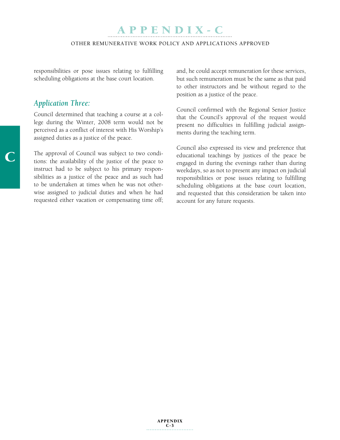APPEN DI X - C

OTHER REMUNERATIVE WORK POLICY AND APPLICATIONS APPROVED

responsibilities or pose issues relating to fulfilling scheduling obligations at the base court location.

# *Application Three:*

Council determined that teaching a course at a college during the Winter, 2008 term would not be perceived as a conflict of interest with His Worship's assigned duties as a justice of the peace.

The approval of Council was subject to two conditions: the availability of the justice of the peace to instruct had to be subject to his primary responsibilities as a justice of the peace and as such had to be undertaken at times when he was not otherwise assigned to judicial duties and when he had requested either vacation or compensating time off; and, he could accept remuneration for these services, but such remuneration must be the same as that paid to other instructors and be without regard to the position as a justice of the peace.

Council confirmed with the Regional Senior Justice that the Council's approval of the request would present no difficulties in fulfilling judicial assignments during the teaching term.

Council also expressed its view and preference that educational teachings by justices of the peace be engaged in during the evenings rather than during weekdays, so as not to present any impact on judicial responsibilities or pose issues relating to fulfilling scheduling obligations at the base court location, and requested that this consideration be taken into account for any future requests.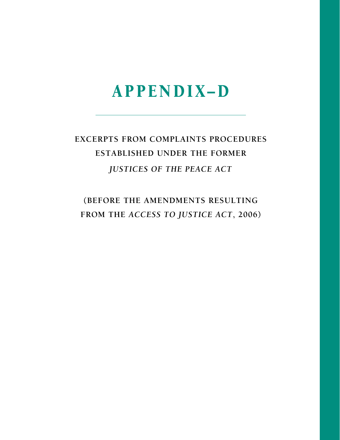# Appen diX– D

# **excerpts from Complaints Procedures established under the former** *justices of the peace act*

**(Before the amendments resulting from the** *access to justice act***, 2006)**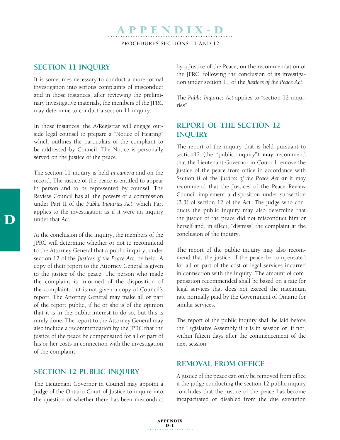# APPEN DI X - D Procedures Sections 11 and 12

# **Section 11 Inquiry**

It is sometimes necessary to conduct a more formal investigation into serious complaints of misconduct and in those instances, after reviewing the preliminary investigative materials, the members of the JPRC may determine to conduct a section 11 inquiry.

In those instances, the A/Registrar will engage outside legal counsel to prepare a "Notice of Hearing" which outlines the particulars of the complaint to be addressed by Council. The Notice is personally served on the justice of the peace.

The section 11 inquiry is held *in camera* and on the record. The justice of the peace is entitled to appear in person and to be represented by counsel. The Review Council has all the powers of a commission under Part II of the *Public Inquiries Act*, which Part applies to the investigation as if it were an inquiry under that *Act*.

At the conclusion of the inquiry, the members of the JPRC will determine whether or not to recommend to the Attorney General that a public inquiry, under section 12 of the *Justices of the Peace Act*, be held. A copy of their report to the Attorney General is given to the justice of the peace. The person who made the complaint is informed of the disposition of the complaint, but is not given a copy of Council's report. The Attorney General may make all or part of the report public, if he or she is of the opinion that it is in the public interest to do so, but this is rarely done. The report to the Attorney General may also include a recommendation by the JPRC that the justice of the peace be compensated for all or part of his or her costs in connection with the investigation of the complaint.

#### **Section 12 Public Inquiry**

The Lieutenant Governor in Council may appoint a Judge of the Ontario Court of Justice to inquire into the question of whether there has been misconduct by a Justice of the Peace, on the recommendation of the JPRC, following the conclusion of its investigation under section 11 of the *Justices of the Peace Act*.

The *Public Inquiries Act* applies to "section 12 inquiries".

# **Report of the Section 12 Inquiry**

The report of the inquiry that is held pursuant to section12 (the "public inquiry") **may** recommend that the Lieutenant Governor in Council remove the justice of the peace from office in accordance with Section 8 of the *Justices of the Peace Act* **or** it may recommend that the Justices of the Peace Review Council implement a disposition under subsection (3.3) of section 12 of the Act. The judge who conducts the public inquiry may also determine that the justice of the peace did not misconduct him or herself and, in effect, "dismiss" the complaint at the conclusion of the inquiry.

The report of the public inquiry may also recommend that the justice of the peace be compensated for all or part of the cost of legal services incurred in connection with the inquiry. The amount of compensation recommended shall be based on a rate for legal services that does not exceed the maximum rate normally paid by the Government of Ontario for similar services.

The report of the public inquiry shall be laid before the Legislative Assembly if it is in session or, if not, within fifteen days after the commencement of the next session.

### **Removal from Office**

A justice of the peace can only be removed from office if the judge conducting the section 12 public inquiry concludes that the justice of the peace has become incapacitated or disabled from the due execution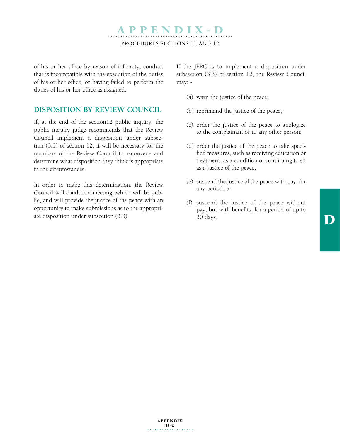Procedures Sections 11 and 12

APPEN DI X - D

of his or her office by reason of infirmity, conduct that is incompatible with the execution of the duties of his or her office, or having failed to perform the duties of his or her office as assigned.

### **Disposition by Review Council**

If, at the end of the section12 public inquiry, the public inquiry judge recommends that the Review Council implement a disposition under subsection (3.3) of section 12, it will be necessary for the members of the Review Council to reconvene and determine what disposition they think is appropriate in the circumstances.

In order to make this determination, the Review Council will conduct a meeting, which will be public, and will provide the justice of the peace with an opportunity to make submissions as to the appropriate disposition under subsection (3.3).

If the JPRC is to implement a disposition under subsection (3.3) of section 12, the Review Council may: -

- (a) warn the justice of the peace;
- (b) reprimand the justice of the peace;
- (c) order the justice of the peace to apologize to the complainant or to any other person;
- (d) order the justice of the peace to take specified measures, such as receiving education or treatment, as a condition of continuing to sit as a justice of the peace;
- (e) suspend the justice of the peace with pay, for any period; or
- (f) suspend the justice of the peace without pay, but with benefits, for a period of up to 30 days.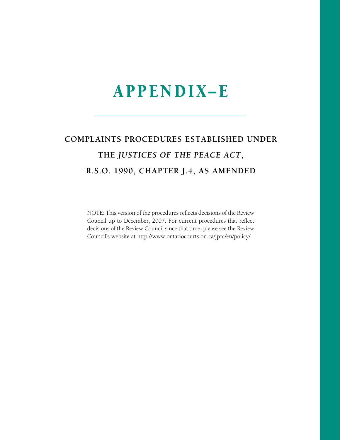## COMPLAINTS PROCEDURES ESTABLISHED UNDER THE JUSTICES OF THE PEACE ACT, R.S.O. 1990, CHAPTER J.4, AS AMENDED

NOTE: This version of the procedures reflects decisions of the Review Council up to December, 2007. For current procedures that reflect decisions of the Review Council since that time, please see the Review Council's website at http://www.ontariocourts.on.ca/jprc/en/policy/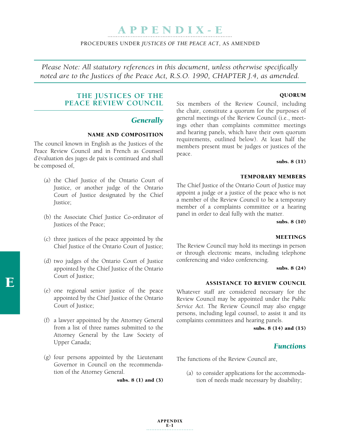#### Procedures under *Justices of the Peace Act*, As amended

*Please Note: All statutory references in this document, unless otherwise specifically noted are to the Justices of the Peace Act, R.S.O. 1990, CHAPTER J.4, as amended.*

#### Quorum

### **THE JUSTICES OF THE PEACE REVIEW COUNCIL**

#### *Generally*

#### Name and composition

The council known in English as the Justices of the Peace Review Council and in French as Counseil d'évaluation des juges de paix is continued and shall be composed of,

- (a) the Chief Justice of the Ontario Court of Justice, or another judge of the Ontario Court of Justice designated by the Chief Justice;
- (b) the Associate Chief Justice Co-ordinator of Justices of the Peace;
- (c) three justices of the peace appointed by the Chief Justice of the Ontario Court of Justice;
- (d) two judges of the Ontario Court of Justice appointed by the Chief Justice of the Ontario Court of Justice;
- (e) one regional senior justice of the peace appointed by the Chief Justice of the Ontario Court of Justice;
- (f) a lawyer appointed by the Attorney General from a list of three names submitted to the Attorney General by the Law Society of Upper Canada;
- (g) four persons appointed by the Lieutenant Governor in Council on the recommendation of the Attorney General.

Six members of the Review Council, including the chair, constitute a quorum for the purposes of general meetings of the Review Council (i.e., meetings other than complaints committee meetings and hearing panels, which have their own quorum requirements, outlined below). At least half the members present must be judges or justices of the peace.

subs. 8 (11)

#### Temporary Members

The Chief Justice of the Ontario Court of Justice may appoint a judge or a justice of the peace who is not a member of the Review Council to be a temporary member of a complaints committee or a hearing panel in order to deal fully with the matter.

subs. 8 (10)

### **MEETINGS**

The Review Council may hold its meetings in person or through electronic means, including telephone conferencing and video conferencing.

subs. 8 (24)

#### Assistance to Review Council

Whatever staff are considered necessary for the Review Council may be appointed under the *Public Service Act*. The Review Council may also engage persons, including legal counsel, to assist it and its complaints committees and hearing panels.

subs. 8 (14) and (15)

### *Functions*

The functions of the Review Council are,

(a) to consider applications for the accommodation of needs made necessary by disability;

subs. 8 (1) and (3)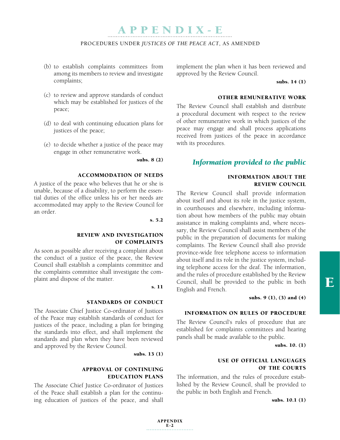#### Procedures under *Justices of the Peace Act*, As amended

- (b) to establish complaints committees from among its members to review and investigate complaints;
- (c) to review and approve standards of conduct which may be established for justices of the peace;
- (d) to deal with continuing education plans for justices of the peace;
- (e) to decide whether a justice of the peace may engage in other remunerative work.

subs. 8 (2)

#### Accommodation of needs

A justice of the peace who believes that he or she is unable, because of a disability, to perform the essential duties of the office unless his or her needs are accommodated may apply to the Review Council for an order.

s. 5.2

#### Review and investigation of complaints

As soon as possible after receiving a complaint about the conduct of a justice of the peace, the Review Council shall establish a complaints committee and the complaints committee shall investigate the complaint and dispose of the matter.

s. 11

#### Standards of conduct

The Associate Chief Justice Co-ordinator of Justices of the Peace may establish standards of conduct for justices of the peace, including a plan for bringing the standards into effect, and shall implement the standards and plan when they have been reviewed and approved by the Review Council.

subs. 13 (1)

### Approval of continuing education plans

The Associate Chief Justice Co-ordinator of Justices of the Peace shall establish a plan for the continuing education of justices of the peace, and shall

implement the plan when it has been reviewed and approved by the Review Council.

subs. 14 (1)

#### Other remunerative work

The Review Council shall establish and distribute a procedural document with respect to the review of other remunerative work in which justices of the peace may engage and shall process applications received from justices of the peace in accordance with its procedures.

### *Information provided to the public*

### Information about the Review Council

The Review Council shall provide information about itself and about its role in the justice system, in courthouses and elsewhere, including information about how members of the public may obtain assistance in making complaints and, where necessary, the Review Council shall assist members of the public in the preparation of documents for making complaints. The Review Council shall also provide province-wide free telephone access to information about itself and its role in the justice system, including telephone access for the deaf. The information, and the rules of procedure established by the Review Council, shall be provided to the public in both English and French.

subs. 9 (1), (3) and (4)

### Information on Rules of Procedure

The Review Council's rules of procedure that are established for complaints committees and hearing panels shall be made available to the public.

subs. 10. (1)

### Use of official languages of the courts

The information, and the rules of procedure established by the Review Council, shall be provided to the public in both English and French.

subs. 10.1 (1)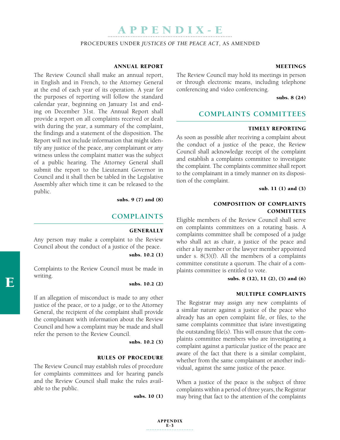Procedures under *Justices of the Peace Act*, As amended

#### Annual Report

The Review Council shall make an annual report, in English and in French, to the Attorney General at the end of each year of its operation. A year for the purposes of reporting will follow the standard calendar year, beginning on January 1st and ending on December 31st. The Annual Report shall provide a report on all complaints received or dealt with during the year, a summary of the complaint, the findings and a statement of the disposition. The Report will not include information that might identify any justice of the peace, any complainant or any witness unless the complaint matter was the subject of a public hearing. The Attorney General shall submit the report to the Lieutenant Governor in Council and it shall then be tabled in the Legislative Assembly after which time it can be released to the public.

subs. 9 (7) and (8)

#### **COMPLAINTS**

#### **GENERALLY**

Any person may make a complaint to the Review Council about the conduct of a justice of the peace.

subs. 10.2 (1)

Complaints to the Review Council must be made in writing.

subs. 10.2 (2)

If an allegation of misconduct is made to any other justice of the peace, or to a judge, or to the Attorney General, the recipient of the complaint shall provide the complainant with information about the Review Council and how a complaint may be made and shall refer the person to the Review Council.

subs. 10.2 (3)

#### Rules of procedure

The Review Council may establish rules of procedure for complaints committees and for hearing panels and the Review Council shall make the rules available to the public.

subs. 10 (1)

#### **MEETINGS**

The Review Council may hold its meetings in person or through electronic means, including telephone conferencing and video conferencing.

subs. 8 (24)

### **COMPLAINTS COMMITTEES**

#### Timely reporting

As soon as possible after receiving a complaint about the conduct of a justice of the peace, the Review Council shall acknowledge receipt of the complaint and establish a complaints committee to investigate the complaint. The complaints committee shall report to the complainant in a timely manner on its disposition of the complaint.

sub. 11 (1) and (3)

#### Composition of complaints **COMMITTEES**

Eligible members of the Review Council shall serve on complaints committees on a rotating basis. A complaints committee shall be composed of a judge who shall act as chair, a justice of the peace and either a lay member or the lawyer member appointed under s. 8(3)(f). All the members of a complaints committee constitute a quorum. The chair of a complaints committee is entitled to vote.

subs. 8 (12), 11 (2), (5) and (6)

#### Multiple Complaints

The Registrar may assign any new complaints of a similar nature against a justice of the peace who already has an open complaint file, or files, to the same complaints committee that is/are investigating the outstanding file(s). This will ensure that the complaints committee members who are investigating a complaint against a particular justice of the peace are aware of the fact that there is a similar complaint, whether from the same complainant or another individual, against the same justice of the peace.

When a justice of the peace is the subject of three complaints within a period of three years, the Registrar may bring that fact to the attention of the complaints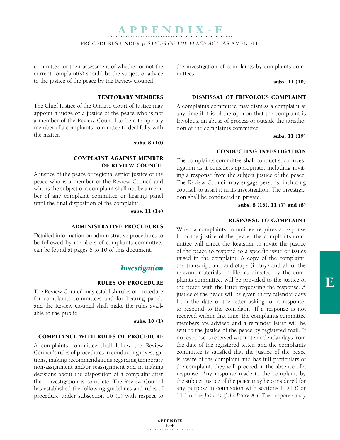#### Procedures under *Justices of the Peace Act*, As amended

committee for their assessment of whether or not the current complaint(s) should be the subject of advice to the justice of the peace by the Review Council.

#### Temporary Members

The Chief Justice of the Ontario Court of Justice may appoint a judge or a justice of the peace who is not a member of the Review Council to be a temporary member of a complaints committee to deal fully with the matter.

subs. 8 (10)

#### Complaint against member of Review Council

A justice of the peace or regional senior justice of the peace who is a member of the Review Council and who is the subject of a complaint shall not be a member of any complaint committee or hearing panel until the final disposition of the complaint.

subs. 11 (14)

#### Administrative procedures

Detailed information on administrative procedures to be followed by members of complaints committees can be found at pages 6 to 10 of this document.

#### *Investigation*

#### Rules of procedure

The Review Council may establish rules of procedure for complaints committees and for hearing panels and the Review Council shall make the rules available to the public.

subs. 10 (1)

#### Compliance with rules of procedure

A complaints committee shall follow the Review Council's rules of procedures in conducting investigations, making recommendations regarding temporary non-assignment and/or reassignment and in making decisions about the disposition of a complaint after their investigation is complete. The Review Council has established the following guidelines and rules of procedure under subsection 10 (1) with respect to

the investigation of complaints by complaints committees.

subs. 11 (10)

#### Dismissal of frivolous complaint

A complaints committee may dismiss a complaint at any time if it is of the opinion that the complaint is frivolous, an abuse of process or outside the jurisdiction of the complaints committee.

subs. 11 (19)

#### Conducting investigation

The complaints committee shall conduct such investigation as it considers appropriate, including inviting a response from the subject justice of the peace. The Review Council may engage persons, including counsel, to assist it in its investigation. The investigation shall be conducted in private.

subs. 8 (15), 11 (7) and (8)

#### Response to Complaint

When a complaints committee requires a response from the justice of the peace, the complaints committee will direct the Registrar to invite the justice of the peace to respond to a specific issue or issues raised in the complaint. A copy of the complaint, the transcript and audiotape (if any) and all of the relevant materials on file, as directed by the complaints committee, will be provided to the justice of the peace with the letter requesting the response. A justice of the peace will be given thirty calendar days from the date of the letter asking for a response, to respond to the complaint. If a response is not received within that time, the complaints committee members are advised and a reminder letter will be sent to the justice of the peace by registered mail. If no response is received within ten calendar days from the date of the registered letter, and the complaints committee is satisfied that the justice of the peace is aware of the complaint and has full particulars of the complaint, they will proceed in the absence of a response. Any response made to the complaint by the subject justice of the peace may be considered for any purpose in connection with sections 11.(15) or 11.1 of the *Justices of the Peace Act*. The response may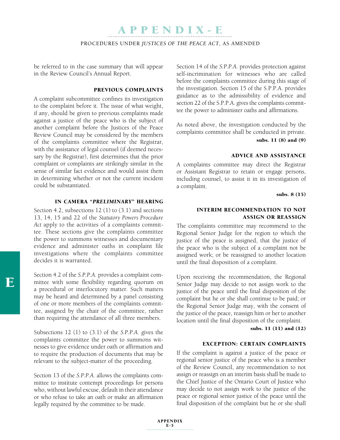#### Procedures under *Justices of the Peace Act*, As amended

be referred to in the case summary that will appear in the Review Council's Annual Report.

#### Previous Complaints

A complaint subcommittee confines its investigation to the complaint before it. The issue of what weight, if any, should be given to previous complaints made against a justice of the peace who is the subject of another complaint before the Justices of the Peace Review Council may be considered by the members of the complaints committee where the Registrar, with the assistance of legal counsel (if deemed necessary by the Registrar), first determines that the prior complaint or complaints are strikingly similar in the sense of similar fact evidence and would assist them in determining whether or not the current incident could be substantiated.

### In camera "*preliminary*" hearing

Section 4.2, subsections 12 (1) to (3.1) and sections 13, 14, 15 and 22 of the *Statutory Powers Procedure Act* apply to the activities of a complaints committee. These sections give the complaints committee the power to summons witnesses and documentary evidence and administer oaths in complaint file investigations where the complaints committee decides it is warranted.

Section 4.2 of the *S.P.P.A.* provides a complaint committee with some flexibility regarding quorum on a procedural or interlocutory matter. Such matters may be heard and determined by a panel consisting of one or more members of the complaints committee, assigned by the chair of the committee, rather than requiring the attendance of all three members.

Subsections 12 (1) to (3.1) of the *S.P.P.A.* gives the complaints committee the power to summons witnesses to give evidence under oath or affirmation and to require the production of documents that may be relevant to the subject-matter of the proceeding.

Section 13 of the *S.P.P.A.* allows the complaints committee to institute contempt proceedings for persons who, without lawful excuse, default in their attendance or who refuse to take an oath or make an affirmation legally required by the committee to be made.

Section 14 of the *S.P.P.A.* provides protection against self-incrimination for witnesses who are called before the complaints committee during this stage of the investigation. Section 15 of the S.P.P.A. provides guidance as to the admissibility of evidence and section 22 of the S.P.P.A. gives the complaints committee the power to administer oaths and affirmations.

As noted above, the investigation conducted by the complaints committee shall be conducted in private. subs. 11 (8) and (9)

#### Advice and assistance

A complaints committee may direct the Registrar or Assistant Registrar to retain or engage persons, including counsel, to assist it in its investigation of a complaint.

subs. 8 (15)

#### Interim recommendation to not assign or reassign

The complaints committee may recommend to the Regional Senior Judge for the region to which the justice of the peace is assigned, that the justice of the peace who is the subject of a complaint not be assigned work; or be reassigned to another location until the final disposition of a complaint.

Upon receiving the recommendation, the Regional Senior Judge may decide to not assign work to the justice of the peace until the final disposition of the complaint but he or she shall continue to be paid; or the Regional Senior Judge may, with the consent of the justice of the peace, reassign him or her to another location until the final disposition of the complaint.

subs. 11 (11) and (12)

#### Exception: certain complaints

If the complaint is against a justice of the peace or regional senior justice of the peace who is a member of the Review Council, any recommendation to not assign or reassign on an interim basis shall be made to the Chief Justice of the Ontario Court of Justice who may decide to not assign work to the justice of the peace or regional senior justice of the peace until the final disposition of the complaint but he or she shall

 $\mathbf F$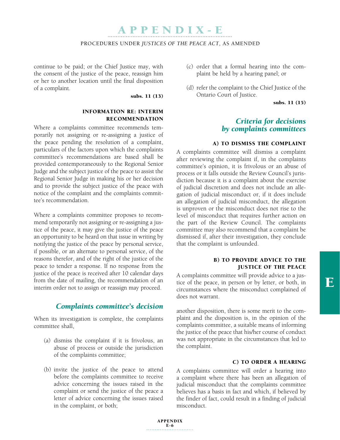#### Procedures under *Justices of the Peace Act*, As amended

continue to be paid; or the Chief Justice may, with the consent of the justice of the peace, reassign him or her to another location until the final disposition of a complaint.

#### subs. 11 (13)

#### Information re: interim recommendation

Where a complaints committee recommends temporarily not assigning or re-assigning a justice of the peace pending the resolution of a complaint, particulars of the factors upon which the complaints committee's recommendations are based shall be provided contemporaneously to the Regional Senior Judge and the subject justice of the peace to assist the Regional Senior Judge in making his or her decision and to provide the subject justice of the peace with notice of the complaint and the complaints committee's recommendation.

Where a complaints committee proposes to recommend temporarily not assigning or re-assigning a justice of the peace, it may give the justice of the peace an opportunity to be heard on that issue in writing by notifying the justice of the peace by personal service, if possible, or an alternate to personal service, of the reasons therefor, and of the right of the justice of the peace to tender a response. If no response from the justice of the peace is received after 10 calendar days from the date of mailing, the recommendation of an interim order not to assign or reassign may proceed.

### *Complaints committee's decision*

When its investigation is complete, the complaints committee shall,

- (a) dismiss the complaint if it is frivolous, an abuse of process or outside the jurisdiction of the complaints committee;
- (b) invite the justice of the peace to attend before the complaints committee to receive advice concerning the issues raised in the complaint or send the justice of the peace a letter of advice concerning the issues raised in the complaint, or both;
- (c) order that a formal hearing into the complaint be held by a hearing panel; or
- (d) refer the complaint to the Chief Justice of the Ontario Court of Justice.

subs. 11 (15)

### *Criteria for decisions by complaints committees*

#### a) to dismiss the complaint

A complaints committee will dismiss a complaint after reviewing the complaint if, in the complaints committee's opinion, it is frivolous or an abuse of process or it falls outside the Review Council's jurisdiction because it is a complaint about the exercise of judicial discretion and does not include an allegation of judicial misconduct or, if it does include an allegation of judicial misconduct, the allegation is unproven or the misconduct does not rise to the level of misconduct that requires further action on the part of the Review Council. The complaints committee may also recommend that a complaint be dismissed if, after their investigation, they conclude that the complaint is unfounded.

#### b) to provide advice to the justice of the peace

A complaints committee will provide advice to a justice of the peace, in person or by letter, or both, in circumstances where the misconduct complained of does not warrant.

another disposition, there is some merit to the complaint and the disposition is, in the opinion of the complaints committee, a suitable means of informing the justice of the peace that his/her course of conduct was not appropriate in the circumstances that led to the complaint.

#### c) to order a hearing

A complaints committee will order a hearing into a complaint where there has been an allegation of judicial misconduct that the complaints committee believes has a basis in fact and which, if believed by the finder of fact, could result in a finding of judicial misconduct.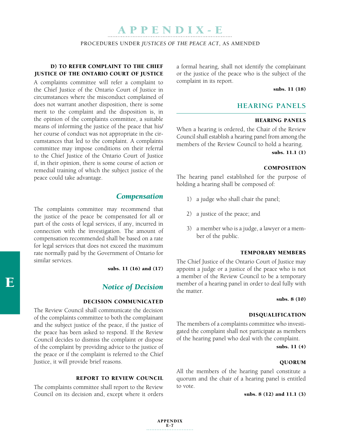Procedures under *Justices of the Peace Act*, As amended

### d) to refer complaint to the Chief Justice of the Ontario Court of Justice

A complaints committee will refer a complaint to the Chief Justice of the Ontario Court of Justice in circumstances where the misconduct complained of does not warrant another disposition, there is some merit to the complaint and the disposition is, in the opinion of the complaints committee, a suitable means of informing the justice of the peace that his/ her course of conduct was not appropriate in the circumstances that led to the complaint. A complaints committee may impose conditions on their referral to the Chief Justice of the Ontario Court of Justice if, in their opinion, there is some course of action or remedial training of which the subject justice of the peace could take advantage.

### *Compensation*

The complaints committee may recommend that the justice of the peace be compensated for all or part of the costs of legal services, if any, incurred in connection with the investigation. The amount of compensation recommended shall be based on a rate for legal services that does not exceed the maximum rate normally paid by the Government of Ontario for similar services.

subs. 11 (16) and (17)

### *Notice of Decision*

#### Decision communicated

The Review Council shall communicate the decision of the complaints committee to both the complainant and the subject justice of the peace, if the justice of the peace has been asked to respond. If the Review Council decides to dismiss the complaint or dispose of the complaint by providing advice to the justice of the peace or if the complaint is referred to the Chief Justice, it will provide brief reasons.

#### Report to Review Council

The complaints committee shall report to the Review Council on its decision and, except where it orders a formal hearing, shall not identify the complainant or the justice of the peace who is the subject of the complaint in its report.

subs. 11 (18)

#### **HEARING PANELS**

#### Hearing panels

When a hearing is ordered, the Chair of the Review Council shall establish a hearing panel from among the members of the Review Council to hold a hearing.

subs. 11.1 (1)

#### **COMPOSITION**

The hearing panel established for the purpose of holding a hearing shall be composed of:

- 1) a judge who shall chair the panel;
- 2) a justice of the peace; and
- 3) a member who is a judge, a lawyer or a member of the public.

#### Temporary members

The Chief Justice of the Ontario Court of Justice may appoint a judge or a justice of the peace who is not a member of the Review Council to be a temporary member of a hearing panel in order to deal fully with the matter.

#### subs. 8 (10)

#### Disqualification

The members of a complaints committee who investigated the complaint shall not participate as members of the hearing panel who deal with the complaint.

subs. 11 (4)

#### Quorum

All the members of the hearing panel constitute a quorum and the chair of a hearing panel is entitled to vote.

subs. 8 (12) and 11.1 (3)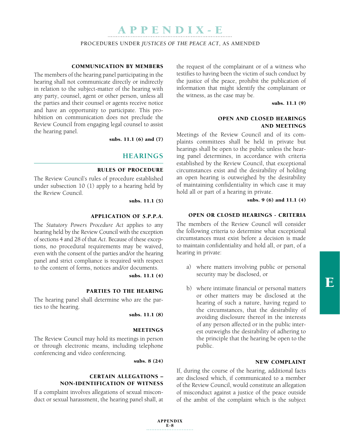Procedures under *Justices of the Peace Act*, As amended

#### Communication by members

The members of the hearing panel participating in the hearing shall not communicate directly or indirectly in relation to the subject-matter of the hearing with any party, counsel, agent or other person, unless all the parties and their counsel or agents receive notice and have an opportunity to participate. This prohibition on communication does not preclude the Review Council from engaging legal counsel to assist the hearing panel.

subs. 11.1 (6) and (7)

### **HEARINGS**

#### Rules of procedure

The Review Council's rules of procedure established under subsection 10 (1) apply to a hearing held by the Review Council.

subs. 11.1 (5)

#### Application of *S.P.P.A.*

The *Statutory Powers Procedure Act* applies to any hearing held by the Review Council with the exception of sections 4 and 28 of that *Act*. Because of these exceptions, no procedural requirements may be waived, even with the consent of the parties and/or the hearing panel and strict compliance is required with respect to the content of forms, notices and/or documents.

subs. 11.1 (4)

#### Parties to the hearing

The hearing panel shall determine who are the parties to the hearing.

#### subs. 11.1 (8)

#### **MEETINGS**

The Review Council may hold its meetings in person or through electronic means, including telephone conferencing and video conferencing.

subs. 8 (24)

### Certain allegations – non-identification of witness

If a complaint involves allegations of sexual misconduct or sexual harassment, the hearing panel shall, at the request of the complainant or of a witness who testifies to having been the victim of such conduct by the justice of the peace, prohibit the publication of information that might identify the complainant or the witness, as the case may be.

subs. 11.1 (9)

#### Open and closed hearings and meetings

Meetings of the Review Council and of its complaints committees shall be held in private but hearings shall be open to the public unless the hearing panel determines, in accordance with criteria established by the Review Council, that exceptional circumstances exist and the desirability of holding an open hearing is outweighed by the desirability of maintaining confidentiality in which case it may hold all or part of a hearing in private.

subs. 9 (6) and 11.1 (4)

#### Open or closed hearings - criteria

The members of the Review Council will consider the following criteria to determine what exceptional circumstances must exist before a decision is made to maintain confidentiality and hold all, or part, of a hearing in private:

- a) where matters involving public or personal security may be disclosed, or
- b) where intimate financial or personal matters or other matters may be disclosed at the hearing of such a nature, having regard to the circumstances, that the desirability of avoiding disclosure thereof in the interests of any person affected or in the public interest outweighs the desirability of adhering to the principle that the hearing be open to the public.

#### New complaint

If, during the course of the hearing, additional facts are disclosed which, if communicated to a member of the Review Council, would constitute an allegation of misconduct against a justice of the peace outside of the ambit of the complaint which is the subject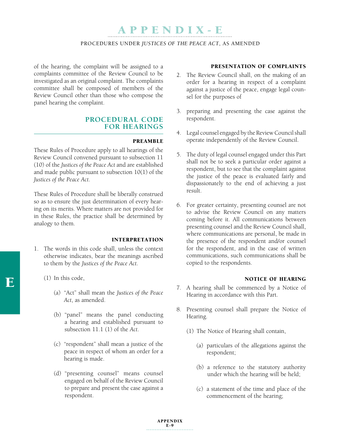#### Procedures under *Justices of the Peace Act*, As amended

of the hearing, the complaint will be assigned to a complaints committee of the Review Council to be investigated as an original complaint. The complaints committee shall be composed of members of the Review Council other than those who compose the panel hearing the complaint.

### **PROCEDURAL CODE FOR HEARINGS**

#### **PREAMBLE**

These Rules of Procedure apply to all hearings of the Review Council convened pursuant to subsection 11 (10) of the *Justices of the Peace Act* and are established and made public pursuant to subsection 10(1) of the *Justices of the Peace Act*.

These Rules of Procedure shall be liberally construed so as to ensure the just determination of every hearing on its merits. Where matters are not provided for in these Rules, the practice shall be determined by analogy to them.

#### **INTERPRETATION**

- 1. The words in this code shall, unless the context otherwise indicates, bear the meanings ascribed to them by the *Justices of the Peace Act*.
	- (1) In this code,
		- (a) "Act" shall mean the *Justices of the Peace Act*, as amended.
		- (b) "panel" means the panel conducting a hearing and established pursuant to subsection 11.1 (1) of the *Act*.
		- (c) "respondent" shall mean a justice of the peace in respect of whom an order for a hearing is made.
		- (d) "presenting counsel" means counsel engaged on behalf of the Review Council to prepare and present the case against a respondent.

#### Presentation of complaints

- 2. The Review Council shall, on the making of an order for a hearing in respect of a complaint against a justice of the peace, engage legal counsel for the purposes of
- 3. preparing and presenting the case against the respondent.
- 4. Legal counsel engaged by the Review Council shall operate independently of the Review Council.
- 5. The duty of legal counsel engaged under this Part shall not be to seek a particular order against a respondent, but to see that the complaint against the justice of the peace is evaluated fairly and dispassionately to the end of achieving a just result.
- 6. For greater certainty, presenting counsel are not to advise the Review Council on any matters coming before it. All communications between presenting counsel and the Review Council shall, where communications are personal, be made in the presence of the respondent and/or counsel for the respondent, and in the case of written communications, such communications shall be copied to the respondents.

#### NOTICE OF HEARING

- 7. A hearing shall be commenced by a Notice of Hearing in accordance with this Part.
- 8. Presenting counsel shall prepare the Notice of Hearing.
	- (1) The Notice of Hearing shall contain,
		- (a) particulars of the allegations against the respondent;
		- (b) a reference to the statutory authority under which the hearing will be held;
		- (c) a statement of the time and place of the commencement of the hearing;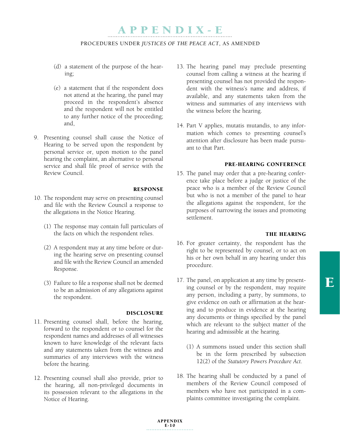#### Procedures under *Justices of the Peace Act*, As amended

- (d) a statement of the purpose of the hearing;
- (e) a statement that if the respondent does not attend at the hearing, the panel may proceed in the respondent's absence and the respondent will not be entitled to any further notice of the proceeding; and,
- 9. Presenting counsel shall cause the Notice of Hearing to be served upon the respondent by personal service or, upon motion to the panel hearing the complaint, an alternative to personal service and shall file proof of service with the Review Council.

#### Response

- 10. The respondent may serve on presenting counsel and file with the Review Council a response to the allegations in the Notice Hearing.
	- (1) The response may contain full particulars of the facts on which the respondent relies.
	- (2) A respondent may at any time before or during the hearing serve on presenting counsel and file with the Review Council an amended Response.
	- (3) Failure to file a response shall not be deemed to be an admission of any allegations against the respondent.

#### **DISCLOSURE**

- 11. Presenting counsel shall, before the hearing, forward to the respondent or to counsel for the respondent names and addresses of all witnesses known to have knowledge of the relevant facts and any statements taken from the witness and summaries of any interviews with the witness before the hearing.
- 12. Presenting counsel shall also provide, prior to the hearing, all non-privileged documents in its possession relevant to the allegations in the Notice of Hearing.
- 13. The hearing panel may preclude presenting counsel from calling a witness at the hearing if presenting counsel has not provided the respondent with the witness's name and address, if available, and any statements taken from the witness and summaries of any interviews with the witness before the hearing.
- 14. Part V applies, mutatis mutandis, to any information which comes to presenting counsel's attention after disclosure has been made pursuant to that Part.

#### Pre-hearing conference

15. The panel may order that a pre-hearing conference take place before a judge or justice of the peace who is a member of the Review Council but who is not a member of the panel to hear the allegations against the respondent, for the purposes of narrowing the issues and promoting settlement.

#### THE HEARING

- 16. For greater certainty, the respondent has the right to be represented by counsel, or to act on his or her own behalf in any hearing under this procedure.
- 17. The panel, on application at any time by presenting counsel or by the respondent, may require any person, including a party, by summons, to give evidence on oath or affirmation at the hearing and to produce in evidence at the hearing any documents or things specified by the panel which are relevant to the subject matter of the hearing and admissible at the hearing.
	- (1) A summons issued under this section shall be in the form prescribed by subsection 12(2) of the *Statutory Powers Procedure Act*.
- 18. The hearing shall be conducted by a panel of members of the Review Council composed of members who have not participated in a complaints committee investigating the complaint.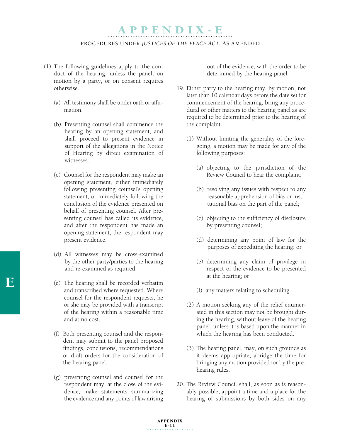#### Procedures under *Justices of the Peace Act*, As amended

- (1) The following guidelines apply to the conduct of the hearing, unless the panel, on motion by a party, or on consent requires otherwise.
	- (a) All testimony shall be under oath or affirmation.
	- (b) Presenting counsel shall commence the hearing by an opening statement, and shall proceed to present evidence in support of the allegations in the Notice of Hearing by direct examination of witnesses.
	- (c) Counsel for the respondent may make an opening statement, either immediately following presenting counsel's opening statement, or immediately following the conclusion of the evidence presented on behalf of presenting counsel. After presenting counsel has called its evidence, and after the respondent has made an opening statement, the respondent may present evidence.
	- (d) All witnesses may be cross-examined by the other party/parties to the hearing and re-examined as required.
	- (e) The hearing shall be recorded verbatim and transcribed where requested. Where counsel for the respondent requests, he or she may be provided with a transcript of the hearing within a reasonable time and at no cost.
	- (f) Both presenting counsel and the respondent may submit to the panel proposed findings, conclusions, recommendations or draft orders for the consideration of the hearing panel.
	- (g) presenting counsel and counsel for the respondent may, at the close of the evidence, make statements summarizing the evidence and any points of law arising

out of the evidence, with the order to be determined by the hearing panel.

- 19. Either party to the hearing may, by motion, not later than 10 calendar days before the date set for commencement of the hearing, bring any procedural or other matters to the hearing panel as are required to be determined prior to the hearing of the complaint.
	- (1) Without limiting the generality of the foregoing, a motion may be made for any of the following purposes:
		- (a) objecting to the jurisdiction of the Review Council to hear the complaint;
		- (b) resolving any issues with respect to any reasonable apprehension of bias or institutional bias on the part of the panel;
		- (c) objecting to the sufficiency of disclosure by presenting counsel;
		- (d) determining any point of law for the purposes of expediting the hearing; or
		- (e) determining any claim of privilege in respect of the evidence to be presented at the hearing; or
		- (f) any matters relating to scheduling.
	- (2) A motion seeking any of the relief enumerated in this section may not be brought during the hearing, without leave of the hearing panel, unless it is based upon the manner in which the hearing has been conducted.
	- (3) The hearing panel, may, on such grounds as it deems appropriate, abridge the time for bringing any motion provided for by the prehearing rules.
- 20. The Review Council shall, as soon as is reasonably possible, appoint a time and a place for the hearing of submissions by both sides on any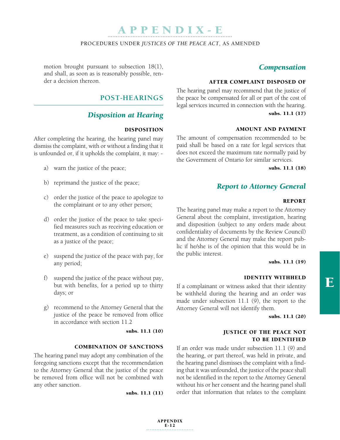Procedures under *Justices of the Peace Act*, As amended

#### motion brought pursuant to subsection 18(1), and shall, as soon as is reasonably possible, render a decision thereon.

### **POST-HEARINGS**

### *Disposition at Hearing*

#### Disposition

After completing the hearing, the hearing panel may dismiss the complaint, with or without a finding that it is unfounded or, if it upholds the complaint, it may: -

- a) warn the justice of the peace;
- b) reprimand the justice of the peace;
- c) order the justice of the peace to apologize to the complainant or to any other person;
- d) order the justice of the peace to take specified measures such as receiving education or treatment, as a condition of continuing to sit as a justice of the peace;
- e) suspend the justice of the peace with pay, for any period;
- f) suspend the justice of the peace without pay, but with benefits, for a period up to thirty days; or
- g) recommend to the Attorney General that the justice of the peace be removed from office in accordance with section 11.2

subs. 11.1 (10)

### Combination of sanctions

The hearing panel may adopt any combination of the foregoing sanctions except that the recommendation to the Attorney General that the justice of the peace be removed from office will not be combined with any other sanction.

subs. 11.1 (11)

### *Compensation*

#### After complaint disposed of

The hearing panel may recommend that the justice of the peace be compensated for all or part of the cost of legal services incurred in connection with the hearing. subs. 11.1 (17)

#### Amount and payment

The amount of compensation recommended to be paid shall be based on a rate for legal services that does not exceed the maximum rate normally paid by the Government of Ontario for similar services.

subs. 11.1 (18)

### *Report to Attorney General*

#### **REPORT**

The hearing panel may make a report to the Attorney General about the complaint, investigation, hearing and disposition (subject to any orders made about confidentiality of documents by the Review Council) and the Attorney General may make the report public if he/she is of the opinion that this would be in the public interest.

#### subs. 11.1 (19)

#### Identity withheld

If a complainant or witness asked that their identity be withheld during the hearing and an order was made under subsection 11.1 (9), the report to the Attorney General will not identify them.

subs. 11.1 (20)

#### Justice of the peace not to be identified

If an order was made under subsection 11.1 (9) and the hearing, or part thereof, was held in private, and the hearing panel dismisses the complaint with a finding that it was unfounded, the justice of the peace shall not be identified in the report to the Attorney General without his or her consent and the hearing panel shall order that information that relates to the complaint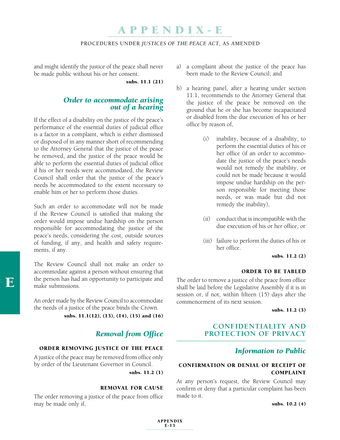#### Procedures under *Justices of the Peace Act*, As amended

and might identify the justice of the peace shall never be made public without his or her consent.

subs. 11.1 (21)

# *Order to accommodate arising out of a hearing*

If the effect of a disability on the justice of the peace's performance of the essential duties of judicial office is a factor in a complaint, which is either dismissed or disposed of in any manner short of recommending to the Attorney General that the justice of the peace be removed, and the justice of the peace would be able to perform the essential duties of judicial office if his or her needs were accommodated, the Review Council shall order that the justice of the peace's needs be accommodated to the extent necessary to enable him or her to perform those duties.

Such an order to accommodate will not be made if the Review Council is satisfied that making the order would impose undue hardship on the person responsible for accommodating the justice of the peace's needs, considering the cost, outside sources of funding, if any, and health and safety requirements, if any.

The Review Council shall not make an order to accommodate against a person without ensuring that the person has had an opportunity to participate and make submissions.

An order made by the Review Council to accommodate the needs of a justice of the peace binds the Crown.

subs. 11.1(12), (13), (14), (15) and (16)

### *Removal from Office*

### Order removing justice of the peace

A justice of the peace may be removed from office only by order of the Lieutenant Governor in Council.

subs. 11.2 (1)

#### Removal for cause

The order removing a justice of the peace from office may be made only if,

- a) a complaint about the justice of the peace has been made to the Review Council; and
- b) a hearing panel, after a hearing under section 11.1, recommends to the Attorney General that the justice of the peace be removed on the ground that he or she has become incapacitated or disabled from the due execution of his or her office by reason of,
	- (i) inability, because of a disability, to perform the essential duties of his or her office (if an order to accommodate the justice of the peace's needs would not remedy the inability, or could not be made because it would impose undue hardship on the person responsible for meeting those needs, or was made but did not remedy the inability),
	- (ii) conduct that is incompatible with the due execution of his or her office, or
	- (iii) failure to perform the duties of his or her office.

#### subs. 11.2 (2)

#### ORDER TO BE TABLED

The order to remove a justice of the peace from office shall be laid before the Legislative Assembly if it is in session or, if not, within fifteen (15) days after the commencement of its next session.

subs. 11.2 (3)

### **CONFIDENTIALITY AND PROTECTION OF PRIVACY**

### *Information to Public*

### Confirmation or denial of receipt of complaint

At any person's request, the Review Council may confirm or deny that a particular complaint has been made to it.

subs. 10.2 (4)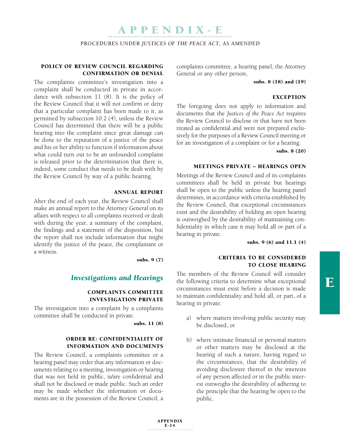Procedures under *Justices of the Peace Act*, As amended

#### Policy of Review Council regarding confirmation or denial

The complaints committee's investigation into a complaint shall be conducted in private in accordance with subsection 11 (8). It is the policy of the Review Council that it will not confirm or deny that a particular complaint has been made to it, as permitted by subsection 10.2 (4), unless the Review Council has determined that there will be a public hearing into the complaint since great damage can be done to the reputation of a justice of the peace and his or her ability to function if information about what could turn out to be an unfounded complaint is released prior to the determination that there is, indeed, some conduct that needs to be dealt with by the Review Council by way of a public hearing.

#### Annual report

After the end of each year, the Review Council shall make an annual report to the Attorney General on its affairs with respect to all complaints received or dealt with during the year, a summary of the complaint, the findings and a statement of the disposition, but the report shall not include information that might identify the justice of the peace, the complainant or a witness.

subs. 9 (7)

### *Investigations and Hearings*

### Complaints committee investigation private

The investigation into a complaint by a complaints committee shall be conducted in private.

subs. 11 (8)

#### Order re: confidentiality of information and documents

The Review Council, a complaints committee or a hearing panel may order that any information or documents relating to a meeting, investigation or hearing that was not held in public, is/are confidential and shall not be disclosed or made public. Such an order may be made whether the information or documents are in the possession of the Review Council, a complaints committee, a hearing panel, the Attorney General or any other person,

#### subs. 8 (18) and (19)

#### **EXCEPTION**

The foregoing does not apply to information and documents that the *Justices of the Peace Act* requires the Review Council to disclose or that have not been treated as confidential and were not prepared exclusively for the purposes of a Review Council meeting or for an investigation of a complaint or for a hearing.

subs. 8 (20)

#### Meetings private – hearings open

Meetings of the Review Council and of its complaints committees shall be held in private but hearings shall be open to the public unless the hearing panel determines, in accordance with criteria established by the Review Council, that exceptional circumstances exist and the desirability of holding an open hearing is outweighed by the desirability of maintaining confidentiality in which case it may hold all or part of a hearing in private.

subs. 9 (6) and 11.1 (4)

#### Criteria to be considered to close hearing

The members of the Review Council will consider the following criteria to determine what exceptional circumstances must exist before a decision is made to maintain confidentiality and hold all, or part, of a hearing in private:

- a) where matters involving public security may be disclosed, or
- b) where intimate financial or personal matters or other matters may be disclosed at the hearing of such a nature, having regard to the circumstances, that the desirability of avoiding disclosure thereof in the interests of any person affected or in the public interest outweighs the desirability of adhering to the principle that the hearing be open to the public.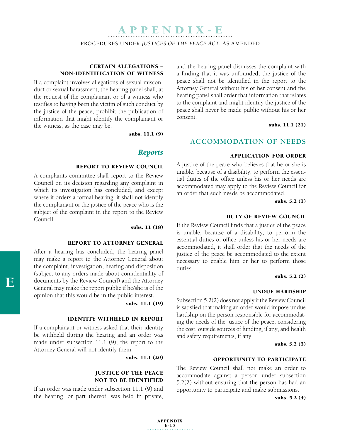Procedures under *Justices of the Peace Act*, As amended

### Certain allegations – non-identification of witness

If a complaint involves allegations of sexual misconduct or sexual harassment, the hearing panel shall, at the request of the complainant or of a witness who testifies to having been the victim of such conduct by the justice of the peace, prohibit the publication of information that might identify the complainant or the witness, as the case may be.

subs. 11.1 (9)

#### *Reports*

#### Report to Review Council

A complaints committee shall report to the Review Council on its decision regarding any complaint in which its investigation has concluded, and except where it orders a formal hearing, it shall not identify the complainant or the justice of the peace who is the subject of the complaint in the report to the Review Council.

#### subs. 11 (18)

#### Report to Attorney General

After a hearing has concluded, the hearing panel may make a report to the Attorney General about the complaint, investigation, hearing and disposition (subject to any orders made about confidentiality of documents by the Review Council) and the Attorney General may make the report public if he/she is of the opinion that this would be in the public interest.

subs. 11.1 (19)

#### Identity withheld in report

If a complainant or witness asked that their identity be withheld during the hearing and an order was made under subsection 11.1 (9), the report to the Attorney General will not identify them.

subs. 11.1 (20)

#### Justice of the peace not to be Identified

If an order was made under subsection 11.1 (9) and the hearing, or part thereof, was held in private,

and the hearing panel dismisses the complaint with a finding that it was unfounded, the justice of the peace shall not be identified in the report to the Attorney General without his or her consent and the hearing panel shall order that information that relates to the complaint and might identify the justice of the peace shall never be made public without his or her consent.

subs. 11.1 (21)

#### **ACCOMMODATION OF NEEDS**

### Application for order

A justice of the peace who believes that he or she is unable, because of a disability, to perform the essential duties of the office unless his or her needs are accommodated may apply to the Review Council for an order that such needs be accommodated.

subs. 5.2 (1)

#### Duty of Review Council

If the Review Council finds that a justice of the peace is unable, because of a disability, to perform the essential duties of office unless his or her needs are accommodated, it shall order that the needs of the justice of the peace be accommodated to the extent necessary to enable him or her to perform those duties.

### subs. 5.2 (2)

#### Undue hardship

Subsection 5.2(2) does not apply if the Review Council is satisfied that making an order would impose undue hardship on the person responsible for accommodating the needs of the justice of the peace, considering the cost, outside sources of funding, if any, and health and safety requirements, if any.

#### subs. 5.2 (3)

#### Opportunity to participate

The Review Council shall not make an order to accommodate against a person under subsection 5.2(2) without ensuring that the person has had an opportunity to participate and make submissions.

subs. 5.2 (4)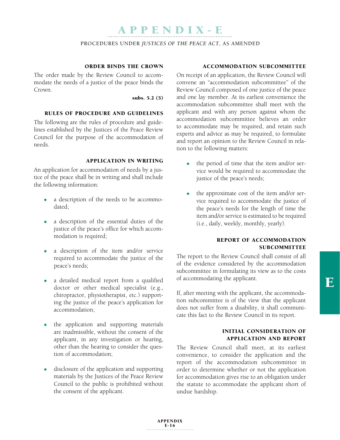#### Procedures under *Justices of the Peace Act*, As amended

#### Order binds the Crown

The order made by the Review Council to accommodate the needs of a justice of the peace binds the Crown.

subs. 5.2 (5)

### Rules of procedure and guidelines

The following are the rules of procedure and guidelines established by the Justices of the Peace Review Council for the purpose of the accommodation of needs.

#### Application in writing

An application for accommodation of needs by a justice of the peace shall be in writing and shall include the following information:

- $\bullet$  a description of the needs to be accommodated;
- $\bullet$  a description of the essential duties of the justice of the peace's office for which accommodation is required;
- a description of the item and/or service required to accommodate the justice of the peace's needs;
- a detailed medical report from a qualified doctor or other medical specialist (e.g., chiropractor, physiotherapist, etc.) supporting the justice of the peace's application for accommodation;
- $\bullet$  the application and supporting materials are inadmissible, without the consent of the applicant, in any investigation or hearing, other than the hearing to consider the question of accommodation;
- $\bullet$  disclosure of the application and supporting materials by the Justices of the Peace Review Council to the public is prohibited without the consent of the applicant.

#### Accommodation subcommittee

On receipt of an application, the Review Council will convene an "accommodation subcommittee" of the Review Council composed of one justice of the peace and one lay member. At its earliest convenience the accommodation subcommittee shall meet with the applicant and with any person against whom the accommodation subcommittee believes an order to accommodate may be required, and retain such experts and advice as may be required, to formulate and report an opinion to the Review Council in relation to the following matters:

- $\bullet$  the period of time that the item and/or service would be required to accommodate the justice of the peace's needs;
- the approximate cost of the item and/or service required to accommodate the justice of the peace's needs for the length of time the item and/or service is estimated to be required (i.e., daily, weekly, monthly, yearly).

#### Report of accommodation **SUBCOMMITTEE**

The report to the Review Council shall consist of all of the evidence considered by the accommodation subcommittee in formulating its view as to the costs of accommodating the applicant.

If, after meeting with the applicant, the accommodation subcommittee is of the view that the applicant does not suffer from a disability, it shall communicate this fact to the Review Council in its report.

#### Initial consideration of application and report

The Review Council shall meet, at its earliest convenience, to consider the application and the report of the accommodation subcommittee in order to determine whether or not the application for accommodation gives rise to an obligation under the statute to accommodate the applicant short of undue hardship.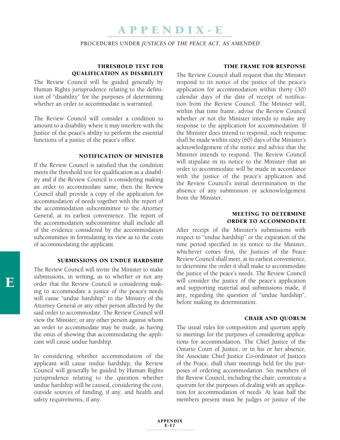Procedures under *Justices of the Peace Act*, As amended

### Threshold test for qualification as disability

The Review Council will be guided generally by Human Rights jurisprudence relating to the definition of "disability" for the purposes of determining whether an order to accommodate is warranted.

The Review Council will consider a condition to amount to a disability where it may interfere with the Justice of the peace's ability to perform the essential functions of a justice of the peace's office.

#### Notification of Minister

If the Review Council is satisfied that the condition meets the threshold test for qualification as a disability and if the Review Council is considering making an order to accommodate same, then the Review Council shall provide a copy of the application for accommodation of needs together with the report of the accommodation subcommittee to the Attorney General, at its earliest convenience. The report of the accommodation subcommittee shall include all of the evidence considered by the accommodation subcommittee in formulating its view as to the costs of accommodating the applicant.

#### Submissions on undue hardship

The Review Council will invite the Minister to make submissions, in writing, as to whether or not any order that the Review Council is considering making to accommodate a justice of the peace's needs will cause "undue hardship" to the Ministry of the Attorney General or any other person affected by the said order to accommodate. The Review Council will view the Minister, or any other person against whom an order to accommodate may be made, as having the onus of showing that accommodating the applicant will cause undue hardship.

In considering whether accommodation of the applicant will cause undue hardship, the Review Council will generally be guided by Human Rights jurisprudence relating to the question whether undue hardship will be caused, considering the cost, outside sources of funding, if any, and health and safety requirements, if any.

#### Time frame for response

The Review Council shall request that the Minister respond to its notice of the justice of the peace's application for accommodation within thirty (30) calendar days of the date of receipt of notification from the Review Council. The Minister will, within that time frame, advise the Review Council whether or not the Minister intends to make any response to the application for accommodation. If the Minister does intend to respond, such response shall be made within sixty (60) days of the Minister's acknowledgement of the notice and advice that the Minister intends to respond. The Review Council will stipulate in its notice to the Minister that an order to accommodate will be made in accordance with the justice of the peace's application and the Review Council's initial determination in the absence of any submission or acknowledgement from the Minister.

#### Meeting to determine order to accommodate

After receipt of the Minister's submissions with respect to "undue hardship" or the expiration of the time period specified in its notice to the Minister, whichever comes first, the Justices of the Peace Review Council shall meet, at its earliest convenience, to determine the order it shall make to accommodate the justice of the peace's needs. The Review Council will consider the justice of the peace's application and supporting material and submissions made, if any, regarding the question of "undue hardship", before making its determination.

#### Chair and quorum

The usual rules for composition and quorum apply to meetings for the purposes of considering applications for accommodation. The Chief Justice of the Ontario Court of Justice, or in his or her absence, the Associate Chief Justice Co-ordinator of Justices of the Peace, shall chair meetings held for the purposes of ordering accommodation. Six members of the Review Council, including the chair, constitute a quorum for the purposes of dealing with an application for accommodation of needs. At least half the members present must be judges or justice of the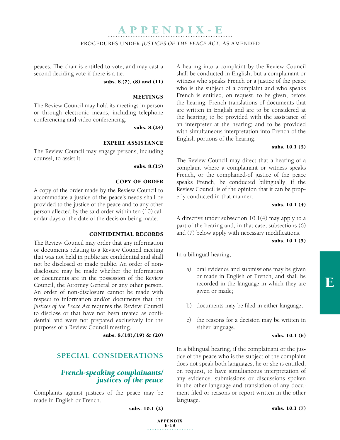#### Procedures under *Justices of the Peace Act*, As amended

peaces. The chair is entitled to vote, and may cast a second deciding vote if there is a tie.

subs. 8.(7), (8) and (11)

#### **MEETINGS**

The Review Council may hold its meetings in person or through electronic means, including telephone conferencing and video conferencing.

subs. 8.(24)

#### Expert assistance

The Review Council may engage persons, including counsel, to assist it.

subs. 8.(15)

#### Copy of Order

A copy of the order made by the Review Council to accommodate a justice of the peace's needs shall be provided to the justice of the peace and to any other person affected by the said order within ten (10) calendar days of the date of the decision being made.

#### Confidential records

The Review Council may order that any information or documents relating to a Review Council meeting that was not held in public are confidential and shall not be disclosed or made public. An order of nondisclosure may be made whether the information or documents are in the possession of the Review Council, the Attorney General or any other person. An order of non-disclosure cannot be made with respect to information and/or documents that the *Justices of the Peace Act* requires the Review Council to disclose or that have not been treated as confidential and were not prepared exclusively for the purposes of a Review Council meeting.

subs. 8.(18),(19) & (20)

### **SPECIAL CONSIDERATIONS**

# *French-speaking complainants/ justices of the peace*

Complaints against justices of the peace may be made in English or French.

subs. 10.1 (2)

APPENDIX

 $E-18$ 

A hearing into a complaint by the Review Council shall be conducted in English, but a complainant or witness who speaks French or a justice of the peace who is the subject of a complaint and who speaks French is entitled, on request, to be given, before the hearing, French translations of documents that are written in English and are to be considered at the hearing; to be provided with the assistance of an interpreter at the hearing; and to be provided with simultaneous interpretation into French of the English portions of the hearing.

#### subs. 10.1 (3)

The Review Council may direct that a hearing of a complaint where a complainant or witness speaks French, or the complained-of justice of the peace speaks French, be conducted bilingually, if the Review Council is of the opinion that it can be properly conducted in that manner.

#### subs. 10.1 (4)

A directive under subsection 10.1(4) may apply to a part of the hearing and, in that case, subsections (6) and (7) below apply with necessary modifications.

#### subs. 10.1 (5)

In a bilingual hearing,

- a) oral evidence and submissions may be given or made in English or French, and shall be recorded in the language in which they are given or made;
- b) documents may be filed in either language;
- c) the reasons for a decision may be written in either language.

#### subs. 10.1 (6)

In a bilingual hearing, if the complainant or the justice of the peace who is the subject of the complaint does not speak both languages, he or she is entitled, on request, to have simultaneous interpretation of any evidence, submissions or discussions spoken in the other language and translation of any document filed or reasons or report written in the other language.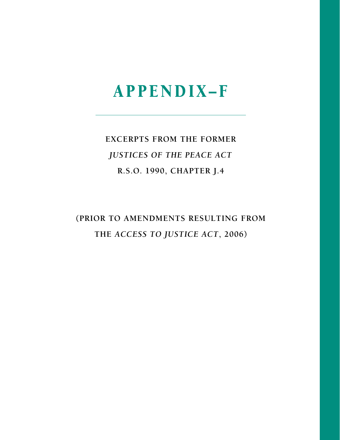**EXCERPTS FROM THE FORMER JUSTICES OF THE PEACE ACT** R.S.O. 1990, CHAPTER J.4

(PRIOR TO AMENDMENTS RESULTING FROM THE ACCESS TO JUSTICE ACT, 2006)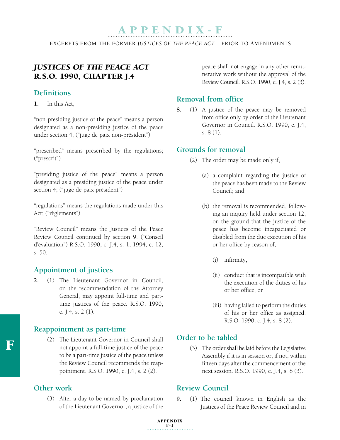EXCERPTS FROM THE FORMER *JUSTICES OF THE PEACE ACT* – PRIOR TO AMENDMENTS

### *Justices of the Peace Act* R.S.O. 1990, CHAPTER J.4

### **Definitions**

**1.** In this Act,

"non-presiding justice of the peace" means a person designated as a non-presiding justice of the peace under section 4; ("juge de paix non-président")

"prescribed" means prescribed by the regulations; ("prescrit")

"presiding justice of the peace" means a person designated as a presiding justice of the peace under section 4; ("juge de paix président")

"regulations" means the regulations made under this Act; ("règlements")

"Review Council" means the Justices of the Peace Review Council continued by section 9. ("Conseil d'évaluation") R.S.O. 1990, c. J.4, s. 1; 1994, c. 12, s. 50.

### **Appointment of justices**

**2.** (1) The Lieutenant Governor in Council, on the recommendation of the Attorney General, may appoint full-time and parttime justices of the peace. R.S.O. 1990, c. J.4, s. 2 (1).

### **Reappointment as part-time**

(2) The Lieutenant Governor in Council shall not appoint a full-time justice of the peace to be a part-time justice of the peace unless the Review Council recommends the reappointment. R.S.O. 1990, c. J.4, s. 2 (2).

### **Other work**

(3) After a day to be named by proclamation of the Lieutenant Governor, a justice of the

peace shall not engage in any other remunerative work without the approval of the Review Council. R.S.O. 1990, c. J.4, s. 2 (3).

### **Removal from office**

**8.** (1) A justice of the peace may be removed from office only by order of the Lieutenant Governor in Council. R.S.O. 1990, c. J.4, s. 8 (1).

### **Grounds for removal**

- (2) The order may be made only if,
	- (a) a complaint regarding the justice of the peace has been made to the Review Council; and
	- (b) the removal is recommended, following an inquiry held under section 12, on the ground that the justice of the peace has become incapacitated or disabled from the due execution of his or her office by reason of,
		- (i) infirmity,
		- (ii) conduct that is incompatible with the execution of the duties of his or her office, or
		- (iii) having failed to perform the duties of his or her office as assigned. R.S.O. 1990, c. J.4, s. 8 (2).

### **Order to be tabled**

(3) The order shall be laid before the Legislative Assembly if it is in session or, if not, within fifteen days after the commencement of the next session. R.S.O. 1990, c. J.4, s. 8 (3).

### **Review Council**

**9.** (1) The council known in English as the Justices of the Peace Review Council and in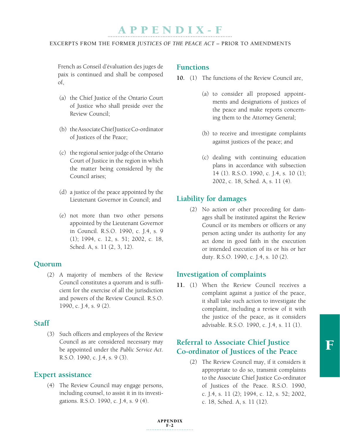#### EXCERPTS FROM THE FORMER *JUSTICES OF THE PEACE ACT* – PRIOR TO AMENDMENTS

French as Conseil d'évaluation des juges de paix is continued and shall be composed of,

- (a) the Chief Justice of the Ontario Court of Justice who shall preside over the Review Council;
- (b) the Associate Chief Justice Co-ordinator of Justices of the Peace;
- (c) the regional senior judge of the Ontario Court of Justice in the region in which the matter being considered by the Council arises;
- (d) a justice of the peace appointed by the Lieutenant Governor in Council; and
- (e) not more than two other persons appointed by the Lieutenant Governor in Council. R.S.O. 1990, c. J.4, s. 9 (1); 1994, c. 12, s. 51; 2002, c. 18, Sched. A, s. 11 (2, 3, 12).

### **Quorum**

(2) A majority of members of the Review Council constitutes a quorum and is sufficient for the exercise of all the jurisdiction and powers of the Review Council. R.S.O. 1990, c. J.4, s. 9 (2).

### **Staff**

(3) Such officers and employees of the Review Council as are considered necessary may be appointed under the *Public Service Act*. R.S.O. 1990, c. J.4, s. 9 (3).

### **Expert assistance**

(4) The Review Council may engage persons, including counsel, to assist it in its investigations. R.S.O. 1990, c. J.4, s. 9 (4).

### **Functions**

- **10.** (1) The functions of the Review Council are,
	- (a) to consider all proposed appointments and designations of justices of the peace and make reports concerning them to the Attorney General;
	- (b) to receive and investigate complaints against justices of the peace; and
	- (c) dealing with continuing education plans in accordance with subsection 14 (1). R.S.O. 1990, c. J.4, s. 10 (1); 2002, c. 18, Sched. A, s. 11 (4).

### **Liability for damages**

(2) No action or other proceeding for damages shall be instituted against the Review Council or its members or officers or any person acting under its authority for any act done in good faith in the execution or intended execution of its or his or her duty. R.S.O. 1990, c. J.4, s. 10 (2).

### **Investigation of complaints**

**11.** (1) When the Review Council receives a complaint against a justice of the peace, it shall take such action to investigate the complaint, including a review of it with the justice of the peace, as it considers advisable. R.S.O. 1990, c. J.4, s. 11 (1).

### **Referral to Associate Chief Justice Co-ordinator of Justices of the Peace**

(2) The Review Council may, if it considers it appropriate to do so, transmit complaints to the Associate Chief Justice Co-ordinator of Justices of the Peace. R.S.O. 1990, c. J.4, s. 11 (2); 1994, c. 12, s. 52; 2002, c. 18, Sched. A, s. 11 (12).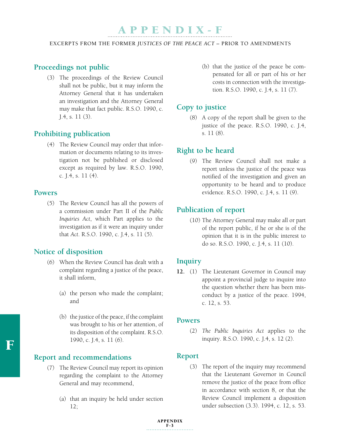EXCERPTS FROM THE FORMER *JUSTICES OF THE PEACE ACT* – PRIOR TO AMENDMENTS

### **Proceedings not public**

(3) The proceedings of the Review Council shall not be public, but it may inform the Attorney General that it has undertaken an investigation and the Attorney General may make that fact public. R.S.O. 1990, c. J.4, s. 11 (3).

### **Prohibiting publication**

(4) The Review Council may order that information or documents relating to its investigation not be published or disclosed except as required by law. R.S.O. 1990, c. J.4, s. 11 (4).

### **Powers**

(5) The Review Council has all the powers of a commission under Part II of the *Public Inquiries Act*, which Part applies to the investigation as if it were an inquiry under that *Act*. R.S.O. 1990, c. J.4, s. 11 (5).

### **Notice of disposition**

- (6) When the Review Council has dealt with a complaint regarding a justice of the peace, it shall inform,
	- (a) the person who made the complaint; and
	- (b) the justice of the peace, if the complaint was brought to his or her attention, of its disposition of the complaint. R.S.O. 1990, c. J.4, s. 11 (6).

### **Report and recommendations**

- (7) The Review Council may report its opinion regarding the complaint to the Attorney General and may recommend,
	- (a) that an inquiry be held under section 12;

 (b) that the justice of the peace be compensated for all or part of his or her costs in connection with the investigation. R.S.O. 1990, c. J.4, s. 11 (7).

### **Copy to justice**

(8) A copy of the report shall be given to the justice of the peace. R.S.O. 1990, c. J.4, s. 11 (8).

### **Right to be heard**

(9) The Review Council shall not make a report unless the justice of the peace was notified of the investigation and given an opportunity to be heard and to produce evidence. R.S.O. 1990, c. J.4, s. 11 (9).

### **Publication of report**

(10) The Attorney General may make all or part of the report public, if he or she is of the opinion that it is in the public interest to do so. R.S.O. 1990, c. J.4, s. 11 (10).

### **Inquiry**

**12.** (1) The Lieutenant Governor in Council may appoint a provincial judge to inquire into the question whether there has been misconduct by a justice of the peace. 1994, c. 12, s. 53.

### **Powers**

(2) *The Public Inquiries Act* applies to the inquiry. R.S.O. 1990, c. J.4, s. 12 (2).

### **Report**

(3) The report of the inquiry may recommend that the Lieutenant Governor in Council remove the justice of the peace from office in accordance with section 8, or that the Review Council implement a disposition under subsection (3.3). 1994, c. 12, s. 53.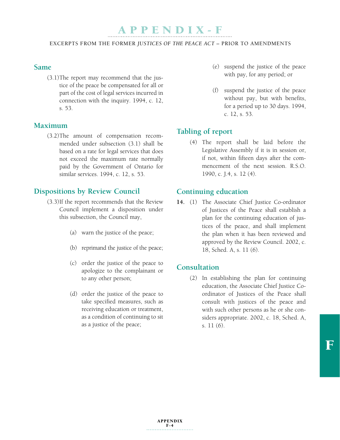EXCERPTS FROM THE FORMER *JUSTICES OF THE PEACE ACT* – PRIOR TO AMENDMENTS

### **Same**

(3.1) The report may recommend that the justice of the peace be compensated for all or part of the cost of legal services incurred in connection with the inquiry. 1994, c. 12, s. 53.

### **Maximum**

(3.2) The amount of compensation recommended under subsection (3.1) shall be based on a rate for legal services that does not exceed the maximum rate normally paid by the Government of Ontario for similar services. 1994, c. 12, s. 53.

### **Dispositions by Review Council**

- (3.3) If the report recommends that the Review Council implement a disposition under this subsection, the Council may,
	- (a) warn the justice of the peace;
	- (b) reprimand the justice of the peace;
	- (c) order the justice of the peace to apologize to the complainant or to any other person;
	- (d) order the justice of the peace to take specified measures, such as receiving education or treatment, as a condition of continuing to sit as a justice of the peace;
- (e) suspend the justice of the peace with pay, for any period; or
- (f) suspend the justice of the peace without pay, but with benefits, for a period up to 30 days. 1994, c. 12, s. 53.

### **Tabling of report**

(4) The report shall be laid before the Legislative Assembly if it is in session or, if not, within fifteen days after the commencement of the next session. R.S.O. 1990, c. J.4, s. 12 (4).

### **Continuing education**

**14.** (1) The Associate Chief Justice Co-ordinator of Justices of the Peace shall establish a plan for the continuing education of justices of the peace, and shall implement the plan when it has been reviewed and approved by the Review Council. 2002, c. 18, Sched. A, s. 11 (6).

### **Consultation**

(2) In establishing the plan for continuing education, the Associate Chief Justice Coordinator of Justices of the Peace shall consult with justices of the peace and with such other persons as he or she considers appropriate. 2002, c. 18, Sched. A, s. 11 (6).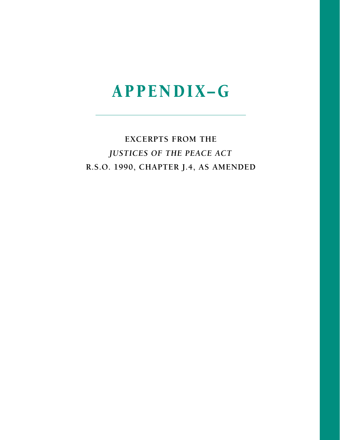## **EXCERPTS FROM THE** JUSTICES OF THE PEACE ACT R.S.O. 1990, CHAPTER J.4, AS AMENDED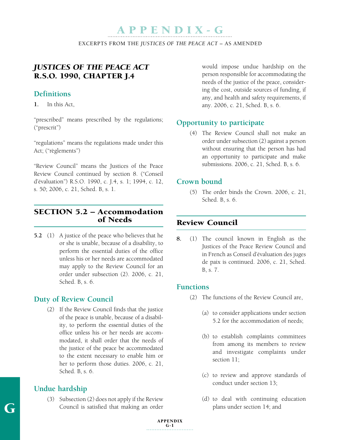EXCERPTS FROM THE *JUSTICES OF THE PEACE ACT* – AS AMENDED

### *Justices of the Peace Act* R.S.O. 1990, CHAPTER J.4

### **Definitions**

**1.** In this Act,

"prescribed" means prescribed by the regulations; ("prescrit")

"regulations" means the regulations made under this Act; ("règlements")

"Review Council" means the Justices of the Peace Review Council continued by section 8. ("Conseil d'évaluation") R.S.O. 1990, c. J.4, s. 1; 1994, c. 12, s. 50; 2006, c. 21, Sched. B, s. 1.

### SECTION 5.2 – Accommodation of Needs

**5.2** (1) A justice of the peace who believes that he or she is unable, because of a disability, to perform the essential duties of the office unless his or her needs are accommodated may apply to the Review Council for an order under subsection (2). 2006, c. 21, Sched. B, s. 6.

### **Duty of Review Council**

(2) If the Review Council finds that the justice of the peace is unable, because of a disability, to perform the essential duties of the office unless his or her needs are accommodated, it shall order that the needs of the justice of the peace be accommodated to the extent necessary to enable him or her to perform those duties. 2006, c. 21, Sched. B, s. 6.

### **Undue hardship**

G

(3) Subsection (2) does not apply if the Review Council is satisfied that making an order

would impose undue hardship on the person responsible for accommodating the needs of the justice of the peace, considering the cost, outside sources of funding, if any, and health and safety requirements, if any. 2006, c. 21, Sched. B, s. 6.

### **Opportunity to participate**

(4) The Review Council shall not make an order under subsection (2) against a person without ensuring that the person has had an opportunity to participate and make submissions. 2006, c. 21, Sched. B, s. 6.

### **Crown bound**

(5) The order binds the Crown. 2006, c. 21, Sched. B, s. 6.

### Review Council

**8.** (1) The council known in English as the Justices of the Peace Review Council and in French as Conseil d'évaluation des juges de paix is continued. 2006, c. 21, Sched. B, s. 7.

### **Functions**

- (2) The functions of the Review Council are,
	- (a) to consider applications under section 5.2 for the accommodation of needs;
	- (b) to establish complaints committees from among its members to review and investigate complaints under section 11;
	- (c) to review and approve standards of conduct under section 13;
	- (d) to deal with continuing education plans under section 14; and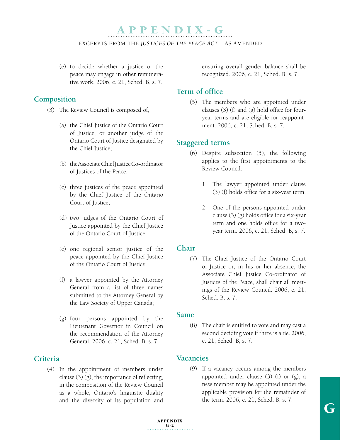#### EXCERPTS FROM THE *JUSTICES OF THE PEACE ACT* – AS AMENDED

 (e) to decide whether a justice of the peace may engage in other remunerative work. 2006, c. 21, Sched. B, s. 7.

### **Composition**

- (3) The Review Council is composed of,
	- (a) the Chief Justice of the Ontario Court of Justice, or another judge of the Ontario Court of Justice designated by the Chief Justice;
	- (b) the Associate Chief Justice Co-ordinator of Justices of the Peace;
	- (c) three justices of the peace appointed by the Chief Justice of the Ontario Court of Justice;
	- (d) two judges of the Ontario Court of Justice appointed by the Chief Justice of the Ontario Court of Justice;
	- (e) one regional senior justice of the peace appointed by the Chief Justice of the Ontario Court of Justice;
	- (f) a lawyer appointed by the Attorney General from a list of three names submitted to the Attorney General by the Law Society of Upper Canada;
	- (g) four persons appointed by the Lieutenant Governor in Council on the recommendation of the Attorney General. 2006, c. 21, Sched. B, s. 7.

### **Criteria**

(4) In the appointment of members under clause (3) (g), the importance of reflecting, in the composition of the Review Council as a whole, Ontario's linguistic duality and the diversity of its population and

ensuring overall gender balance shall be recognized. 2006, c. 21, Sched. B, s. 7.

### **Term of office**

(5) The members who are appointed under clauses (3) (f) and (g) hold office for fouryear terms and are eligible for reappointment. 2006, c. 21, Sched. B, s. 7.

### **Staggered terms**

- (6) Despite subsection (5), the following applies to the first appointments to the Review Council:
	- 1. The lawyer appointed under clause (3) (f) holds office for a six-year term.
	- 2. One of the persons appointed under clause (3) (g) holds office for a six-year term and one holds office for a twoyear term. 2006, c. 21, Sched. B, s. 7.

### **Chair**

(7) The Chief Justice of the Ontario Court of Justice or, in his or her absence, the Associate Chief Justice Co-ordinator of Justices of the Peace, shall chair all meetings of the Review Council. 2006, c. 21, Sched. B, s. 7.

### **Same**

(8) The chair is entitled to vote and may cast a second deciding vote if there is a tie. 2006, c. 21, Sched. B, s. 7.

### **Vacancies**

(9) If a vacancy occurs among the members appointed under clause (3) (f) or (g), a new member may be appointed under the applicable provision for the remainder of the term. 2006, c. 21, Sched. B, s. 7.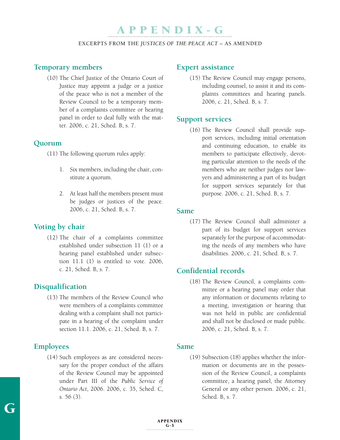EXCERPTS FROM THE *JUSTICES OF THE PEACE ACT* – AS AMENDED

### **Temporary members**

(10) The Chief Justice of the Ontario Court of Justice may appoint a judge or a justice of the peace who is not a member of the Review Council to be a temporary member of a complaints committee or hearing panel in order to deal fully with the matter. 2006, c. 21, Sched. B, s. 7.

### **Quorum**

- (11) The following quorum rules apply:
	- 1. Six members, including the chair, constitute a quorum.
	- 2. At least half the members present must be judges or justices of the peace. 2006, c. 21, Sched. B, s. 7.

### **Voting by chair**

(12) The chair of a complaints committee established under subsection 11 (1) or a hearing panel established under subsection 11.1 (1) is entitled to vote. 2006, c. 21, Sched. B, s. 7.

### **Disqualification**

(13) The members of the Review Council who were members of a complaints committee dealing with a complaint shall not participate in a hearing of the complaint under section 11.1. 2006, c. 21, Sched. B, s. 7.

### **Employees**

G

(14) Such employees as are considered necessary for the proper conduct of the affairs of the Review Council may be appointed under Part III of the *Public Service of Ontario Act*, 2006. 2006, c. 35, Sched. C, s. 56 (3).

### **Expert assistance**

(15) The Review Council may engage persons, including counsel, to assist it and its complaints committees and hearing panels. 2006, c. 21, Sched. B, s. 7.

### **Support services**

(16) The Review Council shall provide support services, including initial orientation and continuing education, to enable its members to participate effectively, devoting particular attention to the needs of the members who are neither judges nor lawyers and administering a part of its budget for support services separately for that purpose. 2006, c. 21, Sched. B, s. 7.

### **Same**

(17) The Review Council shall administer a part of its budget for support services separately for the purpose of accommodating the needs of any members who have disabilities. 2006, c. 21, Sched. B, s. 7.

### **Confidential records**

(18) The Review Council, a complaints committee or a hearing panel may order that any information or documents relating to a meeting, investigation or hearing that was not held in public are confidential and shall not be disclosed or made public. 2006, c. 21, Sched. B, s. 7.

### **Same**

(19) Subsection (18) applies whether the information or documents are in the possession of the Review Council, a complaints committee, a hearing panel, the Attorney General or any other person. 2006, c. 21, Sched. B, s. 7.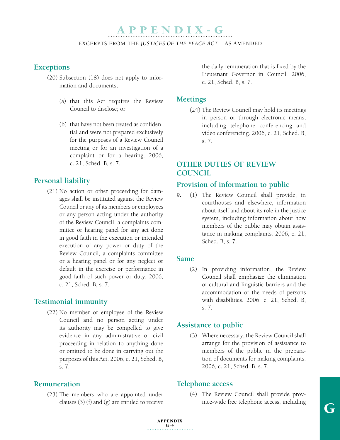#### EXCERPTS FROM THE *JUSTICES OF THE PEACE ACT* – AS AMENDED

### **Exceptions**

- (20) Subsection (18) does not apply to information and documents,
	- (a) that this Act requires the Review Council to disclose; or
	- (b) that have not been treated as confidential and were not prepared exclusively for the purposes of a Review Council meeting or for an investigation of a complaint or for a hearing. 2006, c. 21, Sched. B, s. 7.

### **Personal liability**

(21) No action or other proceeding for damages shall be instituted against the Review Council or any of its members or employees or any person acting under the authority of the Review Council, a complaints committee or hearing panel for any act done in good faith in the execution or intended execution of any power or duty of the Review Council, a complaints committee or a hearing panel or for any neglect or default in the exercise or performance in good faith of such power or duty. 2006, c. 21, Sched. B, s. 7.

### **Testimonial immunity**

(22) No member or employee of the Review Council and no person acting under its authority may be compelled to give evidence in any administrative or civil proceeding in relation to anything done or omitted to be done in carrying out the purposes of this Act. 2006, c. 21, Sched. B, s. 7.

### **Remuneration**

(23) The members who are appointed under clauses  $(3)$  (f) and  $(g)$  are entitled to receive

the daily remuneration that is fixed by the Lieutenant Governor in Council. 2006, c. 21, Sched. B, s. 7.

### **Meetings**

(24) The Review Council may hold its meetings in person or through electronic means, including telephone conferencing and video conferencing. 2006, c. 21, Sched. B, s. 7.

### **Other duties of Review Council**

### **Provision of information to public**

**9.** (1) The Review Council shall provide, in courthouses and elsewhere, information about itself and about its role in the justice system, including information about how members of the public may obtain assistance in making complaints. 2006, c. 21, Sched. B, s. 7.

#### **Same**

(2) In providing information, the Review Council shall emphasize the elimination of cultural and linguistic barriers and the accommodation of the needs of persons with disabilities. 2006, c. 21, Sched. B, s. 7.

### **Assistance to public**

(3) Where necessary, the Review Council shall arrange for the provision of assistance to members of the public in the preparation of documents for making complaints. 2006, c. 21, Sched. B, s. 7.

### **Telephone access**

(4) The Review Council shall provide province-wide free telephone access, including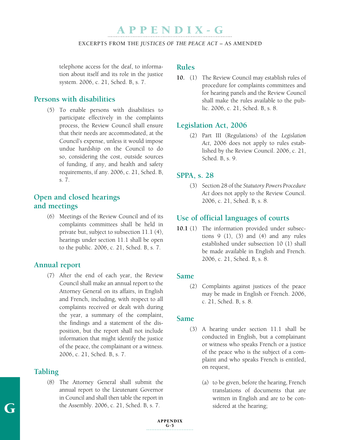#### EXCERPTS FROM THE *JUSTICES OF THE PEACE ACT* – AS AMENDED

telephone access for the deaf, to information about itself and its role in the justice system. 2006, c. 21, Sched. B, s. 7.

### **Persons with disabilities**

(5) To enable persons with disabilities to participate effectively in the complaints process, the Review Council shall ensure that their needs are accommodated, at the Council's expense, unless it would impose undue hardship on the Council to do so, considering the cost, outside sources of funding, if any, and health and safety requirements, if any. 2006, c. 21, Sched. B, s. 7.

### **Open and closed hearings and meetings**

(6) Meetings of the Review Council and of its complaints committees shall be held in private but, subject to subsection 11.1 (4), hearings under section 11.1 shall be open to the public. 2006, c. 21, Sched. B, s. 7.

### **Annual report**

(7) After the end of each year, the Review Council shall make an annual report to the Attorney General on its affairs, in English and French, including, with respect to all complaints received or dealt with during the year, a summary of the complaint, the findings and a statement of the disposition, but the report shall not include information that might identify the justice of the peace, the complainant or a witness. 2006, c. 21, Sched. B, s. 7.

### **Tabling**

(8) The Attorney General shall submit the annual report to the Lieutenant Governor in Council and shall then table the report in the Assembly. 2006, c. 21, Sched. B, s. 7.

### **Rules**

**10.** (1) The Review Council may establish rules of procedure for complaints committees and for hearing panels and the Review Council shall make the rules available to the public. 2006, c. 21, Sched. B, s. 8.

### **Legislation Act, 2006**

(2) Part III (Regulations) of the *Legislation Act*, 2006 does not apply to rules established by the Review Council. 2006, c. 21, Sched. B, s. 9.

### **SPPA, s. 28**

(3) Section 28 of the *Statutory Powers Procedure Act* does not apply to the Review Council. 2006, c. 21, Sched. B, s. 8.

### **Use of official languages of courts**

**10.1** (1) The information provided under subsections  $9(1)$ ,  $(3)$  and  $(4)$  and any rules established under subsection 10 (1) shall be made available in English and French. 2006, c. 21, Sched. B, s. 8.

### **Same**

(2) Complaints against justices of the peace may be made in English or French. 2006, c. 21, Sched. B, s. 8.

### **Same**

- (3) A hearing under section 11.1 shall be conducted in English, but a complainant or witness who speaks French or a justice of the peace who is the subject of a complaint and who speaks French is entitled, on request,
	- (a) to be given, before the hearing, French translations of documents that are written in English and are to be considered at the hearing;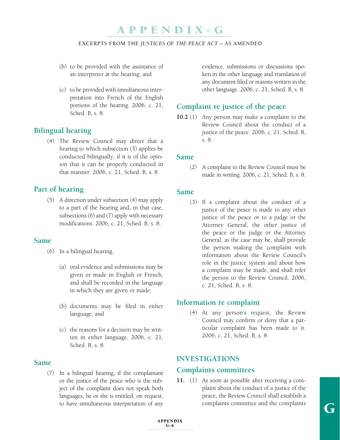#### EXCERPTS FROM THE *JUSTICES OF THE PEACE ACT* – AS AMENDED

- (b) to be provided with the assistance of an interpreter at the hearing; and
- (c) to be provided with simultaneous interpretation into French of the English portions of the hearing. 2006, c. 21, Sched. B, s. 8.

### **Bilingual hearing**

(4) The Review Council may direct that a hearing to which subsection (3) applies be conducted bilingually, if it is of the opinion that it can be properly conducted in that manner. 2006, c. 21, Sched. B, s. 8.

### **Part of hearing**

(5) A direction under subsection (4) may apply to a part of the hearing and, in that case, subsections (6) and (7) apply with necessary modifications. 2006, c. 21, Sched. B, s. 8.

### **Same**

- (6) In a bilingual hearing,
	- (a) oral evidence and submissions may be given or made in English or French, and shall be recorded in the language in which they are given or made;
	- (b) documents may be filed in either language; and
	- (c) the reasons for a decision may be written in either language. 2006, c. 21, Sched. B, s. 8.

### **Same**

(7) In a bilingual hearing, if the complainant or the justice of the peace who is the subject of the complaint does not speak both languages, he or she is entitled, on request, to have simultaneous interpretation of any evidence, submissions or discussions spoken in the other language and translation of any document filed or reasons written in the other language. 2006, c. 21, Sched. B, s. 8.

### **Complaint re justice of the peace**

**10.2** (1) Any person may make a complaint to the Review Council about the conduct of a justice of the peace. 2006, c. 21, Sched. B, s. 8.

#### **Same**

(2) A complaint to the Review Council must be made in writing. 2006, c. 21, Sched. B, s. 8.

### **Same**

(3) If a complaint about the conduct of a justice of the peace is made to any other justice of the peace or to a judge or the Attorney General, the other justice of the peace or the judge or the Attorney General, as the case may be, shall provide the person making the complaint with information about the Review Council's role in the justice system and about how a complaint may be made, and shall refer the person to the Review Council. 2006, c. 21, Sched. B, s. 8.

### **Information re complaint**

(4) At any person's request, the Review Council may confirm or deny that a particular complaint has been made to it. 2006, c. 21, Sched. B, s. 8.

### **Investigations**

### **Complaints committees**

**11.** (1) As soon as possible after receiving a complaint about the conduct of a justice of the peace, the Review Council shall establish a complaints committee and the complaints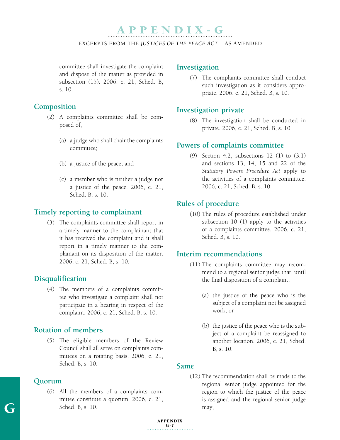#### EXCERPTS FROM THE *JUSTICES OF THE PEACE ACT* – AS AMENDED

committee shall investigate the complaint and dispose of the matter as provided in subsection (15). 2006, c. 21, Sched. B, s. 10.

### **Composition**

- (2) A complaints committee shall be composed of,
	- (a) a judge who shall chair the complaints committee;
	- (b) a justice of the peace; and
	- (c) a member who is neither a judge nor a justice of the peace. 2006, c. 21, Sched. B, s. 10.

### **Timely reporting to complainant**

(3) The complaints committee shall report in a timely manner to the complainant that it has received the complaint and it shall report in a timely manner to the complainant on its disposition of the matter. 2006, c. 21, Sched. B, s. 10.

### **Disqualification**

(4) The members of a complaints committee who investigate a complaint shall not participate in a hearing in respect of the complaint. 2006, c. 21, Sched. B, s. 10.

### **Rotation of members**

(5) The eligible members of the Review Council shall all serve on complaints committees on a rotating basis. 2006, c. 21, Sched. B, s. 10.

### **Quorum**

(6) All the members of a complaints committee constitute a quorum. 2006, c. 21, Sched. B, s. 10.

### **Investigation**

(7) The complaints committee shall conduct such investigation as it considers appropriate. 2006, c. 21, Sched. B, s. 10.

### **Investigation private**

(8) The investigation shall be conducted in private. 2006, c. 21, Sched. B, s. 10.

### **Powers of complaints committee**

(9) Section 4.2, subsections 12 (1) to (3.1) and sections 13, 14, 15 and 22 of the *Statutory Powers Procedure Act* apply to the activities of a complaints committee. 2006, c. 21, Sched. B, s. 10.

### **Rules of procedure**

(10) The rules of procedure established under subsection 10 (1) apply to the activities of a complaints committee. 2006, c. 21, Sched. B, s. 10.

#### **Interim recommendations**

- (11) The complaints committee may recommend to a regional senior judge that, until the final disposition of a complaint,
	- (a) the justice of the peace who is the subject of a complaint not be assigned work; or
	- (b) the justice of the peace who is the subject of a complaint be reassigned to another location. 2006, c. 21, Sched. B, s. 10.

#### **Same**

(12) The recommendation shall be made to the regional senior judge appointed for the region to which the justice of the peace is assigned and the regional senior judge may,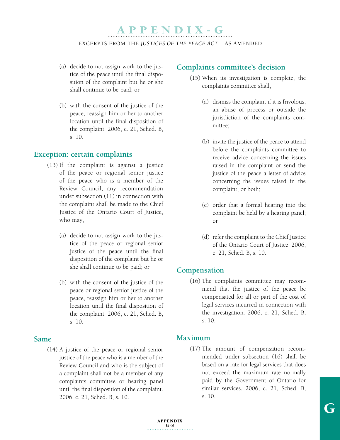#### EXCERPTS FROM THE *JUSTICES OF THE PEACE ACT* – AS AMENDED

- (a) decide to not assign work to the justice of the peace until the final disposition of the complaint but he or she shall continue to be paid; or
- (b) with the consent of the justice of the peace, reassign him or her to another location until the final disposition of the complaint. 2006, c. 21, Sched. B, s. 10.

#### **Exception: certain complaints**

- (13) If the complaint is against a justice of the peace or regional senior justice of the peace who is a member of the Review Council, any recommendation under subsection (11) in connection with the complaint shall be made to the Chief Justice of the Ontario Court of Justice, who may,
	- (a) decide to not assign work to the justice of the peace or regional senior justice of the peace until the final disposition of the complaint but he or she shall continue to be paid; or
	- (b) with the consent of the justice of the peace or regional senior justice of the peace, reassign him or her to another location until the final disposition of the complaint. 2006, c. 21, Sched. B, s. 10.

## **Same**

(14) A justice of the peace or regional senior justice of the peace who is a member of the Review Council and who is the subject of a complaint shall not be a member of any complaints committee or hearing panel until the final disposition of the complaint. 2006, c. 21, Sched. B, s. 10.

# **Complaints committee's decision**

- (15) When its investigation is complete, the complaints committee shall,
	- (a) dismiss the complaint if it is frivolous, an abuse of process or outside the jurisdiction of the complaints committee;
	- (b) invite the justice of the peace to attend before the complaints committee to receive advice concerning the issues raised in the complaint or send the justice of the peace a letter of advice concerning the issues raised in the complaint, or both;
	- (c) order that a formal hearing into the complaint be held by a hearing panel; or
	- (d) refer the complaint to the Chief Justice of the Ontario Court of Justice. 2006, c. 21, Sched. B, s. 10.

## **Compensation**

(16) The complaints committee may recommend that the justice of the peace be compensated for all or part of the cost of legal services incurred in connection with the investigation. 2006, c. 21, Sched. B, s. 10.

## **Maximum**

(17) The amount of compensation recommended under subsection (16) shall be based on a rate for legal services that does not exceed the maximum rate normally paid by the Government of Ontario for similar services. 2006, c. 21, Sched. B, s. 10.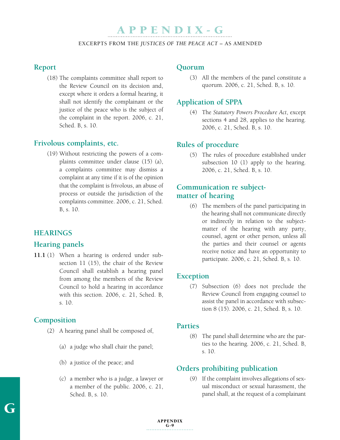#### EXCERPTS FROM THE *JUSTICES OF THE PEACE ACT* – AS AMENDED

## **Report**

(18) The complaints committee shall report to the Review Council on its decision and, except where it orders a formal hearing, it shall not identify the complainant or the justice of the peace who is the subject of the complaint in the report. 2006, c. 21, Sched. B, s. 10.

## **Frivolous complaints, etc.**

(19) Without restricting the powers of a complaints committee under clause (15) (a), a complaints committee may dismiss a complaint at any time if it is of the opinion that the complaint is frivolous, an abuse of process or outside the jurisdiction of the complaints committee. 2006, c. 21, Sched. B, s. 10.

# **Hearings**

# **Hearing panels**

**11.1** (1) When a hearing is ordered under subsection 11 (15), the chair of the Review Council shall establish a hearing panel from among the members of the Review Council to hold a hearing in accordance with this section. 2006, c. 21, Sched. B, s. 10.

## **Composition**

- (2) A hearing panel shall be composed of,
	- (a) a judge who shall chair the panel;
	- (b) a justice of the peace; and
	- (c) a member who is a judge, a lawyer or a member of the public. 2006, c. 21, Sched. B, s. 10.

#### **Quorum**

(3) All the members of the panel constitute a quorum. 2006, c. 21, Sched. B, s. 10.

# **Application of SPPA**

(4) The *Statutory Powers Procedure Act*, except sections 4 and 28, applies to the hearing. 2006, c. 21, Sched. B, s. 10.

# **Rules of procedure**

(5) The rules of procedure established under subsection 10 (1) apply to the hearing. 2006, c. 21, Sched. B, s. 10.

# **Communication re subjectmatter of hearing**

(6) The members of the panel participating in the hearing shall not communicate directly or indirectly in relation to the subjectmatter of the hearing with any party, counsel, agent or other person, unless all the parties and their counsel or agents receive notice and have an opportunity to participate. 2006, c. 21, Sched. B, s. 10.

## **Exception**

(7) Subsection (6) does not preclude the Review Council from engaging counsel to assist the panel in accordance with subsection 8 (15). 2006, c. 21, Sched. B, s. 10.

#### **Parties**

(8) The panel shall determine who are the parties to the hearing. 2006, c. 21, Sched. B, s. 10.

# **Orders prohibiting publication**

(9) If the complaint involves allegations of sexual misconduct or sexual harassment, the panel shall, at the request of a complainant

# APPENDIX  $G-9$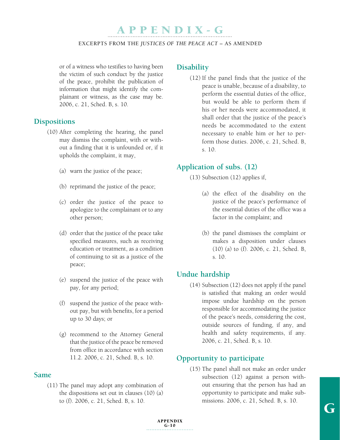#### EXCERPTS FROM THE *JUSTICES OF THE PEACE ACT* – AS AMENDED

or of a witness who testifies to having been the victim of such conduct by the justice of the peace, prohibit the publication of information that might identify the complainant or witness, as the case may be. 2006, c. 21, Sched. B, s. 10.

## **Dispositions**

- (10) After completing the hearing, the panel may dismiss the complaint, with or without a finding that it is unfounded or, if it upholds the complaint, it may,
	- (a) warn the justice of the peace;
	- (b) reprimand the justice of the peace;
	- (c) order the justice of the peace to apologize to the complainant or to any other person;
	- (d) order that the justice of the peace take specified measures, such as receiving education or treatment, as a condition of continuing to sit as a justice of the peace;
	- (e) suspend the justice of the peace with pay, for any period;
	- (f) suspend the justice of the peace without pay, but with benefits, for a period up to 30 days; or
	- (g) recommend to the Attorney General that the justice of the peace be removed from office in accordance with section 11.2. 2006, c. 21, Sched. B, s. 10.

## **Same**

(11) The panel may adopt any combination of the dispositions set out in clauses (10) (a) to (f). 2006, c. 21, Sched. B, s. 10.

# **Disability**

(12) If the panel finds that the justice of the peace is unable, because of a disability, to perform the essential duties of the office, but would be able to perform them if his or her needs were accommodated, it shall order that the justice of the peace's needs be accommodated to the extent necessary to enable him or her to perform those duties. 2006, c. 21, Sched. B, s. 10.

# **Application of subs. (12)**

(13) Subsection (12) applies if,

- (a) the effect of the disability on the justice of the peace's performance of the essential duties of the office was a factor in the complaint; and
- (b) the panel dismisses the complaint or makes a disposition under clauses (10) (a) to (f). 2006, c. 21, Sched. B, s. 10.

# **Undue hardship**

(14) Subsection (12) does not apply if the panel is satisfied that making an order would impose undue hardship on the person responsible for accommodating the justice of the peace's needs, considering the cost, outside sources of funding, if any, and health and safety requirements, if any. 2006, c. 21, Sched. B, s. 10.

# **Opportunity to participate**

(15) The panel shall not make an order under subsection (12) against a person without ensuring that the person has had an opportunity to participate and make submissions. 2006, c. 21, Sched. B, s. 10.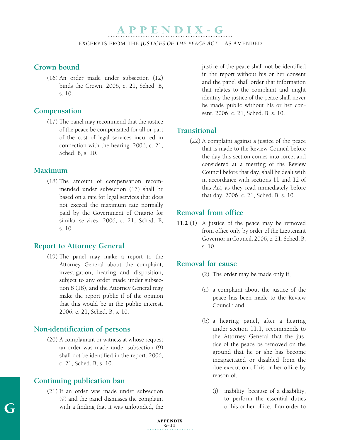#### EXCERPTS FROM THE *JUSTICES OF THE PEACE ACT* – AS AMENDED

# **Crown bound**

(16) An order made under subsection (12) binds the Crown. 2006, c. 21, Sched. B, s. 10.

#### **Compensation**

(17) The panel may recommend that the justice of the peace be compensated for all or part of the cost of legal services incurred in connection with the hearing. 2006, c. 21, Sched. B, s. 10.

#### **Maximum**

(18) The amount of compensation recommended under subsection (17) shall be based on a rate for legal services that does not exceed the maximum rate normally paid by the Government of Ontario for similar services. 2006, c. 21, Sched. B, s. 10.

# **Report to Attorney General**

(19) The panel may make a report to the Attorney General about the complaint, investigation, hearing and disposition, subject to any order made under subsection 8 (18), and the Attorney General may make the report public if of the opinion that this would be in the public interest. 2006, c. 21, Sched. B, s. 10.

## **Non-identification of persons**

(20) A complainant or witness at whose request an order was made under subsection (9) shall not be identified in the report. 2006, c. 21, Sched. B, s. 10.

## **Continuing publication ban**

(21) If an order was made under subsection (9) and the panel dismisses the complaint with a finding that it was unfounded, the

justice of the peace shall not be identified in the report without his or her consent and the panel shall order that information that relates to the complaint and might identify the justice of the peace shall never be made public without his or her consent. 2006, c. 21, Sched. B, s. 10.

#### **Transitional**

(22) A complaint against a justice of the peace that is made to the Review Council before the day this section comes into force, and considered at a meeting of the Review Council before that day, shall be dealt with in accordance with sections 11 and 12 of this *Act*, as they read immediately before that day. 2006, c. 21, Sched. B, s. 10.

## **Removal from office**

**11.2** (1) A justice of the peace may be removed from office only by order of the Lieutenant Governor in Council. 2006, c. 21, Sched. B, s. 10.

# **Removal for cause**

- (2) The order may be made only if,
- (a) a complaint about the justice of the peace has been made to the Review Council; and
- (b) a hearing panel, after a hearing under section 11.1, recommends to the Attorney General that the justice of the peace be removed on the ground that he or she has become incapacitated or disabled from the due execution of his or her office by reason of,
	- (i) inability, because of a disability, to perform the essential duties of his or her office, if an order to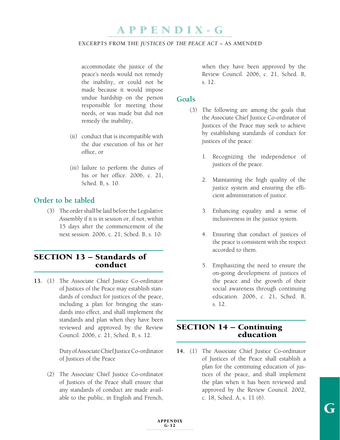#### EXCERPTS FROM THE *JUSTICES OF THE PEACE ACT* – AS AMENDED

accommodate the justice of the peace's needs would not remedy the inability, or could not be made because it would impose undue hardship on the person responsible for meeting those needs, or was made but did not remedy the inability,

- (ii) conduct that is incompatible with the due execution of his or her office, or
- (iii) failure to perform the duties of his or her office. 2006, c. 21, Sched. B, s. 10.

# **Order to be tabled**

(3) The order shall be laid before the Legislative Assembly if it is in session or, if not, within 15 days after the commencement of the next session. 2006, c. 21, Sched. B, s. 10.

# SECTION 13 – Standards of conduct

**13.** (1) The Associate Chief Justice Co-ordinator of Justices of the Peace may establish standards of conduct for justices of the peace, including a plan for bringing the standards into effect, and shall implement the standards and plan when they have been reviewed and approved by the Review Council. 2006, c. 21, Sched. B, s. 12.

> Duty of Associate Chief Justice Co-ordinator of Justices of the Peace

(2) The Associate Chief Justice Co-ordinator of Justices of the Peace shall ensure that any standards of conduct are made available to the public, in English and French,

when they have been approved by the Review Council. 2006, c. 21, Sched. B, s. 12.

## **Goals**

- (3) The following are among the goals that the Associate Chief Justice Co-ordinator of Justices of the Peace may seek to achieve by establishing standards of conduct for justices of the peace:
	- 1. Recognizing the independence of justices of the peace.
	- 2. Maintaining the high quality of the justice system and ensuring the efficient administration of justice.
	- 3. Enhancing equality and a sense of inclusiveness in the justice system.
	- 4. Ensuring that conduct of justices of the peace is consistent with the respect accorded to them.
	- 5. Emphasizing the need to ensure the on-going development of justices of the peace and the growth of their social awareness through continuing education. 2006, c. 21, Sched. B, s. 12.

# SECTION 14 – Continuing education

**14.** (1) The Associate Chief Justice Co-ordinator of Justices of the Peace shall establish a plan for the continuing education of justices of the peace, and shall implement the plan when it has been reviewed and approved by the Review Council. 2002, c. 18, Sched. A, s. 11 (6).